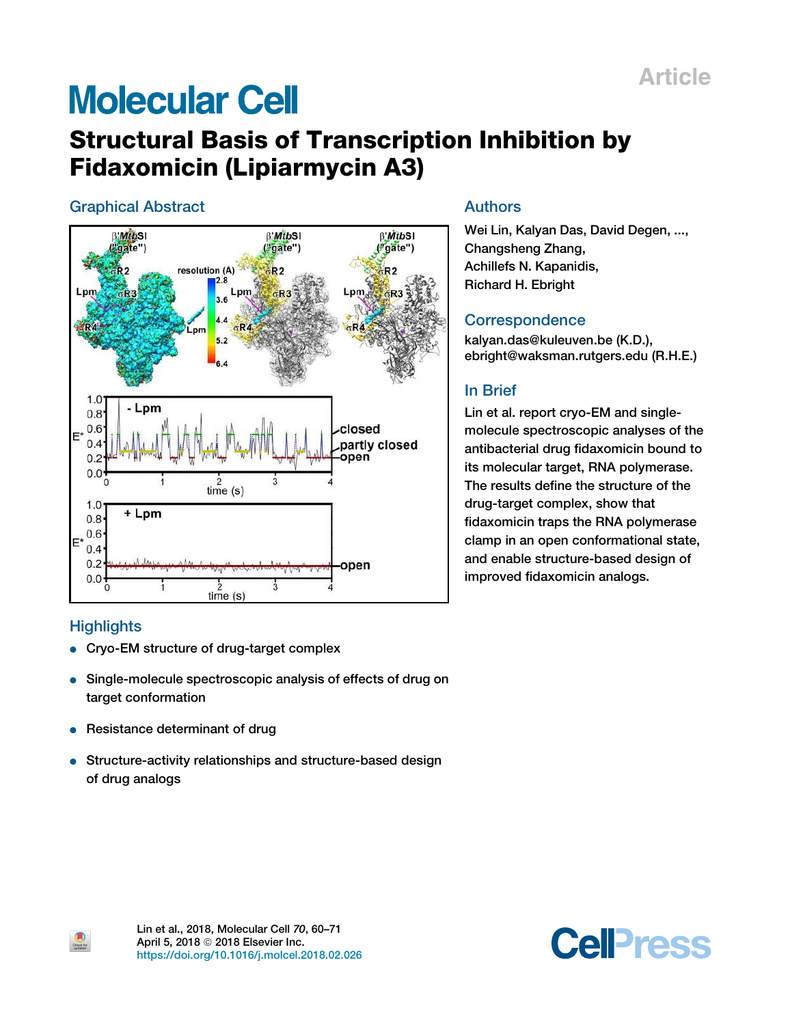## Article

# **Molecular Cell**

## Structural Basis of Transcription Inhibition by Fidaxomicin (Lipiarmycin A3)

## Graphical Abstract



## **Highlights**

 $\bullet$ 

- Cryo-EM structure of drug-target complex
- Single-molecule spectroscopic analysis of effects of drug on target conformation
- Resistance determinant of drug
- Structure-activity relationships and structure-based design of drug analogs

## Authors

Wei Lin, Kalyan Das, David Degen, ..., Changsheng Zhang, Achillefs N. Kapanidis, Richard H. Ebright

## **Correspondence**

kalyan.das@kuleuven.be (K.D.), ebright@waksman.rutgers.edu (R.H.E.)

## In Brief

Lin et al. report cryo-EM and singlemolecule spectroscopic analyses of the antibacterial drug fidaxomicin bound to its molecular target, RNA polymerase. The results define the structure of the drug-target complex, show that fidaxomicin traps the RNA polymerase clamp in an open conformational state, and enable structure-based design of improved fidaxomicin analogs.



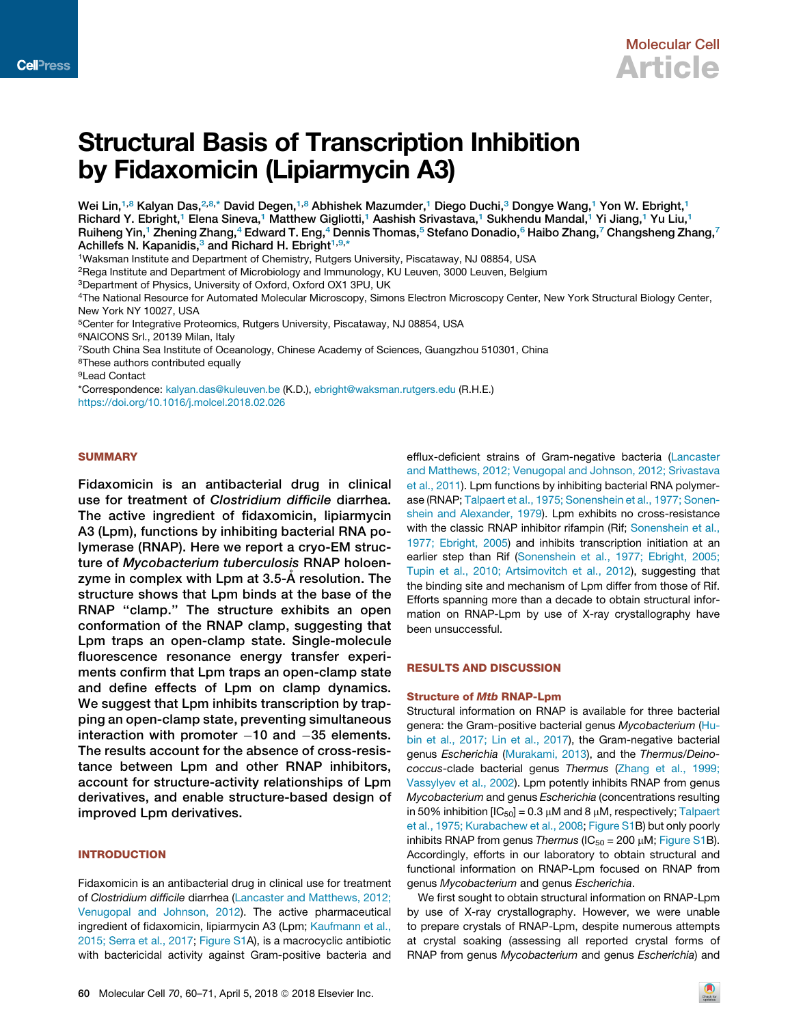

## Structural Basis of Transcription Inhibition by Fidaxomicin (Lipiarmycin A3)

Wei Lin,<sup>1,8</sup> Kalyan Das,<sup>2,8,\*</sup> David Degen,<sup>1,8</sup> Abhishek Mazumder,<sup>1</sup> Diego Duchi,<sup>3</sup> Dongye Wang,<sup>1</sup> Yon W. Ebright,<sup>1</sup> Richard Y. Ebright,<sup>1</sup> Elena Sineva,<sup>1</sup> Matthew Gigliotti,<sup>1</sup> Aashish Srivastava,<sup>1</sup> Sukhendu Mandal,<sup>1</sup> Yi Jiang,<sup>1</sup> Yu Liu,<sup>1</sup> Ruiheng Yin,<sup>1</sup> Zhening Zhang,<sup>4</sup> Edward T. Eng,<sup>4</sup> Dennis Thomas,<sup>5</sup> Stefano Donadio,<sup>6</sup> Haibo Zhang,<sup>7</sup> Changsheng Zhang,<sup>7</sup> Achillefs N. Kapanidis,<sup>3</sup> and Richard H. Ebright<sup>1,9,\*</sup>

<sup>1</sup>Waksman Institute and Department of Chemistry, Rutgers University, Piscataway, NJ 08854, USA

<sup>2</sup>Rega Institute and Department of Microbiology and Immunology, KU Leuven, 3000 Leuven, Belgium

<sup>3</sup>Department of Physics, University of Oxford, Oxford OX1 3PU, UK

<sup>4</sup>The National Resource for Automated Molecular Microscopy, Simons Electron Microscopy Center, New York Structural Biology Center, New York NY 10027, USA

<sup>5</sup>Center for Integrative Proteomics, Rutgers University, Piscataway, NJ 08854, USA

<sup>6</sup>NAICONS Srl., 20139 Milan, Italy

<sup>7</sup>South China Sea Institute of Oceanology, Chinese Academy of Sciences, Guangzhou 510301, China

<sup>8</sup>These authors contributed equally

<sup>9</sup>Lead Contact

\*Correspondence: kalyan.das@kuleuven.be (K.D.), ebright@waksman.rutgers.edu (R.H.E.) https://doi.org/10.1016/j.molcel.2018.02.026

## **SUMMARY**

Fidaxomicin is an antibacterial drug in clinical use for treatment of Clostridium difficile diarrhea. The active ingredient of fidaxomicin, lipiarmycin A3 (Lpm), functions by inhibiting bacterial RNA polymerase (RNAP). Here we report a cryo-EM structure of Mycobacterium tuberculosis RNAP holoenzyme in complex with Lpm at 3.5-A resolution. The structure shows that Lpm binds at the base of the RNAP ''clamp.'' The structure exhibits an open conformation of the RNAP clamp, suggesting that Lpm traps an open-clamp state. Single-molecule fluorescence resonance energy transfer experiments confirm that Lpm traps an open-clamp state and define effects of Lpm on clamp dynamics. We suggest that Lpm inhibits transcription by trapping an open-clamp state, preventing simultaneous interaction with promoter  $-10$  and  $-35$  elements. The results account for the absence of cross-resistance between Lpm and other RNAP inhibitors, account for structure-activity relationships of Lpm derivatives, and enable structure-based design of improved Lpm derivatives.

## INTRODUCTION

Fidaxomicin is an antibacterial drug in clinical use for treatment of *Clostridium difficile* diarrhea (Lancaster and Matthews, 2012; Venugopal and Johnson, 2012). The active pharmaceutical ingredient of fidaxomicin, lipiarmycin A3 (Lpm; Kaufmann et al., 2015; Serra et al., 2017; Figure S1A), is a macrocyclic antibiotic with bactericidal activity against Gram-positive bacteria and

efflux-deficient strains of Gram-negative bacteria (Lancaster and Matthews, 2012; Venugopal and Johnson, 2012; Srivastava et al., 2011). Lpm functions by inhibiting bacterial RNA polymerase (RNAP; Talpaert et al., 1975; Sonenshein et al., 1977; Sonenshein and Alexander, 1979). Lpm exhibits no cross-resistance with the classic RNAP inhibitor rifampin (Rif; Sonenshein et al., 1977; Ebright, 2005) and inhibits transcription initiation at an earlier step than Rif (Sonenshein et al., 1977; Ebright, 2005; Tupin et al., 2010; Artsimovitch et al., 2012), suggesting that the binding site and mechanism of Lpm differ from those of Rif. Efforts spanning more than a decade to obtain structural information on RNAP-Lpm by use of X-ray crystallography have been unsuccessful.

## RESULTS AND DISCUSSION

## **Structure of Mtb RNAP-Lpm**

Structural information on RNAP is available for three bacterial genera: the Gram-positive bacterial genus *Mycobacterium* (Hubin et al., 2017; Lin et al., 2017), the Gram-negative bacterial genus *Escherichia* (Murakami, 2013), and the *Thermus/Deinococcus*-clade bacterial genus *Thermus* (Zhang et al., 1999; Vassylyev et al., 2002). Lpm potently inhibits RNAP from genus *Mycobacterium* and genus *Escherichia* (concentrations resulting in 50% inhibition  $[IC_{50}] = 0.3 \mu M$  and 8  $\mu M$ , respectively; Talpaert et al., 1975; Kurabachew et al., 2008; Figure S1B) but only poorly inhibits RNAP from genus *Thermus* ( $IC_{50} = 200 \mu M$ ; Figure S1B). Accordingly, efforts in our laboratory to obtain structural and functional information on RNAP-Lpm focused on RNAP from genus *Mycobacterium* and genus *Escherichia*.

We first sought to obtain structural information on RNAP-Lpm by use of X-ray crystallography. However, we were unable to prepare crystals of RNAP-Lpm, despite numerous attempts at crystal soaking (assessing all reported crystal forms of RNAP from genus *Mycobacterium* and genus *Escherichia*) and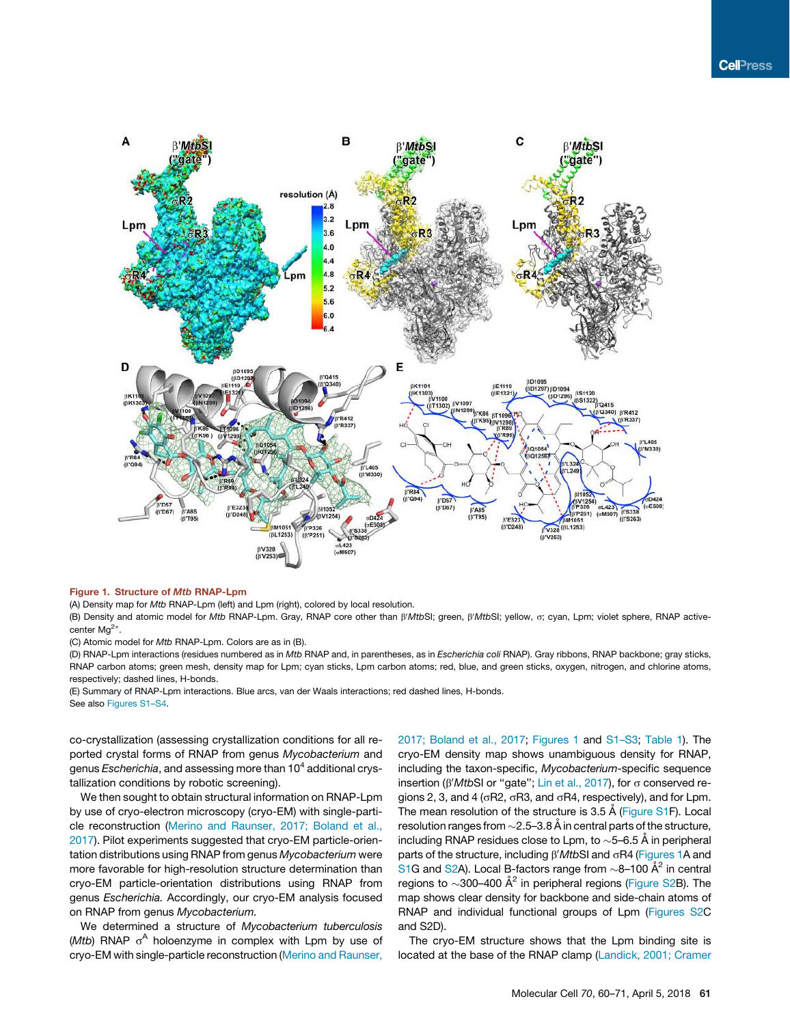

## Figure 1. Structure of Mtb RNAP-Lpm

(A) Density map for *Mtb* RNAP-Lpm (left) and Lpm (right), colored by local resolution.

(B) Density and atomic model for *Mtb* RNAP-Lpm. Gray, RNAP core other than  $\beta' MtbSI$ ; green,  $\beta' MtbSI$ ; yellow, o; cyan, Lpm; violet sphere, RNAP activecenter Mg<sup>2+</sup>.

(C) Atomic model for *Mtb* RNAP-Lpm. Colors are as in (B).

(D) RNAP-Lpm interactions (residues numbered as in *Mtb* RNAP and, in parentheses, as in *Escherichia coli* RNAP). Gray ribbons, RNAP backbone; gray sticks, RNAP carbon atoms; green mesh, density map for Lpm; cyan sticks, Lpm carbon atoms; red, blue, and green sticks, oxygen, nitrogen, and chlorine atoms, respectively; dashed lines, H-bonds.

(E) Summary of RNAP-Lpm interactions. Blue arcs, van der Waals interactions; red dashed lines, H-bonds. See also Figures S1–S4.

co-crystallization (assessing crystallization conditions for all reported crystal forms of RNAP from genus *Mycobacterium* and genus *Escherichia*, and assessing more than 10<sup>4</sup> additional crystallization conditions by robotic screening).

We then sought to obtain structural information on RNAP-Lpm by use of cryo-electron microscopy (cryo-EM) with single-particle reconstruction (Merino and Raunser, 2017; Boland et al., 2017). Pilot experiments suggested that cryo-EM particle-orientation distributions using RNAP from genus *Mycobacterium* were more favorable for high-resolution structure determination than cryo-EM particle-orientation distributions using RNAP from genus *Escherichia.* Accordingly, our cryo-EM analysis focused on RNAP from genus *Mycobacterium.*

We determined a structure of *Mycobacterium tuberculosis* (Mtb) RNAP o<sup>A</sup> holoenzyme in complex with Lpm by use of cryo-EM with single-particle reconstruction (Merino and Raunser, 2017; Boland et al., 2017; Figures 1 and S1–S3; Table 1). The cryo-EM density map shows unambiguous density for RNAP, including the taxon-specific, *Mycobacterium*-specific sequence insertion (β'*Mtb*SI or "gate"; Lin et al., 2017), for σ conserved regions 2, 3, and 4 ( $\sigma$ R2,  $\sigma$ R3, and  $\sigma$ R4, respectively), and for Lpm. The mean resolution of the structure is 3.5 Å (Figure S1F). Local resolution ranges from  ${\sim}$ 2.5–3.8 Å in central parts of the structure, including RNAP residues close to Lpm, to  $\sim$ 5–6.5 Å in peripheral parts of the structure, including  $\beta' M t b S I$  and  $\sigma R4$  (Figures 1A and S1G and S2A). Local B-factors range from  $\sim$ 8–100  $\AA^2$  in central regions to  $\sim$ 300–400 Å $^2$  in peripheral regions (Figure S2B). The map shows clear density for backbone and side-chain atoms of RNAP and individual functional groups of Lpm (Figures S2C and S2D).

The cryo-EM structure shows that the Lpm binding site is located at the base of the RNAP clamp (Landick, 2001; Cramer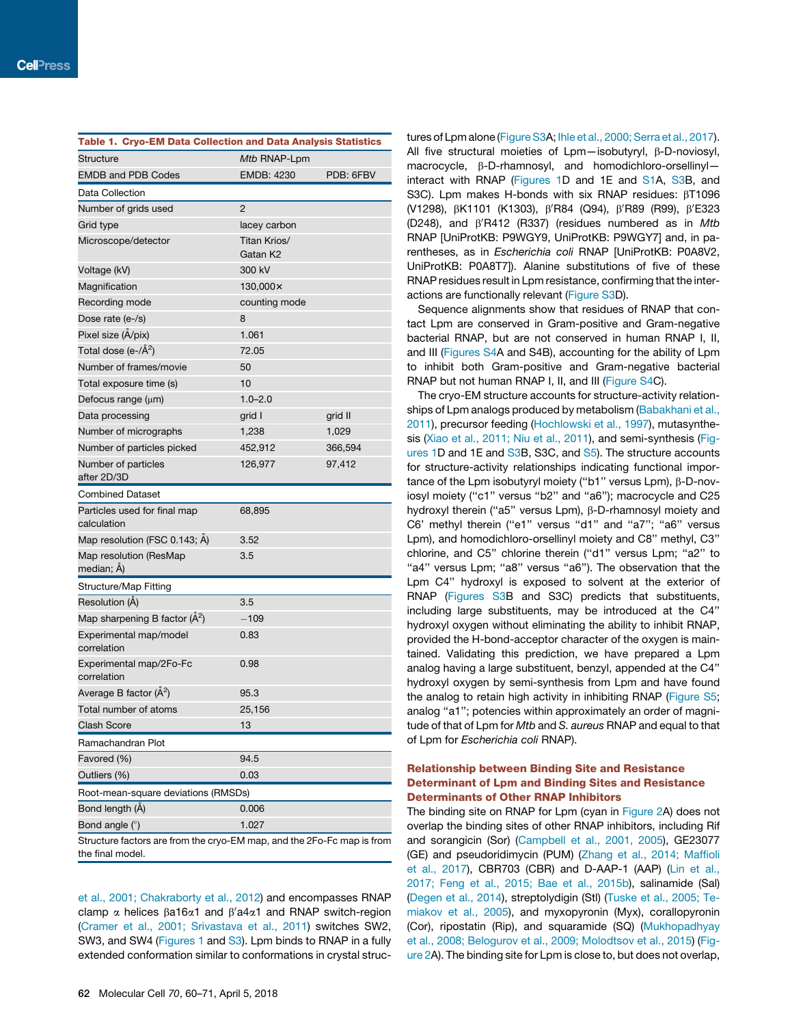| Table 1. Cryo-EM Data Collection and Data Analysis Statistics          |                          |           |
|------------------------------------------------------------------------|--------------------------|-----------|
| <b>Structure</b>                                                       | Mtb RNAP-Lpm             |           |
| <b>EMDB and PDB Codes</b>                                              | <b>EMDB: 4230</b>        | PDB: 6FBV |
| Data Collection                                                        |                          |           |
| Number of grids used                                                   | $\overline{2}$           |           |
| Grid type                                                              | lacey carbon             |           |
| Microscope/detector                                                    | Titan Krios/<br>Gatan K2 |           |
| Voltage (kV)                                                           | 300 kV                   |           |
| Magnification                                                          | 130,000×                 |           |
| Recording mode                                                         | counting mode            |           |
| Dose rate (e-/s)                                                       | 8                        |           |
| Pixel size (A/pix)                                                     | 1.061                    |           |
| Total dose (e- $/\AA^2$ )                                              | 72.05                    |           |
| Number of frames/movie                                                 | 50                       |           |
| Total exposure time (s)                                                | 10                       |           |
| Defocus range $(\mu m)$                                                | $1.0 - 2.0$              |           |
| Data processing                                                        | grid I                   | grid II   |
| Number of micrographs                                                  | 1,238                    | 1,029     |
| Number of particles picked                                             | 452,912                  | 366,594   |
| Number of particles                                                    | 126,977                  | 97,412    |
| after 2D/3D                                                            |                          |           |
| <b>Combined Dataset</b>                                                |                          |           |
| Particles used for final map<br>calculation                            | 68,895                   |           |
| Map resolution (FSC 0.143; A)                                          | 3.52                     |           |
| Map resolution (ResMap<br>median; A)                                   | 3.5                      |           |
| Structure/Map Fitting                                                  |                          |           |
| Resolution (Å)                                                         | 3.5                      |           |
| Map sharpening B factor $(\hat{A}^2)$                                  | $-109$                   |           |
| Experimental map/model<br>correlation                                  | 0.83                     |           |
| Experimental map/2Fo-Fc<br>correlation                                 | 0.98                     |           |
| Average B factor $(\AA^2)$                                             | 95.3                     |           |
| Total number of atoms                                                  | 25,156                   |           |
| Clash Score                                                            | 13                       |           |
| Ramachandran Plot                                                      |                          |           |
| Favored (%)                                                            | 94.5                     |           |
| Outliers (%)                                                           | 0.03                     |           |
| Root-mean-square deviations (RMSDs)                                    |                          |           |
| Bond length (A)                                                        | 0.006                    |           |
| Bond angle (°)                                                         | 1.027                    |           |
| Structure factors are from the cryo-EM map, and the 2Fo-Fc map is from |                          |           |
| the final model.                                                       |                          |           |

et al., 2001; Chakraborty et al., 2012) and encompasses RNAP clamp  $\alpha$  helices  $\beta$ a16 $\alpha$ 1 and  $\beta'$ a4 $\alpha$ 1 and RNAP switch-region (Cramer et al., 2001; Srivastava et al., 2011) switches SW2, SW3, and SW4 (Figures 1 and S3). Lpm binds to RNAP in a fully extended conformation similar to conformations in crystal structures of Lpm alone (Figure S3A; Ihle et al., 2000; Serra et al., 2017). All five structural moieties of  $Lpm-$ isobutyryl,  $\beta$ -D-noviosyl, macrocycle, b-D-rhamnosyl, and homodichloro-orsellinyl interact with RNAP (Figures 1D and 1E and S1A, S3B, and S3C). Lpm makes H-bonds with six RNAP residues:  $\beta$ T1096 (V1298), βK1101 (K1303), β'R84 (Q94), β'R89 (R99), β'E323 (D248), and  $\beta'$ R412 (R337) (residues numbered as in *Mtb* RNAP [UniProtKB: P9WGY9, UniProtKB: P9WGY7] and, in parentheses, as in *Escherichia coli* RNAP [UniProtKB: P0A8V2, UniProtKB: P0A8T7]). Alanine substitutions of five of these RNAP residues result in Lpm resistance, confirming that the interactions are functionally relevant (Figure S3D).

Sequence alignments show that residues of RNAP that contact Lpm are conserved in Gram-positive and Gram-negative bacterial RNAP, but are not conserved in human RNAP I, II, and III (Figures S4A and S4B), accounting for the ability of Lpm to inhibit both Gram-positive and Gram-negative bacterial RNAP but not human RNAP I, II, and III (Figure S4C).

The cryo-EM structure accounts for structure-activity relationships of Lpm analogs produced by metabolism (Babakhani et al., 2011), precursor feeding (Hochlowski et al., 1997), mutasynthesis (Xiao et al., 2011; Niu et al., 2011), and semi-synthesis (Figures 1D and 1E and S3B, S3C, and S5). The structure accounts for structure-activity relationships indicating functional importance of the Lpm isobutyryl moiety ("b1" versus Lpm), β-D-noviosyl moiety (''c1'' versus ''b2'' and ''a6''); macrocycle and C25 hydroxyl therein ("a5" versus Lpm),  $\beta$ -D-rhamnosyl moiety and C6' methyl therein ("e1" versus "d1" and "a7"; "a6" versus Lpm), and homodichloro-orsellinyl moiety and C8'' methyl, C3'' chlorine, and C5'' chlorine therein (''d1'' versus Lpm; ''a2'' to "a4" versus Lpm; "a8" versus "a6"). The observation that the Lpm C4'' hydroxyl is exposed to solvent at the exterior of RNAP (Figures S3B and S3C) predicts that substituents, including large substituents, may be introduced at the C4'' hydroxyl oxygen without eliminating the ability to inhibit RNAP, provided the H-bond-acceptor character of the oxygen is maintained. Validating this prediction, we have prepared a Lpm analog having a large substituent, benzyl, appended at the C4'' hydroxyl oxygen by semi-synthesis from Lpm and have found the analog to retain high activity in inhibiting RNAP (Figure S5; analog ''a1''; potencies within approximately an order of magnitude of that of Lpm for *Mtb* and *S. aureus* RNAP and equal to that of Lpm for *Escherichia coli* RNAP).

## Relationship between Binding Site and Resistance Determinant of Lpm and Binding Sites and Resistance Determinants of Other RNAP Inhibitors

The binding site on RNAP for Lpm (cyan in Figure 2A) does not overlap the binding sites of other RNAP inhibitors, including Rif and sorangicin (Sor) (Campbell et al., 2001, 2005), GE23077 (GE) and pseudoridimycin (PUM) (Zhang et al., 2014; Maffioli et al., 2017), CBR703 (CBR) and D-AAP-1 (AAP) (Lin et al., 2017; Feng et al., 2015; Bae et al., 2015b), salinamide (Sal) (Degen et al., 2014), streptolydigin (Stl) (Tuske et al., 2005; Temiakov et al., 2005), and myxopyronin (Myx), corallopyronin (Cor), ripostatin (Rip), and squaramide (SQ) (Mukhopadhyay et al., 2008; Belogurov et al., 2009; Molodtsov et al., 2015) (Figure 2A). The binding site for Lpm is close to, but does not overlap,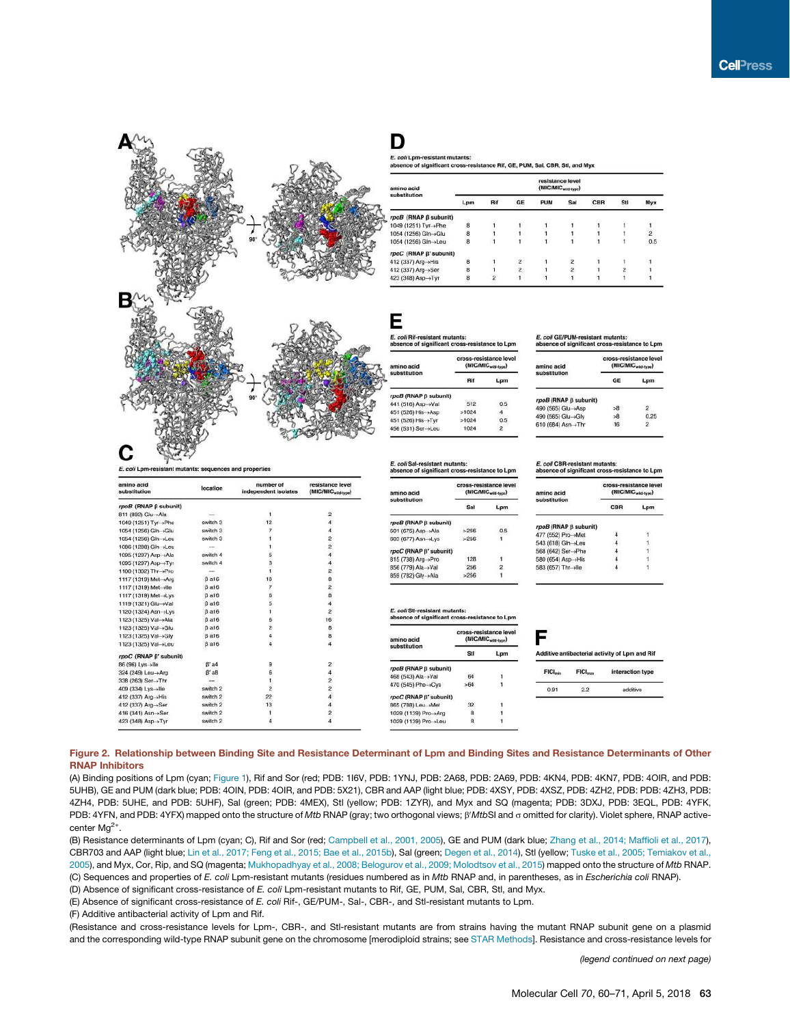

D

E. coli Lpm-resistant mutants: e of significant cross-resistance Rif, GE, PUM, Sal, CBR, Stl, and Myx

| amino acid             |                |     |                | resistance level<br>(MIC/MIC <sub>with type</sub> ) |               |     |     |                |
|------------------------|----------------|-----|----------------|-----------------------------------------------------|---------------|-----|-----|----------------|
| substitution           | Lpm            | Rif | GE             | PUM                                                 | Sal           | CBR | Stl | Myx            |
| rpoB (RNAP ß subunit)  |                |     |                |                                                     |               |     |     |                |
| 1049 (1251) Tyr→Phe    | 8              |     |                |                                                     |               |     |     |                |
| 1054 (1256) Gln -> Glu | 8              |     |                |                                                     |               |     |     | $\overline{2}$ |
| 1054 (1256) Gln->Leu   | 8              |     |                |                                                     |               |     |     | 0.5            |
| rpoC (RNAP ß' subunit) |                |     |                |                                                     |               |     |     |                |
| 412 (337) Arg-+His     | 8              |     | $\mathbf{2}$   |                                                     |               |     |     |                |
| 412 (337) Arg→Ser      | $\overline{8}$ |     | $\overline{c}$ |                                                     | $\frac{2}{2}$ |     |     |                |
| 423 (348) Asp→Tyr      | 8              |     | $\mathbf{1}$   |                                                     |               |     |     |                |
|                        |                |     |                |                                                     |               |     |     |                |

Ε E. coli Rif-resistant mutants of significant cross-resistance to Lom

|  | www.communication.com |  |  |
|--|-----------------------|--|--|

| amino acid<br>substitution |       | (MIC/MIC <sub>wiki-trpe</sub> ) |
|----------------------------|-------|---------------------------------|
|                            | Rif   | Lpm                             |
| rpoB (RNAP ß subunit)      |       |                                 |
| 441 (516) Asp->Val         | 512   | 0.5                             |
| 451 (526) His +Asp         | >1024 |                                 |
| 451 (526) His > Tyr        | >1024 | 0.5                             |
| 456 (531) Ser->Leu         | 1024  | 2                               |
|                            |       |                                 |

E. coli Sal-re absence of significant cross-resis ce to Lpn cross-resistance level CHIC ALL amino acid Sal Lpm rpoB (RNAP β subunit) 601 (675) 603 (677) rpoC (Rt 815 (738) 856 (779 859 (782)

| E. coll CBR-resistant mutants:<br>absence of significant cross-resistance to Lpn |                       |                                 |
|----------------------------------------------------------------------------------|-----------------------|---------------------------------|
| amino acid                                                                       | cross-resistance leve | (MIC/MIC <sub>wild-true</sub> ) |
| substitution                                                                     | CBR                   |                                 |
| rpoB (RNAP B subunit)                                                            |                       |                                 |
| 477 (552) Pro->Met                                                               |                       |                                 |
| 543 (618) Gln-+Leu                                                               |                       |                                 |
| 568 (642) Ser→Phe                                                                |                       |                                 |
| 580 (654) Asp->His                                                               |                       |                                 |
| motors conserves results and the                                                 |                       |                                 |

E. coli GE/PUM-resistant mutants:<br>absence of significant cross-resistance to Lpm

rpoB (RNAP B sub 490 (565) Glu-+Asp

490 (565) Glu->Gly

610 (684) Asn→Thr

cross-resistance level<br>(MIC/MIC<sub>webbon</sub>) GE

 $5-8$ 

 $^{>8}_{16}$ 

Lpm

 $0.25$ 

 $\overline{2}$ 

| åd<br>$\cdots$        | cross-resistance level<br>(MIC/MIC <sub>wild-type</sub> ) |     |                    |
|-----------------------|-----------------------------------------------------------|-----|--------------------|
| I-resistant mutants:  | of significant cross-resistance to Lpm                    |     |                    |
| Gly +Ala              | >256                                                      |     |                    |
| Ala-yVal              | 256                                                       | 2.  | 583 (657) Thr-+lle |
| Arg ->Pro             | 128                                                       |     | 580 (654) Asp->His |
| AP B' subunit)        |                                                           |     | 568 (642) Ser→Phe  |
| Asn->Lys              | >256                                                      | ۱.  | 543 (618) Gin→Leu  |
| $ASD \rightarrow AIB$ | >∠bb                                                      | u.s | 477 (552) Pro→Met  |

Sti

 $>64$ 

32

 $\overline{\mathbf{8}}$ 

| FIGI <sub>min</sub> | FIGI <sub>max</sub> | interaction type |
|---------------------|---------------------|------------------|
| 0.91                | 22                  | additive         |

Figure 2. Relationship between Binding Site and Resistance Determinant of Lpm and Binding Sites and Resistance Determinants of Other RNAP Inhibitors

(A) Binding positions of Lpm (cyan; Figure 1), Rif and Sor (red; PDB: 1I6V, PDB: 1YNJ, PDB: 2A68, PDB: 2A69, PDB: 4KN4, PDB: 4KN7, PDB: 4OIR, and PDB: 5UHB), GE and PUM (dark blue; PDB: 4OIN, PDB: 4OIR, and PDB: 5X21), CBR and AAP (light blue; PDB: 4XSY, PDB: 4XSZ, PDB: 4ZH2, PDB: PDB: 4ZH3, PDB: 4ZH4, PDB: 5UHE, and PDB: 5UHF), Sal (green; PDB: 4MEX), Stl (yellow; PDB: 1ZYR), and Myx and SQ (magenta; PDB: 3DXJ, PDB: 3EQL, PDB: 4YFK, PDB: 4YFN, and PDB: 4YFX) mapped onto the structure of *Mtb* RNAP (gray; two orthogonal views;  $\beta'$ *MtbSI* and  $\sigma$  omitted for clarity). Violet sphere, RNAP activecenter  $Mg^{2+}$ .

E. coli St absence

rpoB (RNAP B subunit)

68 (543) Ala→Va

470 (545) Phe +Cys

 $rpoC$  (RNAP  $\beta'$  sub

865 (788) Leu→Met

1029 (1139) Pro ->Arg

1029 (1139) Pro->Leu

(B) Resistance determinants of Lpm (cyan; C), Rif and Sor (red; Campbell et al., 2001, 2005), GE and PUM (dark blue; Zhang et al., 2014; Maffioli et al., 2017), CBR703 and AAP (light blue; Lin et al., 2017; Feng et al., 2015; Bae et al., 2015b), Sal (green; Degen et al., 2014), Stl (yellow; Tuske et al., 2005; Temiakov et al., 2005), and Myx, Cor, Rip, and SQ (magenta; Mukhopadhyay et al., 2008; Belogurov et al., 2009; Molodtsov et al., 2015) mapped onto the structure of *Mtb* RNAP.

(C) Sequences and properties of *E. coli* Lpm-resistant mutants (residues numbered as in *Mtb* RNAP and, in parentheses, as in *Escherichia coli* RNAP).

(D) Absence of significant cross-resistance of *E. coli* Lpm-resistant mutants to Rif, GE, PUM, Sal, CBR, Stl, and Myx.

(E) Absence of significant cross-resistance of *E. coli* Rif-, GE/PUM-, Sal-, CBR-, and Stl-resistant mutants to Lpm.

(F) Additive antibacterial activity of Lpm and Rif.

E. coli La

423 (348) Asp->Tyr

(Resistance and cross-resistance levels for Lpm-, CBR-, and Stl-resistant mutants are from strains having the mutant RNAP subunit gene on a plasmid and the corresponding wild-type RNAP subunit gene on the chromosome [merodiploid strains; see STAR Methods]. Resistance and cross-resistance levels for

*(legend continued on next page)*

Molecular Cell *70*, 60–71, April 5, 2018 63

amino acid<br>substitutio number of resistance les<br>(MIC/MIC<sub>-maxi</sub> location rpoB (RNAP β subunit) 811 (892) Glu-+Ala  $\overline{2}$ 1049 (1251) Tyr→Phe switch 3 12 1054 (1256) Gln -> Glu switch 3 1054 (1256) Gln-sLeu switch 3 1086 (1288) Gln→Leu switch 4 1095 (1297) Asp->Ala 1095 (1297) Asp→Tyr<br>1100 (1302) Thr→Pro switch 4  $\overline{3}$ 1117 (1319) Met >Arg  $βa16$ 10 1117 (1319) Met->lle<br>1117 (1319) Met->Lys **Ba16**  $\beta$  a 16 1119 (1321) Glu-Val  $B$ a16 1120 (1324) Asn→Lys  $\beta$  a 16 16 1123 (1325) Val→Ala  $\beta$  a16 1123 (1325) Val -> Glu **Ba16**  $\overline{6}$ 1123 (1325) Val→Gly .<br>В а16  $\overline{a}$  $\overline{4}$ 1123 (1325) Val→Leu  $<sub>B</sub>$  a16</sub> rpoC (RNAP β' subu  $\overline{\mathbf{2}}$ 9 86 (96) Lys >lle  $\beta$  a4 324 (249) Leu-+Arg  $B'$  a8  $\ddot{\rm s}$ 338 (263) Ser->Thr 409 (334) Lys +lle switch 2  $\overline{2}$ 412 (337) Arg-+His<br>412 (337) Arg-+Ser switch 2<br>switch 2 99 13 416 (341) Asn->Ser switch 2  $\overline{2}$ 

 $\overline{4}$ 

switch 2

and prope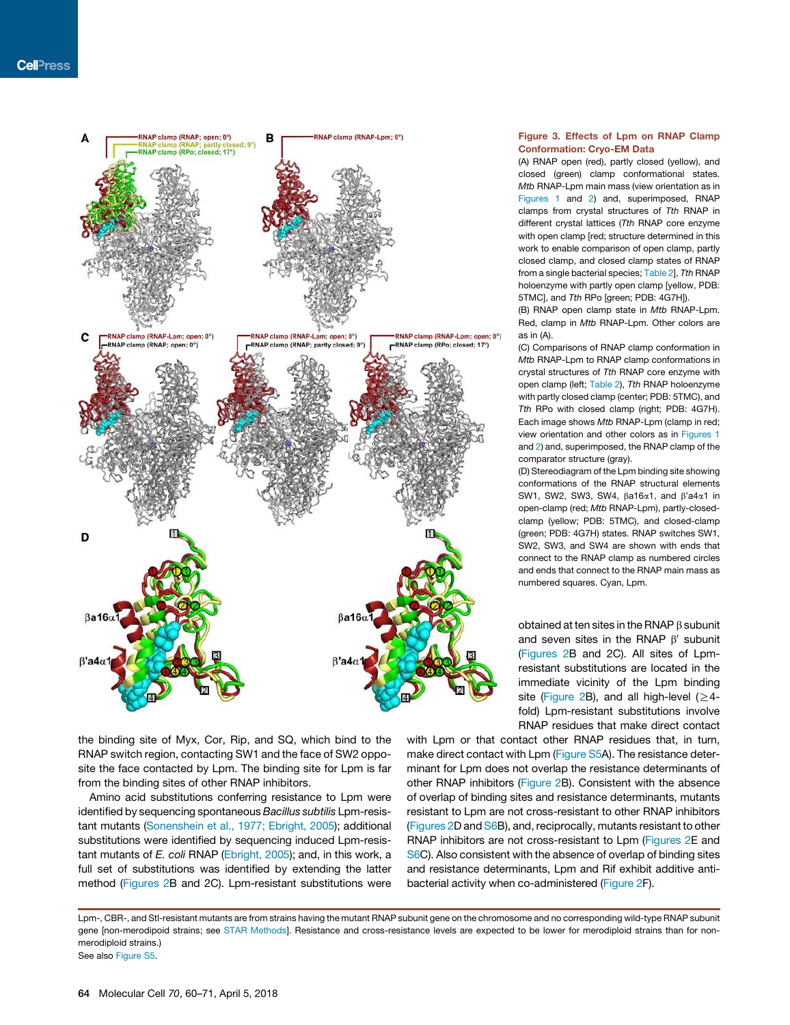

the binding site of Myx, Cor, Rip, and SQ, which bind to the RNAP switch region, contacting SW1 and the face of SW2 opposite the face contacted by Lpm. The binding site for Lpm is far from the binding sites of other RNAP inhibitors.

Amino acid substitutions conferring resistance to Lpm were identified by sequencing spontaneous *Bacillus subtilis* Lpm-resistant mutants (Sonenshein et al., 1977; Ebright, 2005); additional substitutions were identified by sequencing induced Lpm-resistant mutants of *E. coli* RNAP (Ebright, 2005); and, in this work, a full set of substitutions was identified by extending the latter method (Figures 2B and 2C). Lpm-resistant substitutions were

## Figure 3. Effects of Lpm on RNAP Clamp Conformation: Cryo-EM Data

(A) RNAP open (red), partly closed (yellow), and closed (green) clamp conformational states. *Mtb* RNAP-Lpm main mass (view orientation as in Figures 1 and 2) and, superimposed, RNAP clamps from crystal structures of *Tth* RNAP in different crystal lattices (*Tth* RNAP core enzyme with open clamp [red; structure determined in this work to enable comparison of open clamp, partly closed clamp, and closed clamp states of RNAP from a single bacterial species; Table 2], *Tth* RNAP holoenzyme with partly open clamp [yellow, PDB: 5TMC], and *Tth* RPo [green; PDB: 4G7H]).

(B) RNAP open clamp state in *Mtb* RNAP-Lpm. Red, clamp in *Mtb* RNAP-Lpm. Other colors are as in (A).

(C) Comparisons of RNAP clamp conformation in *Mtb* RNAP-Lpm to RNAP clamp conformations in crystal structures of *Tth* RNAP core enzyme with open clamp (left; Table 2), *Tth* RNAP holoenzyme with partly closed clamp (center; PDB: 5TMC), and *Tth* RPo with closed clamp (right; PDB: 4G7H). Each image shows *Mtb* RNAP-Lpm (clamp in red; view orientation and other colors as in Figures 1 and 2) and, superimposed, the RNAP clamp of the comparator structure (gray).

(D) Stereodiagram of the Lpm binding site showing conformations of the RNAP structural elements SW1, SW2, SW3, SW4,  $\beta$ a16 $\alpha$ 1, and  $\beta$ 'a4 $\alpha$ 1 in open-clamp (red; *Mtb* RNAP-Lpm), partly-closedclamp (yellow; PDB: 5TMC), and closed-clamp (green; PDB: 4G7H) states. RNAP switches SW1, SW2, SW3, and SW4 are shown with ends that connect to the RNAP clamp as numbered circles and ends that connect to the RNAP main mass as numbered squares. Cyan, Lpm.

obtained at ten sites in the RNAP  $\beta$  subunit and seven sites in the RNAP  $\beta'$  subunit (Figures 2B and 2C). All sites of Lpmresistant substitutions are located in the immediate vicinity of the Lpm binding site (Figure 2B), and all high-level ( $\geq$ 4fold) Lpm-resistant substitutions involve RNAP residues that make direct contact

with Lpm or that contact other RNAP residues that, in turn, make direct contact with Lpm (Figure S5A). The resistance determinant for Lpm does not overlap the resistance determinants of other RNAP inhibitors (Figure 2B). Consistent with the absence of overlap of binding sites and resistance determinants, mutants resistant to Lpm are not cross-resistant to other RNAP inhibitors (Figures 2D and S6B), and, reciprocally, mutants resistant to other RNAP inhibitors are not cross-resistant to Lpm (Figures 2E and S6C). Also consistent with the absence of overlap of binding sites and resistance determinants, Lpm and Rif exhibit additive antibacterial activity when co-administered (Figure 2F).

Lpm-, CBR-, and Stl-resistant mutants are from strains having the mutant RNAP subunit gene on the chromosome and no corresponding wild-type RNAP subunit gene [non-merodipoid strains; see STAR Methods]. Resistance and cross-resistance levels are expected to be lower for merodiploid strains than for nonmerodiploid strains.) See also Figure S5.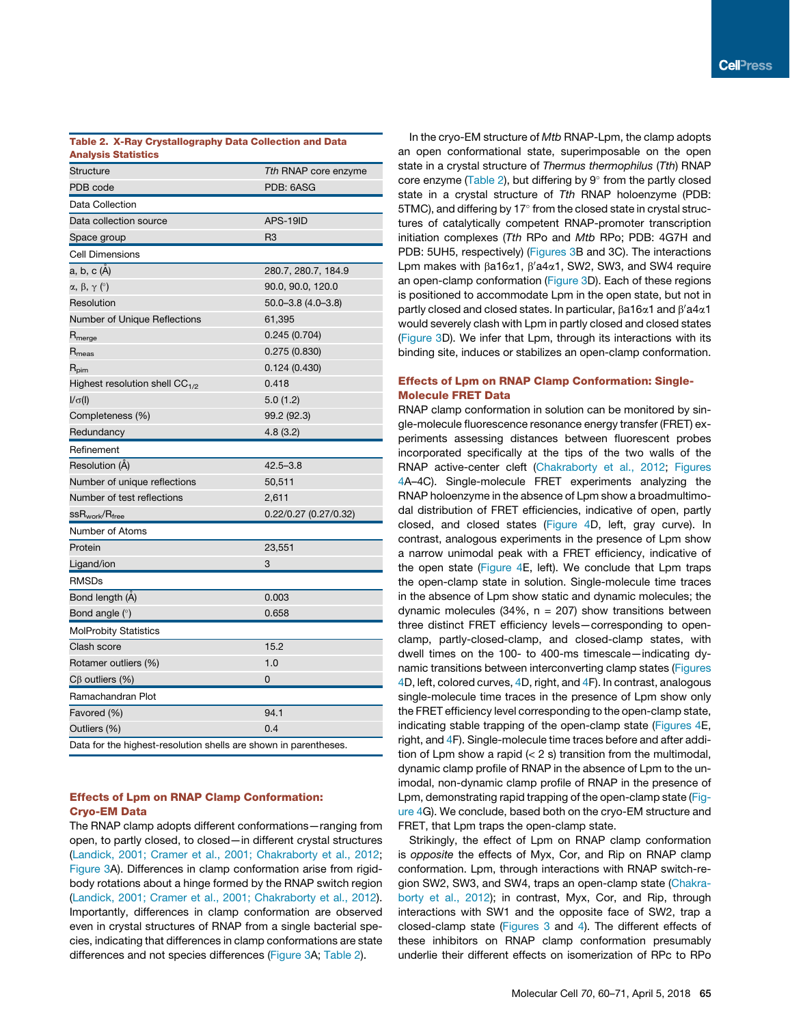## Table 2. X-Ray Crystallography Data Collection and Data Analysis Statistics

| Structure                                                        | Tth RNAP core enzyme     |
|------------------------------------------------------------------|--------------------------|
| PDB code                                                         | PDB: 6ASG                |
| Data Collection                                                  |                          |
| Data collection source                                           | APS-19ID                 |
| Space group                                                      | R <sub>3</sub>           |
| <b>Cell Dimensions</b>                                           |                          |
| a, b, c (Å)                                                      | 280.7, 280.7, 184.9      |
| $\alpha$ , $\beta$ , $\gamma$ ( $\degree$ )                      | 90.0, 90.0, 120.0        |
| Resolution                                                       | $50.0 - 3.8$ (4.0 - 3.8) |
| Number of Unique Reflections                                     | 61,395                   |
| $R_{\text{merge}}$                                               | 0.245 (0.704)            |
| $R_{\rm meas}$                                                   | 0.275(0.830)             |
| $R_{\text{pim}}$                                                 | 0.124(0.430)             |
| Highest resolution shell $CC_{1/2}$                              | 0.418                    |
| $I/\sigma(I)$                                                    | 5.0(1.2)                 |
| Completeness (%)                                                 | 99.2 (92.3)              |
| Redundancy                                                       | 4.8 (3.2)                |
| Refinement                                                       |                          |
| Resolution (A)                                                   | $42.5 - 3.8$             |
| Number of unique reflections                                     | 50,511                   |
| Number of test reflections                                       | 2,611                    |
| ${\rm ssR}_{\rm work}/{\rm R}_{\rm free}$                        | 0.22/0.27 (0.27/0.32)    |
| Number of Atoms                                                  |                          |
| Protein                                                          | 23,551                   |
| Ligand/ion                                                       | 3                        |
| <b>RMSDs</b>                                                     |                          |
| Bond length (A)                                                  | 0.003                    |
| Bond angle $(°)$                                                 | 0.658                    |
| <b>MolProbity Statistics</b>                                     |                          |
| Clash score                                                      | 15.2                     |
| Rotamer outliers (%)                                             | 1.0                      |
| $C\beta$ outliers (%)                                            | 0                        |
| Ramachandran Plot                                                |                          |
| Favored (%)                                                      | 94.1                     |
| Outliers (%)                                                     | 0.4                      |
| Data for the highest-resolution shells are shown in parentheses. |                          |

## Effects of Lpm on RNAP Clamp Conformation: Cryo-EM Data

The RNAP clamp adopts different conformations—ranging from open, to partly closed, to closed—in different crystal structures (Landick, 2001; Cramer et al., 2001; Chakraborty et al., 2012; Figure 3A). Differences in clamp conformation arise from rigidbody rotations about a hinge formed by the RNAP switch region (Landick, 2001; Cramer et al., 2001; Chakraborty et al., 2012). Importantly, differences in clamp conformation are observed even in crystal structures of RNAP from a single bacterial species, indicating that differences in clamp conformations are state differences and not species differences (Figure 3A; Table 2).

In the cryo-EM structure of *Mtb* RNAP-Lpm, the clamp adopts an open conformational state, superimposable on the open state in a crystal structure of *Thermus thermophilus* (*Tth*) RNAP core enzyme (Table 2), but differing by 9° from the partly closed state in a crystal structure of *Tth* RNAP holoenzyme (PDB:  $5TMC$ ), and differing by 17 $^{\circ}$  from the closed state in crystal structures of catalytically competent RNAP-promoter transcription initiation complexes (*Tth* RPo and *Mtb* RPo; PDB: 4G7H and PDB: 5UH5, respectively) (Figures 3B and 3C). The interactions Lpm makes with  $\beta$ a16 $\alpha$ 1,  $\beta'$ a4 $\alpha$ 1, SW2, SW3, and SW4 require an open-clamp conformation (Figure 3D). Each of these regions is positioned to accommodate Lpm in the open state, but not in partly closed and closed states. In particular,  $\beta$ a16 $\alpha$ 1 and  $\beta'$ a4 $\alpha$ 1 would severely clash with Lpm in partly closed and closed states (Figure 3D). We infer that Lpm, through its interactions with its binding site, induces or stabilizes an open-clamp conformation.

## Effects of Lpm on RNAP Clamp Conformation: Single-Molecule FRET Data

RNAP clamp conformation in solution can be monitored by single-molecule fluorescence resonance energy transfer (FRET) experiments assessing distances between fluorescent probes incorporated specifically at the tips of the two walls of the RNAP active-center cleft (Chakraborty et al., 2012; Figures 4A–4C). Single-molecule FRET experiments analyzing the RNAP holoenzyme in the absence of Lpm show a broadmultimodal distribution of FRET efficiencies, indicative of open, partly closed, and closed states (Figure 4D, left, gray curve). In contrast, analogous experiments in the presence of Lpm show a narrow unimodal peak with a FRET efficiency, indicative of the open state (Figure 4E, left). We conclude that Lpm traps the open-clamp state in solution. Single-molecule time traces in the absence of Lpm show static and dynamic molecules; the dynamic molecules  $(34\%, n = 207)$  show transitions between three distinct FRET efficiency levels—corresponding to openclamp, partly-closed-clamp, and closed-clamp states, with dwell times on the 100- to 400-ms timescale—indicating dynamic transitions between interconverting clamp states (Figures 4D, left, colored curves, 4D, right, and 4F). In contrast, analogous single-molecule time traces in the presence of Lpm show only the FRET efficiency level corresponding to the open-clamp state, indicating stable trapping of the open-clamp state (Figures 4E, right, and 4F). Single-molecule time traces before and after addition of Lpm show a rapid (< 2 s) transition from the multimodal, dynamic clamp profile of RNAP in the absence of Lpm to the unimodal, non-dynamic clamp profile of RNAP in the presence of Lpm, demonstrating rapid trapping of the open-clamp state (Figure 4G). We conclude, based both on the cryo-EM structure and FRET, that Lpm traps the open-clamp state.

Strikingly, the effect of Lpm on RNAP clamp conformation is *opposite* the effects of Myx, Cor, and Rip on RNAP clamp conformation. Lpm, through interactions with RNAP switch-region SW2, SW3, and SW4, traps an open-clamp state (Chakraborty et al., 2012); in contrast, Myx, Cor, and Rip, through interactions with SW1 and the opposite face of SW2, trap a closed-clamp state (Figures 3 and 4). The different effects of these inhibitors on RNAP clamp conformation presumably underlie their different effects on isomerization of RPc to RPo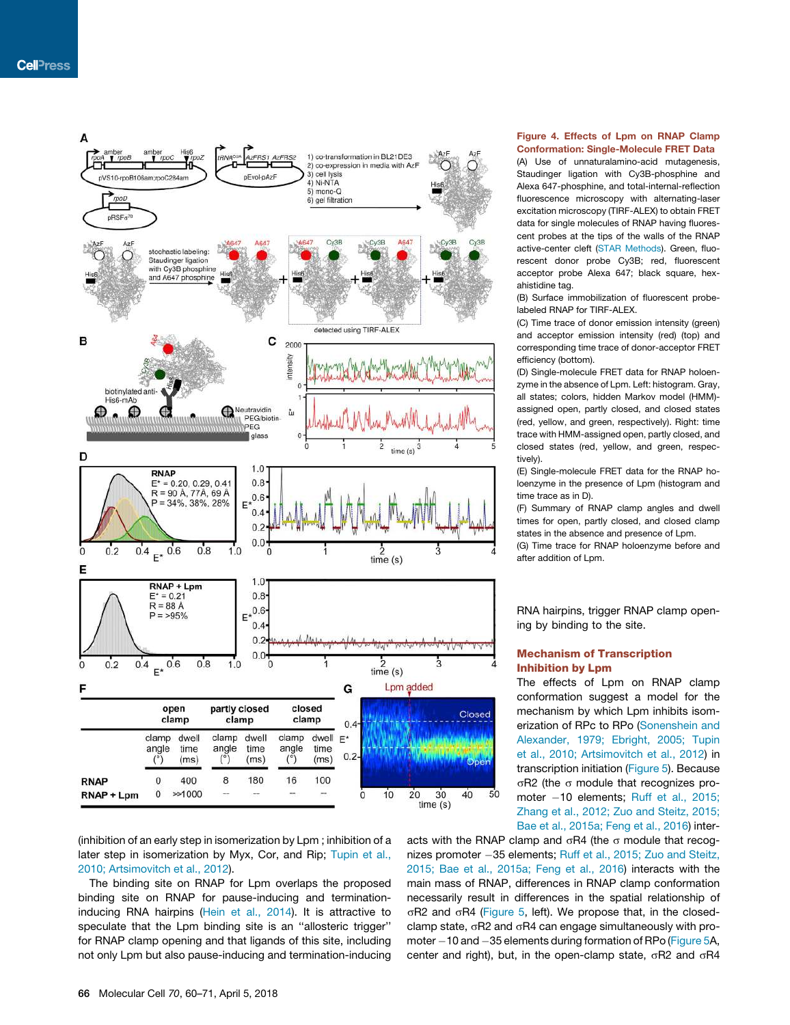

(inhibition of an early step in isomerization by Lpm ; inhibition of a later step in isomerization by Myx, Cor, and Rip; Tupin et al., 2010; Artsimovitch et al., 2012).

The binding site on RNAP for Lpm overlaps the proposed binding site on RNAP for pause-inducing and terminationinducing RNA hairpins (Hein et al., 2014). It is attractive to speculate that the Lpm binding site is an ''allosteric trigger'' for RNAP clamp opening and that ligands of this site, including not only Lpm but also pause-inducing and termination-inducing Figure 4. Effects of Lpm on RNAP Clamp Conformation: Single-Molecule FRET Data

(A) Use of unnaturalamino-acid mutagenesis, Staudinger ligation with Cy3B-phosphine and Alexa 647-phosphine, and total-internal-reflection fluorescence microscopy with alternating-laser excitation microscopy (TIRF-ALEX) to obtain FRET data for single molecules of RNAP having fluorescent probes at the tips of the walls of the RNAP active-center cleft (STAR Methods). Green, fluorescent donor probe Cy3B; red, fluorescent acceptor probe Alexa 647; black square, hexahistidine tag.

(B) Surface immobilization of fluorescent probelabeled RNAP for TIRF-ALEX.

(C) Time trace of donor emission intensity (green) and acceptor emission intensity (red) (top) and corresponding time trace of donor-acceptor FRET efficiency (bottom).

(D) Single-molecule FRET data for RNAP holoenzyme in the absence of Lpm. Left: histogram. Gray, all states; colors, hidden Markov model (HMM) assigned open, partly closed, and closed states (red, yellow, and green, respectively). Right: time trace with HMM-assigned open, partly closed, and closed states (red, yellow, and green, respectively).

(E) Single-molecule FRET data for the RNAP holoenzyme in the presence of Lpm (histogram and time trace as in D).

(F) Summary of RNAP clamp angles and dwell times for open, partly closed, and closed clamp states in the absence and presence of Lpm.

(G) Time trace for RNAP holoenzyme before and after addition of Lpm.

RNA hairpins, trigger RNAP clamp opening by binding to the site.

## Mechanism of Transcription Inhibition by Lpm

The effects of Lpm on RNAP clamp conformation suggest a model for the mechanism by which Lpm inhibits isomerization of RPc to RPo (Sonenshein and Alexander, 1979; Ebright, 2005; Tupin et al., 2010; Artsimovitch et al., 2012) in transcription initiation (Figure 5). Because  $\sigma$ R2 (the  $\sigma$  module that recognizes promoter -10 elements; Ruff et al., 2015; Zhang et al., 2012; Zuo and Steitz, 2015; Bae et al., 2015a; Feng et al., 2016) inter-

acts with the RNAP clamp and  $\sigma$ R4 (the  $\sigma$  module that recognizes promoter 35 elements; Ruff et al., 2015; Zuo and Steitz, 2015; Bae et al., 2015a; Feng et al., 2016) interacts with the main mass of RNAP, differences in RNAP clamp conformation necessarily result in differences in the spatial relationship of  $\sigma$ R2 and  $\sigma$ R4 (Figure 5, left). We propose that, in the closedclamp state,  $\sigma$ R2 and  $\sigma$ R4 can engage simultaneously with promoter  $-10$  and  $-35$  elements during formation of RPo (Figure 5A, center and right), but, in the open-clamp state,  $\sigma$ R2 and  $\sigma$ R4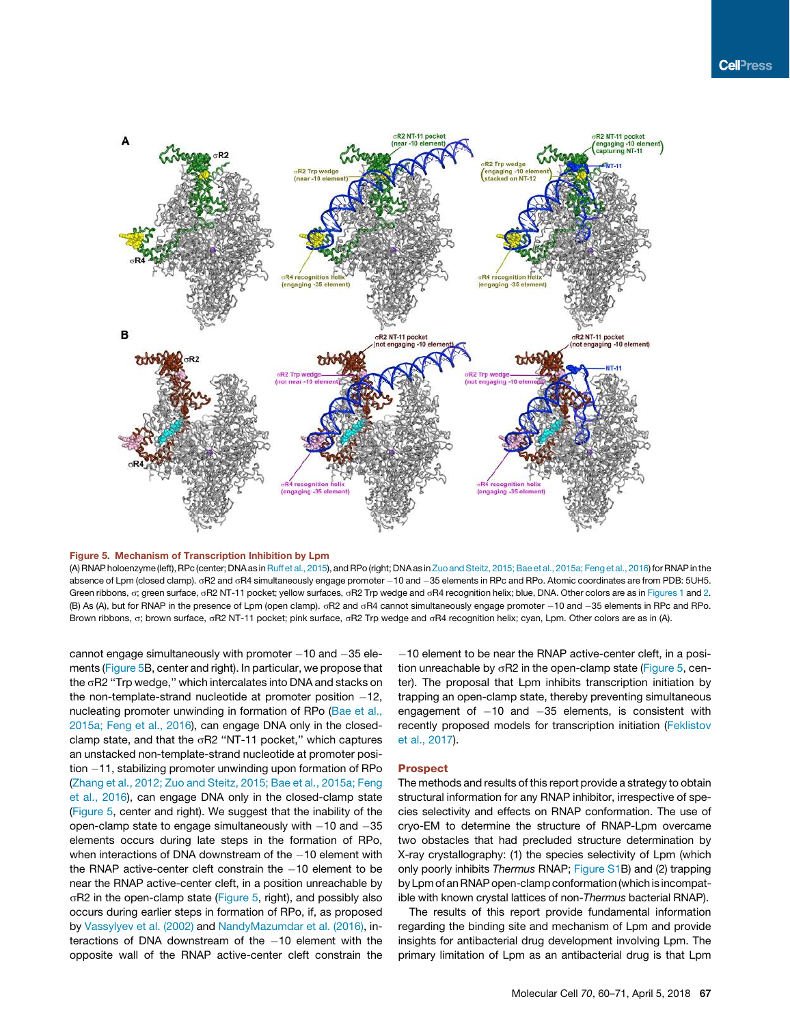

#### Figure 5. Mechanism of Transcription Inhibition by Lpm

(A) RNAP holoenzyme (left), RPc (center; DNA as in Ruff et al., 2015), and RPo (right; DNA as in Zuo and Steitz, 2015; Bae et al., 2015a; Feng et al., 2016) for RNAP in the absence of Lpm (closed clamp).  $\sigma$ R2 and  $\sigma$ R4 simultaneously engage promoter  $-10$  and  $-35$  elements in RPc and RPo. Atomic coordinates are from PDB: 5UH5. Green ribbons, o; green surface, oR2 NT-11 pocket; yellow surfaces, oR2 Trp wedge and oR4 recognition helix; blue, DNA. Other colors are as in Figures 1 and 2. (B) As (A), but for RNAP in the presence of Lpm (open clamp).  $\sigma$ R2 and  $\sigma$ R4 cannot simultaneously engage promoter -10 and -35 elements in RPc and RPo. Brown ribbons, o; brown surface, oR2 NT-11 pocket; pink surface, oR2 Trp wedge and oR4 recognition helix; cyan, Lpm. Other colors are as in (A).

cannot engage simultaneously with promoter  $-10$  and  $-35$  elements (Figure 5B, center and right). In particular, we propose that the  $\sigma$ R2 "Trp wedge," which intercalates into DNA and stacks on the non-template-strand nucleotide at promoter position  $-12$ , nucleating promoter unwinding in formation of RPo (Bae et al., 2015a; Feng et al., 2016), can engage DNA only in the closedclamp state, and that the  $\sigma$ R2 "NT-11 pocket," which captures an unstacked non-template-strand nucleotide at promoter position  $-11$ , stabilizing promoter unwinding upon formation of RPo (Zhang et al., 2012; Zuo and Steitz, 2015; Bae et al., 2015a; Feng et al., 2016), can engage DNA only in the closed-clamp state (Figure 5, center and right). We suggest that the inability of the open-clamp state to engage simultaneously with  $-10$  and  $-35$ elements occurs during late steps in the formation of RPo, when interactions of DNA downstream of the  $-10$  element with the RNAP active-center cleft constrain the  $-10$  element to be near the RNAP active-center cleft, in a position unreachable by  $\sigma$ R2 in the open-clamp state (Figure 5, right), and possibly also occurs during earlier steps in formation of RPo, if, as proposed by Vassylyev et al. (2002) and NandyMazumdar et al. (2016), interactions of DNA downstream of the  $-10$  element with the opposite wall of the RNAP active-center cleft constrain the

10 element to be near the RNAP active-center cleft, in a position unreachable by  $\sigma$ R2 in the open-clamp state (Figure 5, center). The proposal that Lpm inhibits transcription initiation by trapping an open-clamp state, thereby preventing simultaneous engagement of  $-10$  and  $-35$  elements, is consistent with recently proposed models for transcription initiation (Feklistov et al., 2017).

## Prospect

The methods and results of this report provide a strategy to obtain structural information for any RNAP inhibitor, irrespective of species selectivity and effects on RNAP conformation. The use of cryo-EM to determine the structure of RNAP-Lpm overcame two obstacles that had precluded structure determination by X-ray crystallography: (1) the species selectivity of Lpm (which only poorly inhibits *Thermus* RNAP; Figure S1B) and (2) trapping by Lpm of an RNAP open-clamp conformation (which is incompatible with known crystal lattices of non-*Thermus* bacterial RNAP).

The results of this report provide fundamental information regarding the binding site and mechanism of Lpm and provide insights for antibacterial drug development involving Lpm. The primary limitation of Lpm as an antibacterial drug is that Lpm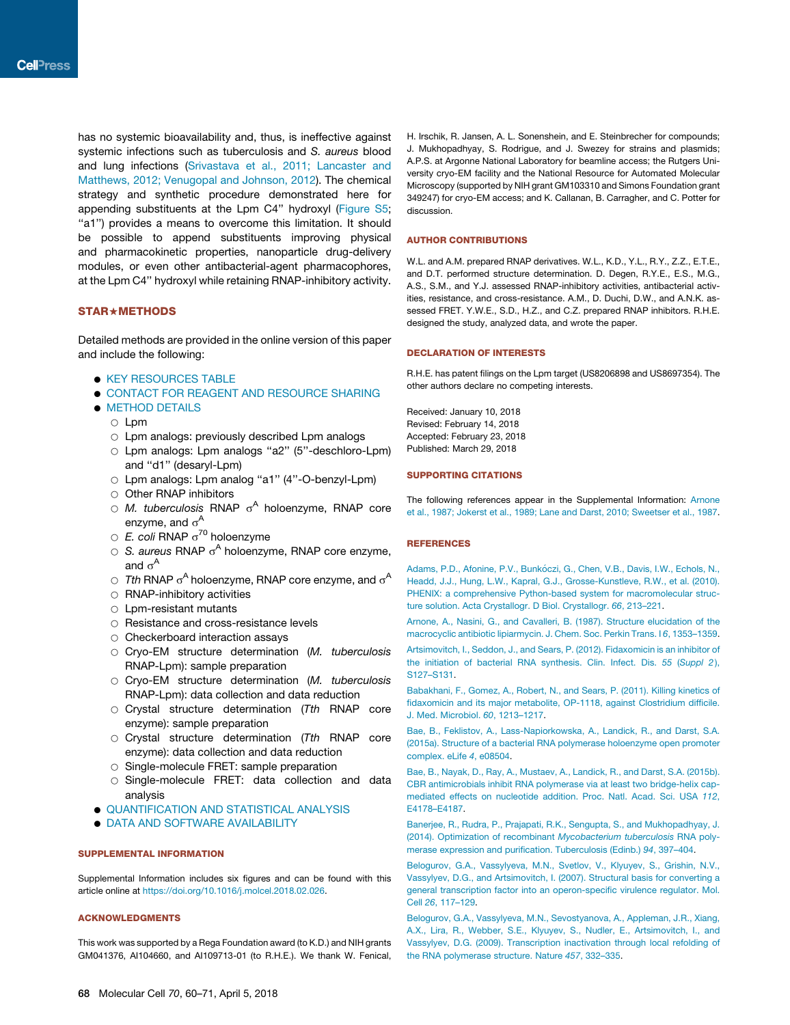has no systemic bioavailability and, thus, is ineffective against systemic infections such as tuberculosis and *S. aureus* blood and lung infections (Srivastava et al., 2011; Lancaster and Matthews, 2012; Venugopal and Johnson, 2012). The chemical strategy and synthetic procedure demonstrated here for appending substituents at the Lpm C4'' hydroxyl (Figure S5; "a1") provides a means to overcome this limitation. It should be possible to append substituents improving physical and pharmacokinetic properties, nanoparticle drug-delivery modules, or even other antibacterial-agent pharmacophores, at the Lpm C4'' hydroxyl while retaining RNAP-inhibitory activity.

## STAR+METHODS

Detailed methods are provided in the online version of this paper and include the following:

- **KEY RESOURCES TABLE**
- **. CONTACT FOR REAGENT AND RESOURCE SHARING**
- **METHOD DETAILS** 
	- $\circ$  Lpm
	- $\circ$  Lpm analogs: previously described Lpm analogs
	- Lpm analogs: Lpm analogs "a2" (5"-deschloro-Lpm) and ''d1'' (desaryl-Lpm)
	- O Lpm analogs: Lpm analog "a1" (4"-O-benzyl-Lpm)
	- $\circ$  Other RNAP inhibitors
	- $\circ$  *M. tuberculosis* RNAP  $\sigma$ <sup>A</sup> holoenzyme, RNAP core enzyme, and  $\sigma^{\mathsf{A}}$
	- $\circ$  *E. coli* RNAP  $\sigma^{70}$  holoenzyme
	- O S. aureus RNAP o<sup>A</sup> holoenzyme, RNAP core enzyme, and  $\sigma^{\mathsf{A}}$
	- $\circ$  Tth RNAP  $\sigma^A$  holoenzyme, RNAP core enzyme, and  $\sigma^A$
	- $\circ$  RNAP-inhibitory activities
	- $\circ$  Lpm-resistant mutants
	- $\circ$  Resistance and cross-resistance levels
	- $\circ$  Checkerboard interaction assays
	- B Cryo-EM structure determination (*M. tuberculosis* RNAP-Lpm): sample preparation
	- B Cryo-EM structure determination (*M. tuberculosis* RNAP-Lpm): data collection and data reduction
	- B Crystal structure determination (*Tth* RNAP core enzyme): sample preparation
	- B Crystal structure determination (*Tth* RNAP core enzyme): data collection and data reduction
	- $\circ$  Single-molecule FRET: sample preparation
	- $\circ$  Single-molecule FRET: data collection and data analysis
- **. QUANTIFICATION AND STATISTICAL ANALYSIS**
- **. DATA AND SOFTWARE AVAILABILITY**

## SUPPLEMENTAL INFORMATION

Supplemental Information includes six figures and can be found with this article online at https://doi.org/10.1016/j.molcel.2018.02.026.

## ACKNOWLEDGMENTS

This work was supported by a Rega Foundation award (to K.D.) and NIH grants GM041376, AI104660, and AI109713-01 (to R.H.E.). We thank W. Fenical, H. Irschik, R. Jansen, A. L. Sonenshein, and E. Steinbrecher for compounds; J. Mukhopadhyay, S. Rodrigue, and J. Swezey for strains and plasmids; A.P.S. at Argonne National Laboratory for beamline access; the Rutgers University cryo-EM facility and the National Resource for Automated Molecular Microscopy (supported by NIH grant GM103310 and Simons Foundation grant 349247) for cryo-EM access; and K. Callanan, B. Carragher, and C. Potter for discussion.

## AUTHOR CONTRIBUTIONS

W.L. and A.M. prepared RNAP derivatives. W.L., K.D., Y.L., R.Y., Z.Z., E.T.E., and D.T. performed structure determination. D. Degen, R.Y.E., E.S., M.G., A.S., S.M., and Y.J. assessed RNAP-inhibitory activities, antibacterial activities, resistance, and cross-resistance. A.M., D. Duchi, D.W., and A.N.K. assessed FRET. Y.W.E., S.D., H.Z., and C.Z. prepared RNAP inhibitors. R.H.E. designed the study, analyzed data, and wrote the paper.

#### DECLARATION OF INTERESTS

R.H.E. has patent filings on the Lpm target (US8206898 and US8697354). The other authors declare no competing interests.

Received: January 10, 2018 Revised: February 14, 2018 Accepted: February 23, 2018 Published: March 29, 2018

## SUPPORTING CITATIONS

The following references appear in the Supplemental Information: Arnone et al., 1987; Jokerst et al., 1989; Lane and Darst, 2010; Sweetser et al., 1987.

## **REFERENCES**

Adams, P.D., Afonine, P.V., Bunkóczi, G., Chen, V.B., Davis, I.W., Echols, N., Headd, J.J., Hung, L.W., Kapral, G.J., Grosse-Kunstleve, R.W., et al. (2010). PHENIX: a comprehensive Python-based system for macromolecular structure solution. Acta Crystallogr. D Biol. Crystallogr. *66*, 213–221.

Arnone, A., Nasini, G., and Cavalleri, B. (1987). Structure elucidation of the macrocyclic antibiotic lipiarmycin. J. Chem. Soc. Perkin Trans. I *6*, 1353–1359.

Artsimovitch, I., Seddon, J., and Sears, P. (2012). Fidaxomicin is an inhibitor of the initiation of bacterial RNA synthesis. Clin. Infect. Dis. *55* (*Suppl 2* ), S127–S131.

Babakhani, F., Gomez, A., Robert, N., and Sears, P. (2011). Killing kinetics of fidaxomicin and its major metabolite, OP-1118, against Clostridium difficile. J. Med. Microbiol. *60*, 1213–1217.

Bae, B., Feklistov, A., Lass-Napiorkowska, A., Landick, R., and Darst, S.A. (2015a). Structure of a bacterial RNA polymerase holoenzyme open promoter complex. eLife *4*, e08504.

Bae, B., Nayak, D., Ray, A., Mustaev, A., Landick, R., and Darst, S.A. (2015b). CBR antimicrobials inhibit RNA polymerase via at least two bridge-helix capmediated effects on nucleotide addition. Proc. Natl. Acad. Sci. USA *112*, E4178–E4187.

Banerjee, R., Rudra, P., Prajapati, R.K., Sengupta, S., and Mukhopadhyay, J. (2014). Optimization of recombinant *Mycobacterium tuberculosis* RNA polymerase expression and purification. Tuberculosis (Edinb.) *94*, 397–404.

Belogurov, G.A., Vassylyeva, M.N., Svetlov, V., Klyuyev, S., Grishin, N.V., Vassylyev, D.G., and Artsimovitch, I. (2007). Structural basis for converting a general transcription factor into an operon-specific virulence regulator. Mol. Cell *26*, 117–129.

Belogurov, G.A., Vassylyeva, M.N., Sevostyanova, A., Appleman, J.R., Xiang, A.X., Lira, R., Webber, S.E., Klyuyev, S., Nudler, E., Artsimovitch, I., and Vassylyev, D.G. (2009). Transcription inactivation through local refolding of the RNA polymerase structure. Nature *457*, 332–335.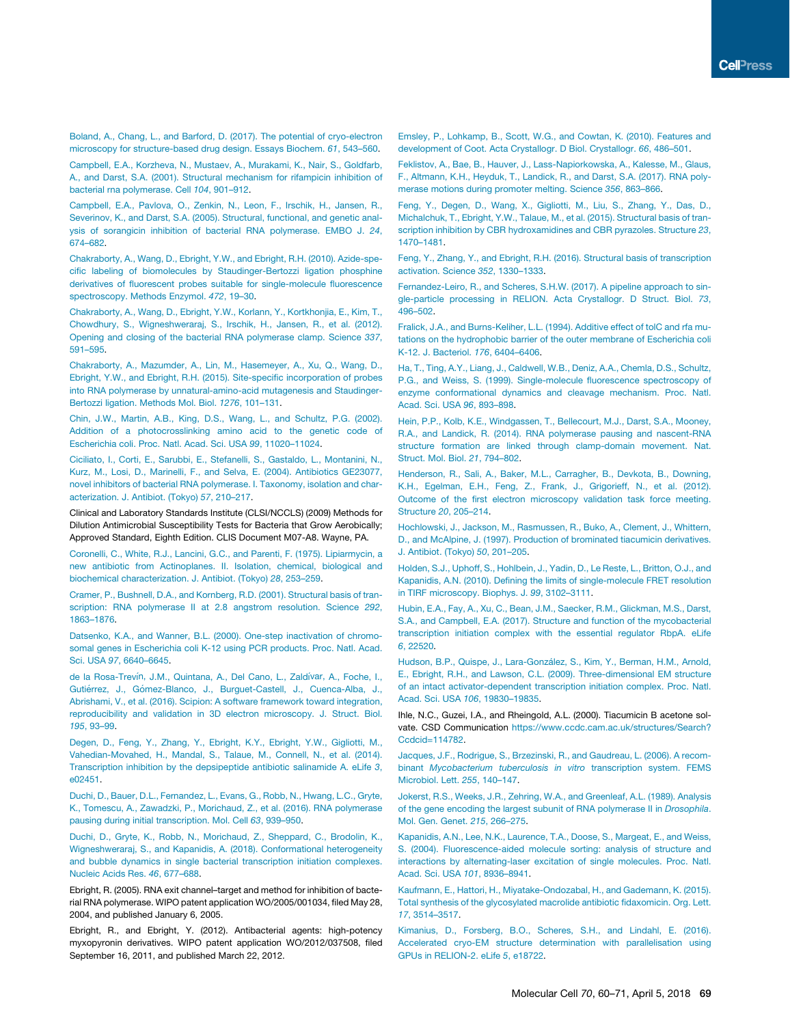Boland, A., Chang, L., and Barford, D. (2017). The potential of cryo-electron microscopy for structure-based drug design. Essays Biochem. *61*, 543–560.

Campbell, E.A., Korzheva, N., Mustaev, A., Murakami, K., Nair, S., Goldfarb, A., and Darst, S.A. (2001). Structural mechanism for rifampicin inhibition of bacterial rna polymerase. Cell *104*, 901–912.

Campbell, E.A., Pavlova, O., Zenkin, N., Leon, F., Irschik, H., Jansen, R., Severinov, K., and Darst, S.A. (2005). Structural, functional, and genetic analysis of sorangicin inhibition of bacterial RNA polymerase. EMBO J. *24*, 674–682.

Chakraborty, A., Wang, D., Ebright, Y.W., and Ebright, R.H. (2010). Azide-specific labeling of biomolecules by Staudinger-Bertozzi ligation phosphine derivatives of fluorescent probes suitable for single-molecule fluorescence spectroscopy. Methods Enzymol. *472*, 19–30.

Chakraborty, A., Wang, D., Ebright, Y.W., Korlann, Y., Kortkhonjia, E., Kim, T., Chowdhury, S., Wigneshweraraj, S., Irschik, H., Jansen, R., et al. (2012). Opening and closing of the bacterial RNA polymerase clamp. Science *337*, 591–595.

Chakraborty, A., Mazumder, A., Lin, M., Hasemeyer, A., Xu, Q., Wang, D., Ebright, Y.W., and Ebright, R.H. (2015). Site-specific incorporation of probes into RNA polymerase by unnatural-amino-acid mutagenesis and Staudinger-Bertozzi ligation. Methods Mol. Biol. *1276*, 101–131.

Chin, J.W., Martin, A.B., King, D.S., Wang, L., and Schultz, P.G. (2002). Addition of a photocrosslinking amino acid to the genetic code of Escherichia coli. Proc. Natl. Acad. Sci. USA *99*, 11020–11024.

Ciciliato, I., Corti, E., Sarubbi, E., Stefanelli, S., Gastaldo, L., Montanini, N., Kurz, M., Losi, D., Marinelli, F., and Selva, E. (2004). Antibiotics GE23077, novel inhibitors of bacterial RNA polymerase. I. Taxonomy, isolation and characterization. J. Antibiot. (Tokyo) *57*, 210–217.

Clinical and Laboratory Standards Institute (CLSI/NCCLS) (2009) Methods for Dilution Antimicrobial Susceptibility Tests for Bacteria that Grow Aerobically; Approved Standard, Eighth Edition. CLIS Document M07-A8. Wayne, PA.

Coronelli, C., White, R.J., Lancini, G.C., and Parenti, F. (1975). Lipiarmycin, a new antibiotic from Actinoplanes. II. Isolation, chemical, biological and biochemical characterization. J. Antibiot. (Tokyo) *28*, 253–259.

Cramer, P., Bushnell, D.A., and Kornberg, R.D. (2001). Structural basis of transcription: RNA polymerase II at 2.8 angstrom resolution. Science *292*, 1863–1876.

Datsenko, K.A., and Wanner, B.L. (2000). One-step inactivation of chromosomal genes in Escherichia coli K-12 using PCR products. Proc. Natl. Acad. Sci. USA *97*, 6640–6645.

de la Rosa-Trevín, J.M., Quintana, A., Del Cano, L., Zaldívar, A., Foche, I., Gutiérrez, J., Gómez-Blanco, J., Burguet-Castell, J., Cuenca-Alba, J., Abrishami, V., et al. (2016). Scipion: A software framework toward integration, reproducibility and validation in 3D electron microscopy. J. Struct. Biol. *195*, 93–99.

Degen, D., Feng, Y., Zhang, Y., Ebright, K.Y., Ebright, Y.W., Gigliotti, M., Vahedian-Movahed, H., Mandal, S., Talaue, M., Connell, N., et al. (2014). Transcription inhibition by the depsipeptide antibiotic salinamide A. eLife *3*, e02451.

Duchi, D., Bauer, D.L., Fernandez, L., Evans, G., Robb, N., Hwang, L.C., Gryte, K., Tomescu, A., Zawadzki, P., Morichaud, Z., et al. (2016). RNA polymerase pausing during initial transcription. Mol. Cell *63*, 939–950.

Duchi, D., Gryte, K., Robb, N., Morichaud, Z., Sheppard, C., Brodolin, K., Wigneshweraraj, S., and Kapanidis, A. (2018). Conformational heterogeneity and bubble dynamics in single bacterial transcription initiation complexes. Nucleic Acids Res. *46*, 677–688.

Ebright, R. (2005). RNA exit channel–target and method for inhibition of bacterial RNA polymerase. WIPO patent application WO/2005/001034, filed May 28, 2004, and published January 6, 2005.

Ebright, R., and Ebright, Y. (2012). Antibacterial agents: high-potency myxopyronin derivatives. WIPO patent application WO/2012/037508, filed September 16, 2011, and published March 22, 2012.

Emsley, P., Lohkamp, B., Scott, W.G., and Cowtan, K. (2010). Features and development of Coot. Acta Crystallogr. D Biol. Crystallogr. *66*, 486–501.

Feklistov, A., Bae, B., Hauver, J., Lass-Napiorkowska, A., Kalesse, M., Glaus, F., Altmann, K.H., Heyduk, T., Landick, R., and Darst, S.A. (2017). RNA polymerase motions during promoter melting. Science *356*, 863–866.

Feng, Y., Degen, D., Wang, X., Gigliotti, M., Liu, S., Zhang, Y., Das, D., Michalchuk, T., Ebright, Y.W., Talaue, M., et al. (2015). Structural basis of transcription inhibition by CBR hydroxamidines and CBR pyrazoles. Structure *23*, 1470–1481.

Feng, Y., Zhang, Y., and Ebright, R.H. (2016). Structural basis of transcription activation. Science *352*, 1330–1333.

Fernandez-Leiro, R., and Scheres, S.H.W. (2017). A pipeline approach to single-particle processing in RELION. Acta Crystallogr. D Struct. Biol. *73*, 496–502.

Fralick, J.A., and Burns-Keliher, L.L. (1994). Additive effect of tolC and rfa mutations on the hydrophobic barrier of the outer membrane of Escherichia coli K-12. J. Bacteriol. *176*, 6404–6406.

Ha, T., Ting, A.Y., Liang, J., Caldwell, W.B., Deniz, A.A., Chemla, D.S., Schultz, P.G., and Weiss, S. (1999). Single-molecule fluorescence spectroscopy of enzyme conformational dynamics and cleavage mechanism. Proc. Natl. Acad. Sci. USA *96*, 893–898.

Hein, P.P., Kolb, K.E., Windgassen, T., Bellecourt, M.J., Darst, S.A., Mooney, R.A., and Landick, R. (2014). RNA polymerase pausing and nascent-RNA structure formation are linked through clamp-domain movement. Nat. Struct. Mol. Biol. *21*, 794–802.

Henderson, R., Sali, A., Baker, M.L., Carragher, B., Devkota, B., Downing, K.H., Egelman, E.H., Feng, Z., Frank, J., Grigorieff, N., et al. (2012). Outcome of the first electron microscopy validation task force meeting. Structure *20*, 205–214.

Hochlowski, J., Jackson, M., Rasmussen, R., Buko, A., Clement, J., Whittern, D., and McAlpine, J. (1997). Production of brominated tiacumicin derivatives. J. Antibiot. (Tokyo) *50*, 201–205.

Holden, S.J., Uphoff, S., Hohlbein, J., Yadin, D., Le Reste, L., Britton, O.J., and Kapanidis, A.N. (2010). Defining the limits of single-molecule FRET resolution in TIRF microscopy. Biophys. J. *99*, 3102–3111.

Hubin, E.A., Fay, A., Xu, C., Bean, J.M., Saecker, R.M., Glickman, M.S., Darst, S.A., and Campbell, E.A. (2017). Structure and function of the mycobacterial transcription initiation complex with the essential regulator RbpA. eLife *6*, 22520.

Hudson, B.P., Quispe, J., Lara-González, S., Kim, Y., Berman, H.M., Arnold, E., Ebright, R.H., and Lawson, C.L. (2009). Three-dimensional EM structure of an intact activator-dependent transcription initiation complex. Proc. Natl. Acad. Sci. USA *106*, 19830–19835.

Ihle, N.C., Guzei, I.A., and Rheingold, A.L. (2000). Tiacumicin B acetone solvate. CSD Communication https://www.ccdc.cam.ac.uk/structures/Search? Ccdcid=114782.

Jacques, J.F., Rodrigue, S., Brzezinski, R., and Gaudreau, L. (2006). A recombinant *Mycobacterium tuberculosis in vitro* transcription system. FEMS Microbiol. Lett. *255*, 140–147.

Jokerst, R.S., Weeks, J.R., Zehring, W.A., and Greenleaf, A.L. (1989). Analysis of the gene encoding the largest subunit of RNA polymerase II in *Drosophila*. Mol. Gen. Genet. *215*, 266–275.

Kapanidis, A.N., Lee, N.K., Laurence, T.A., Doose, S., Margeat, E., and Weiss, S. (2004). Fluorescence-aided molecule sorting: analysis of structure and interactions by alternating-laser excitation of single molecules. Proc. Natl. Acad. Sci. USA *101*, 8936–8941.

Kaufmann, E., Hattori, H., Miyatake-Ondozabal, H., and Gademann, K. (2015). Total synthesis of the glycosylated macrolide antibiotic fidaxomicin. Org. Lett. *17*, 3514–3517.

Kimanius, D., Forsberg, B.O., Scheres, S.H., and Lindahl, E. (2016). Accelerated cryo-EM structure determination with parallelisation using GPUs in RELION-2. eLife *5*, e18722.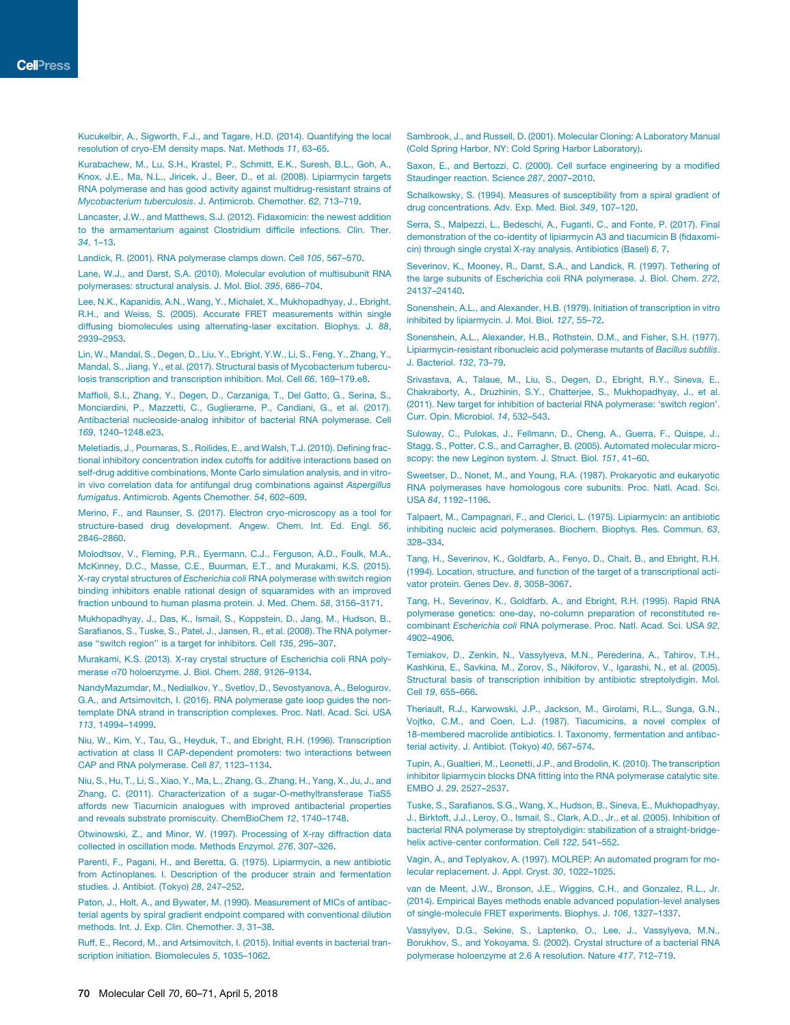Kucukelbir, A., Sigworth, F.J., and Tagare, H.D. (2014). Quantifying the local resolution of cryo-EM density maps. Nat. Methods *11*, 63–65.

Kurabachew, M., Lu, S.H., Krastel, P., Schmitt, E.K., Suresh, B.L., Goh, A., Knox, J.E., Ma, N.L., Jiricek, J., Beer, D., et al. (2008). Lipiarmycin targets RNA polymerase and has good activity against multidrug-resistant strains of *Mycobacterium tuberculosis*. J. Antimicrob. Chemother. *62*, 713–719.

Lancaster, J.W., and Matthews, S.J. (2012). Fidaxomicin: the newest addition to the armamentarium against Clostridium difficile infections. Clin. Ther. *34*, 1–13.

Landick, R. (2001). RNA polymerase clamps down. Cell *105*, 567–570.

Lane, W.J., and Darst, S.A. (2010). Molecular evolution of multisubunit RNA polymerases: structural analysis. J. Mol. Biol. *395*, 686–704.

Lee, N.K., Kapanidis, A.N., Wang, Y., Michalet, X., Mukhopadhyay, J., Ebright, R.H., and Weiss, S. (2005). Accurate FRET measurements within single diffusing biomolecules using alternating-laser excitation. Biophys. J. *88*, 2939–2953.

Lin, W., Mandal, S., Degen, D., Liu, Y., Ebright, Y.W., Li, S., Feng, Y., Zhang, Y., Mandal, S., Jiang, Y., et al. (2017). Structural basis of Mycobacterium tuberculosis transcription and transcription inhibition. Mol. Cell *66*, 169–179.e8.

Maffioli, S.I., Zhang, Y., Degen, D., Carzaniga, T., Del Gatto, G., Serina, S., Monciardini, P., Mazzetti, C., Guglierame, P., Candiani, G., et al. (2017). Antibacterial nucleoside-analog inhibitor of bacterial RNA polymerase. Cell *169*, 1240–1248.e23.

Meletiadis, J., Pournaras, S., Roilides, E., and Walsh, T.J. (2010). Defining fractional inhibitory concentration index cutoffs for additive interactions based on self-drug additive combinations, Monte Carlo simulation analysis, and in vitroin vivo correlation data for antifungal drug combinations against *Aspergillus fumigatus*. Antimicrob. Agents Chemother. *54*, 602–609.

Merino, F., and Raunser, S. (2017). Electron cryo-microscopy as a tool for structure-based drug development. Angew. Chem. Int. Ed. Engl. *56*, 2846–2860.

Molodtsov, V., Fleming, P.R., Eyermann, C.J., Ferguson, A.D., Foulk, M.A., McKinney, D.C., Masse, C.E., Buurman, E.T., and Murakami, K.S. (2015). X-ray crystal structures of *Escherichia coli* RNA polymerase with switch region binding inhibitors enable rational design of squaramides with an improved fraction unbound to human plasma protein. J. Med. Chem. *58*, 3156–3171.

Mukhopadhyay, J., Das, K., Ismail, S., Koppstein, D., Jang, M., Hudson, B., Sarafianos, S., Tuske, S., Patel, J., Jansen, R., et al. (2008). The RNA polymerase ''switch region'' is a target for inhibitors. Cell *135*, 295–307.

Murakami, K.S. (2013). X-ray crystal structure of Escherichia coli RNA polymerase s70 holoenzyme. J. Biol. Chem. *288*, 9126–9134.

NandyMazumdar, M., Nedialkov, Y., Svetlov, D., Sevostyanova, A., Belogurov, G.A., and Artsimovitch, I. (2016). RNA polymerase gate loop guides the nontemplate DNA strand in transcription complexes. Proc. Natl. Acad. Sci. USA *113*, 14994–14999.

Niu, W., Kim, Y., Tau, G., Heyduk, T., and Ebright, R.H. (1996). Transcription activation at class II CAP-dependent promoters: two interactions between CAP and RNA polymerase. Cell *87*, 1123–1134.

Niu, S., Hu, T., Li, S., Xiao, Y., Ma, L., Zhang, G., Zhang, H., Yang, X., Ju, J., and Zhang, C. (2011). Characterization of a sugar-O-methyltransferase TiaS5 affords new Tiacumicin analogues with improved antibacterial properties and reveals substrate promiscuity. ChemBioChem *12*, 1740–1748.

Otwinowski, Z., and Minor, W. (1997). Processing of X-ray diffraction data collected in oscillation mode. Methods Enzymol. *276*, 307–326.

Parenti, F., Pagani, H., and Beretta, G. (1975). Lipiarmycin, a new antibiotic from Actinoplanes. I. Description of the producer strain and fermentation studies. J. Antibiot. (Tokyo) *28*, 247–252.

Paton, J., Holt, A., and Bywater, M. (1990). Measurement of MICs of antibacterial agents by spiral gradient endpoint compared with conventional dilution methods. Int. J. Exp. Clin. Chemother. *3*, 31–38.

Ruff, E., Record, M., and Artsimovitch, I. (2015). Initial events in bacterial transcription initiation. Biomolecules *5*, 1035–1062.

Sambrook, J., and Russell, D. (2001). Molecular Cloning: A Laboratory Manual (Cold Spring Harbor, NY: Cold Spring Harbor Laboratory).

Saxon, E., and Bertozzi, C. (2000). Cell surface engineering by a modified Staudinger reaction. Science *287*, 2007–2010.

Schalkowsky, S. (1994). Measures of susceptibility from a spiral gradient of drug concentrations. Adv. Exp. Med. Biol. *349*, 107–120.

Serra, S., Malpezzi, L., Bedeschi, A., Fuganti, C., and Fonte, P. (2017). Final demonstration of the co-identity of lipiarmycin A3 and tiacumicin B (fidaxomicin) through single crystal X-ray analysis. Antibiotics (Basel) *6*, 7.

Severinov, K., Mooney, R., Darst, S.A., and Landick, R. (1997). Tethering of the large subunits of Escherichia coli RNA polymerase. J. Biol. Chem. *272*, 24137–24140.

Sonenshein, A.L., and Alexander, H.B. (1979). Initiation of transcription in vitro inhibited by lipiarmycin. J. Mol. Biol. *127*, 55–72.

Sonenshein, A.L., Alexander, H.B., Rothstein, D.M., and Fisher, S.H. (1977). Lipiarmycin-resistant ribonucleic acid polymerase mutants of *Bacillus subtilis*. J. Bacteriol. *132*, 73–79.

Srivastava, A., Talaue, M., Liu, S., Degen, D., Ebright, R.Y., Sineva, E., Chakraborty, A., Druzhinin, S.Y., Chatterjee, S., Mukhopadhyay, J., et al. (2011). New target for inhibition of bacterial RNA polymerase: 'switch region'. Curr. Opin. Microbiol. *14*, 532–543.

Suloway, C., Pulokas, J., Fellmann, D., Cheng, A., Guerra, F., Quispe, J., Stagg, S., Potter, C.S., and Carragher, B. (2005). Automated molecular microscopy: the new Leginon system. J. Struct. Biol. *151*, 41–60.

Sweetser, D., Nonet, M., and Young, R.A. (1987). Prokaryotic and eukaryotic RNA polymerases have homologous core subunits. Proc. Natl. Acad. Sci. USA *84*, 1192–1196.

Talpaert, M., Campagnari, F., and Clerici, L. (1975). Lipiarmycin: an antibiotic inhibiting nucleic acid polymerases. Biochem. Biophys. Res. Commun. *63*, 328–334.

Tang, H., Severinov, K., Goldfarb, A., Fenyo, D., Chait, B., and Ebright, R.H. (1994). Location, structure, and function of the target of a transcriptional activator protein. Genes Dev. *8*, 3058–3067.

Tang, H., Severinov, K., Goldfarb, A., and Ebright, R.H. (1995). Rapid RNA polymerase genetics: one-day, no-column preparation of reconstituted recombinant *Escherichia coli* RNA polymerase. Proc. Natl. Acad. Sci. USA *92*, 4902–4906.

Temiakov, D., Zenkin, N., Vassylyeva, M.N., Perederina, A., Tahirov, T.H., Kashkina, E., Savkina, M., Zorov, S., Nikiforov, V., Igarashi, N., et al. (2005). Structural basis of transcription inhibition by antibiotic streptolydigin. Mol. Cell *19*, 655–666.

Theriault, R.J., Karwowski, J.P., Jackson, M., Girolami, R.L., Sunga, G.N., Vojtko, C.M., and Coen, L.J. (1987). Tiacumicins, a novel complex of 18-membered macrolide antibiotics. I. Taxonomy, fermentation and antibacterial activity. J. Antibiot. (Tokyo) *40*, 567–574.

Tupin, A., Gualtieri, M., Leonetti, J.P., and Brodolin, K. (2010). The transcription inhibitor lipiarmycin blocks DNA fitting into the RNA polymerase catalytic site. EMBO J. *29*, 2527–2537.

Tuske, S., Sarafianos, S.G., Wang, X., Hudson, B., Sineva, E., Mukhopadhyay, J., Birktoft, J.J., Leroy, O., Ismail, S., Clark, A.D., Jr., et al. (2005). Inhibition of bacterial RNA polymerase by streptolydigin: stabilization of a straight-bridgehelix active-center conformation. Cell *122*, 541–552.

Vagin, A., and Teplyakov, A. (1997). MOLREP: An automated program for molecular replacement. J. Appl. Cryst. *30*, 1022–1025.

van de Meent, J.W., Bronson, J.E., Wiggins, C.H., and Gonzalez, R.L., Jr. (2014). Empirical Bayes methods enable advanced population-level analyses of single-molecule FRET experiments. Biophys. J. *106*, 1327–1337.

Vassylyev, D.G., Sekine, S., Laptenko, O., Lee, J., Vassylyeva, M.N., Borukhov, S., and Yokoyama, S. (2002). Crystal structure of a bacterial RNA polymerase holoenzyme at 2.6 A resolution. Nature *417*, 712–719.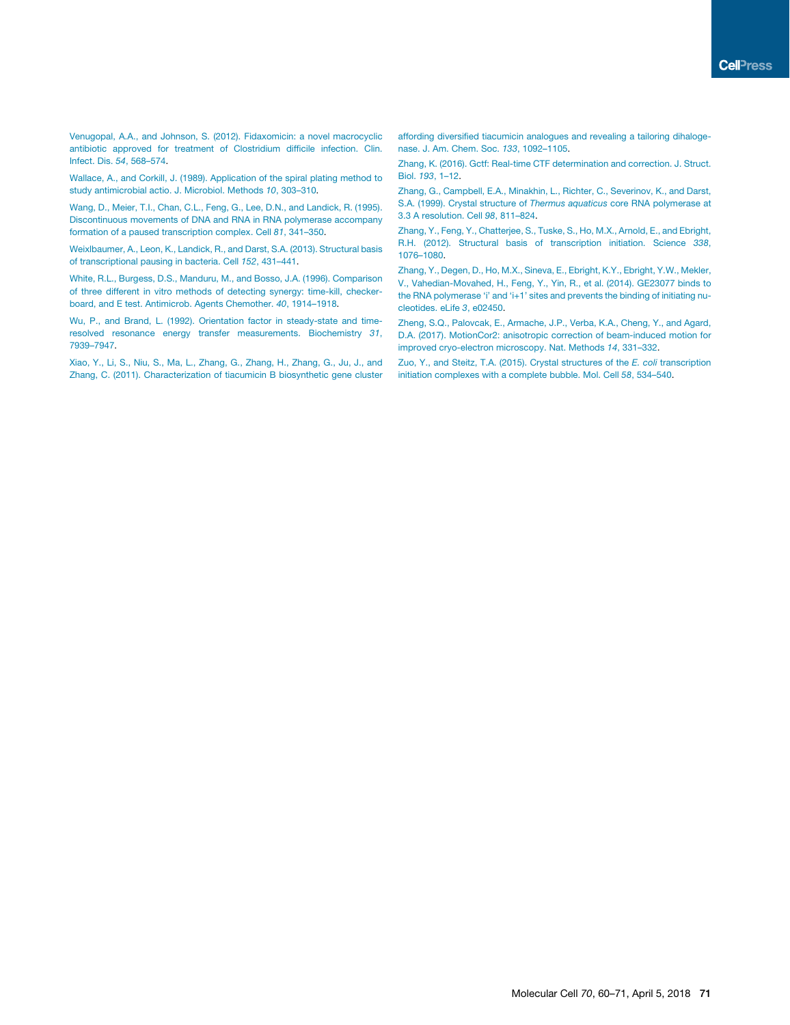Venugopal, A.A., and Johnson, S. (2012). Fidaxomicin: a novel macrocyclic antibiotic approved for treatment of Clostridium difficile infection. Clin. Infect. Dis. *54*, 568–574.

Wallace, A., and Corkill, J. (1989). Application of the spiral plating method to study antimicrobial actio. J. Microbiol. Methods *10*, 303–310.

Wang, D., Meier, T.I., Chan, C.L., Feng, G., Lee, D.N., and Landick, R. (1995). Discontinuous movements of DNA and RNA in RNA polymerase accompany formation of a paused transcription complex. Cell *81*, 341–350.

Weixlbaumer, A., Leon, K., Landick, R., and Darst, S.A. (2013). Structural basis of transcriptional pausing in bacteria. Cell *152*, 431–441.

White, R.L., Burgess, D.S., Manduru, M., and Bosso, J.A. (1996). Comparison of three different in vitro methods of detecting synergy: time-kill, checkerboard, and E test. Antimicrob. Agents Chemother. *40*, 1914–1918.

Wu, P., and Brand, L. (1992). Orientation factor in steady-state and timeresolved resonance energy transfer measurements. Biochemistry *31*, 7939–7947.

Xiao, Y., Li, S., Niu, S., Ma, L., Zhang, G., Zhang, H., Zhang, G., Ju, J., and Zhang, C. (2011). Characterization of tiacumicin B biosynthetic gene cluster

affording diversified tiacumicin analogues and revealing a tailoring dihalogenase. J. Am. Chem. Soc. *133*, 1092–1105.

Zhang, K. (2016). Gctf: Real-time CTF determination and correction. J. Struct. Biol. *193*, 1–12.

Zhang, G., Campbell, E.A., Minakhin, L., Richter, C., Severinov, K., and Darst, S.A. (1999). Crystal structure of *Thermus aquaticus* core RNA polymerase at 3.3 A resolution. Cell *98*, 811–824.

Zhang, Y., Feng, Y., Chatterjee, S., Tuske, S., Ho, M.X., Arnold, E., and Ebright, R.H. (2012). Structural basis of transcription initiation. Science *338*, 1076–1080.

Zhang, Y., Degen, D., Ho, M.X., Sineva, E., Ebright, K.Y., Ebright, Y.W., Mekler, V., Vahedian-Movahed, H., Feng, Y., Yin, R., et al. (2014). GE23077 binds to the RNA polymerase 'i' and 'i+1' sites and prevents the binding of initiating nucleotides. eLife *3*, e02450.

Zheng, S.Q., Palovcak, E., Armache, J.P., Verba, K.A., Cheng, Y., and Agard, D.A. (2017). MotionCor2: anisotropic correction of beam-induced motion for improved cryo-electron microscopy. Nat. Methods *14*, 331–332.

Zuo, Y., and Steitz, T.A. (2015). Crystal structures of the *E. coli* transcription initiation complexes with a complete bubble. Mol. Cell *58*, 534–540.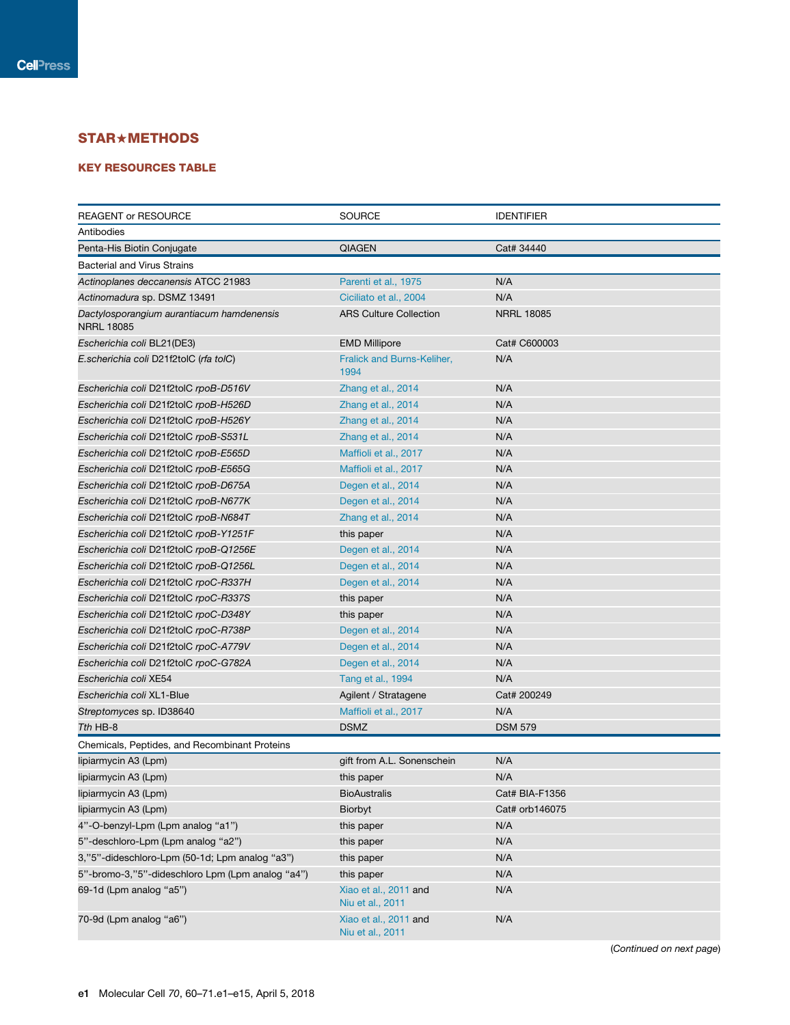## STAR+METHODS

## KEY RESOURCES TABLE

| <b>REAGENT or RESOURCE</b>                                     | <b>SOURCE</b>                             | <b>IDENTIFIER</b> |
|----------------------------------------------------------------|-------------------------------------------|-------------------|
| Antibodies                                                     |                                           |                   |
| Penta-His Biotin Conjugate                                     | <b>QIAGEN</b>                             | Cat# 34440        |
| <b>Bacterial and Virus Strains</b>                             |                                           |                   |
| Actinoplanes deccanensis ATCC 21983                            | Parenti et al., 1975                      | N/A               |
| Actinomadura sp. DSMZ 13491                                    | Ciciliato et al., 2004                    | N/A               |
| Dactylosporangium aurantiacum hamdenensis<br><b>NRRL 18085</b> | <b>ARS Culture Collection</b>             | <b>NRRL 18085</b> |
| Escherichia coli BL21(DE3)                                     | <b>EMD Millipore</b>                      | Cat# C600003      |
| E.scherichia coli D21f2tolC (rfa tolC)                         | Fralick and Burns-Keliher,<br>1994        | N/A               |
| Escherichia coli D21f2tolC rpoB-D516V                          | Zhang et al., 2014                        | N/A               |
| Escherichia coli D21f2tolC rpoB-H526D                          | Zhang et al., 2014                        | N/A               |
| Escherichia coli D21f2tolC rpoB-H526Y                          | Zhang et al., 2014                        | N/A               |
| Escherichia coli D21f2tolC rpoB-S531L                          | Zhang et al., 2014                        | N/A               |
| Escherichia coli D21f2tolC rpoB-E565D                          | Maffioli et al., 2017                     | N/A               |
| Escherichia coli D21f2tolC rpoB-E565G                          | Maffioli et al., 2017                     | N/A               |
| Escherichia coli D21f2tolC rpoB-D675A                          | Degen et al., 2014                        | N/A               |
| Escherichia coli D21f2tolC rpoB-N677K                          | Degen et al., 2014                        | N/A               |
| Escherichia coli D21f2tolC rpoB-N684T                          | Zhang et al., 2014                        | N/A               |
| Escherichia coli D21f2tolC rpoB-Y1251F                         | this paper                                | N/A               |
| Escherichia coli D21f2tolC rpoB-Q1256E                         | Degen et al., 2014                        | N/A               |
| Escherichia coli D21f2tolC rpoB-Q1256L                         | Degen et al., 2014                        | N/A               |
| Escherichia coli D21f2tolC rpoC-R337H                          | Degen et al., 2014                        | N/A               |
| Escherichia coli D21f2tolC rpoC-R337S                          | this paper                                | N/A               |
| Escherichia coli D21f2tolC rpoC-D348Y                          | this paper                                | N/A               |
| Escherichia coli D21f2tolC rpoC-R738P                          | Degen et al., 2014                        | N/A               |
| Escherichia coli D21f2tolC rpoC-A779V                          | Degen et al., 2014                        | N/A               |
| Escherichia coli D21f2tolC rpoC-G782A                          | Degen et al., 2014                        | N/A               |
| Escherichia coli XE54                                          | Tang et al., 1994                         | N/A               |
| Escherichia coli XL1-Blue                                      | Agilent / Stratagene                      | Cat# 200249       |
| Streptomyces sp. ID38640                                       | Maffioli et al., 2017                     | N/A               |
| Tth HB-8                                                       | <b>DSMZ</b>                               | <b>DSM 579</b>    |
| Chemicals, Peptides, and Recombinant Proteins                  |                                           |                   |
| lipiarmycin A3 (Lpm)                                           | gift from A.L. Sonenschein                | N/A               |
| lipiarmycin A3 (Lpm)                                           | this paper                                | N/A               |
| lipiarmycin A3 (Lpm)                                           | <b>BioAustralis</b>                       | Cat# BIA-F1356    |
| lipiarmycin A3 (Lpm)                                           | Biorbyt                                   | Cat# orb146075    |
| 4"-O-benzyl-Lpm (Lpm analog "a1")                              | this paper                                | N/A               |
| 5"-deschloro-Lpm (Lpm analog "a2")                             | this paper                                | N/A               |
| 3,"5"-dideschloro-Lpm (50-1d; Lpm analog "a3")                 | this paper                                | N/A               |
| 5"-bromo-3,"5"-dideschloro Lpm (Lpm analog "a4")               | this paper                                | N/A               |
| 69-1d (Lpm analog "a5")                                        | Xiao et al., 2011 and<br>Niu et al., 2011 | N/A               |
| 70-9d (Lpm analog "a6")                                        | Xiao et al., 2011 and<br>Niu et al., 2011 | N/A               |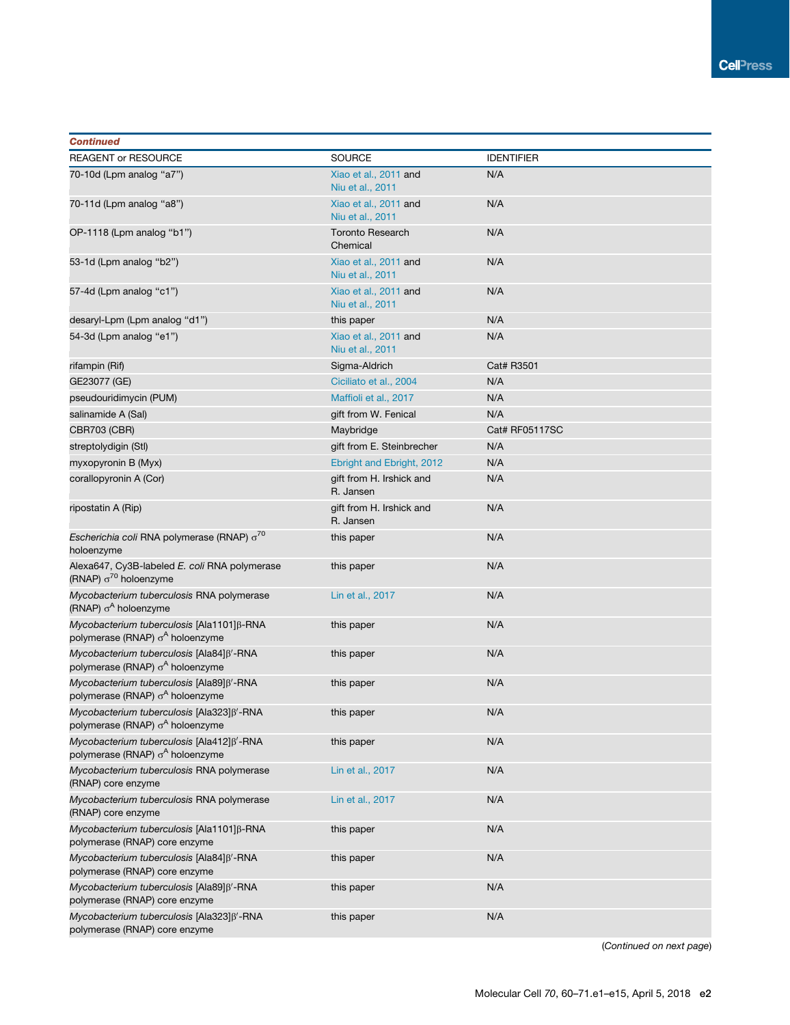## **Continued**

| <b>Continued</b>                                                                          |                                           |                   |
|-------------------------------------------------------------------------------------------|-------------------------------------------|-------------------|
| <b>REAGENT or RESOURCE</b>                                                                | <b>SOURCE</b>                             | <b>IDENTIFIER</b> |
| 70-10d (Lpm analog "a7")                                                                  | Xiao et al., 2011 and<br>Niu et al., 2011 | N/A               |
| 70-11d (Lpm analog "a8")                                                                  | Xiao et al., 2011 and<br>Niu et al., 2011 | N/A               |
| OP-1118 (Lpm analog "b1")                                                                 | <b>Toronto Research</b><br>Chemical       | N/A               |
| 53-1d (Lpm analog "b2")                                                                   | Xiao et al., 2011 and<br>Niu et al., 2011 | N/A               |
| 57-4d (Lpm analog "c1")                                                                   | Xiao et al., 2011 and<br>Niu et al., 2011 | N/A               |
| desaryl-Lpm (Lpm analog "d1")                                                             | this paper                                | N/A               |
| 54-3d (Lpm analog "e1")                                                                   | Xiao et al., 2011 and<br>Niu et al., 2011 | N/A               |
| rifampin (Rif)                                                                            | Sigma-Aldrich                             | Cat# R3501        |
| GE23077 (GE)                                                                              | Ciciliato et al., 2004                    | N/A               |
| pseudouridimycin (PUM)                                                                    | Maffioli et al., 2017                     | N/A               |
| salinamide A (Sal)                                                                        | gift from W. Fenical                      | N/A               |
| CBR703 (CBR)                                                                              | Maybridge                                 | Cat# RF05117SC    |
| streptolydigin (Stl)                                                                      | gift from E. Steinbrecher                 | N/A               |
| myxopyronin B (Myx)                                                                       | Ebright and Ebright, 2012                 | N/A               |
| corallopyronin A (Cor)                                                                    | gift from H. Irshick and<br>R. Jansen     | N/A               |
| ripostatin A (Rip)                                                                        | gift from H. Irshick and<br>R. Jansen     | N/A               |
| Escherichia coli RNA polymerase (RNAP) $\sigma^{70}$<br>holoenzyme                        | this paper                                | N/A               |
| Alexa647, Cy3B-labeled E. coli RNA polymerase<br>(RNAP) $\sigma^{70}$ holoenzyme          | this paper                                | N/A               |
| Mycobacterium tuberculosis RNA polymerase<br>(RNAP) $\sigma^A$ holoenzyme                 | Lin et al., 2017                          | N/A               |
| Mycobacterium tuberculosis [Ala1101]β-RNA<br>polymerase (RNAP) o <sup>A</sup> holoenzyme  | this paper                                | N/A               |
| Mycobacterium tuberculosis [Ala84]ß'-RNA<br>polymerase (RNAP) σ <sup>A</sup> holoenzyme   | this paper                                | N/A               |
| Mycobacterium tuberculosis [Ala89] ß'-RNA<br>polymerase (RNAP) o <sup>A</sup> holoenzyme  | this paper                                | N/A               |
| Mycobacterium tuberculosis [Ala323] B'-RNA<br>polymerase (RNAP) $\sigma^A$ holoenzyme     | this paper                                | N/A               |
| Mycobacterium tuberculosis [Ala412] ß'-RNA<br>polymerase (RNAP) o <sup>A</sup> holoenzyme | this paper                                | N/A               |
| Mycobacterium tuberculosis RNA polymerase<br>(RNAP) core enzyme                           | Lin et al., 2017                          | N/A               |
| Mycobacterium tuberculosis RNA polymerase<br>(RNAP) core enzyme                           | Lin et al., 2017                          | N/A               |
| Mycobacterium tuberculosis [Ala1101] ß-RNA<br>polymerase (RNAP) core enzyme               | this paper                                | N/A               |
| Mycobacterium tuberculosis [Ala84] B'-RNA<br>polymerase (RNAP) core enzyme                | this paper                                | N/A               |
| Mycobacterium tuberculosis [Ala89] B'-RNA<br>polymerase (RNAP) core enzyme                | this paper                                | N/A               |
| Mycobacterium tuberculosis [Ala323] ß'-RNA<br>polymerase (RNAP) core enzyme               | this paper                                | N/A               |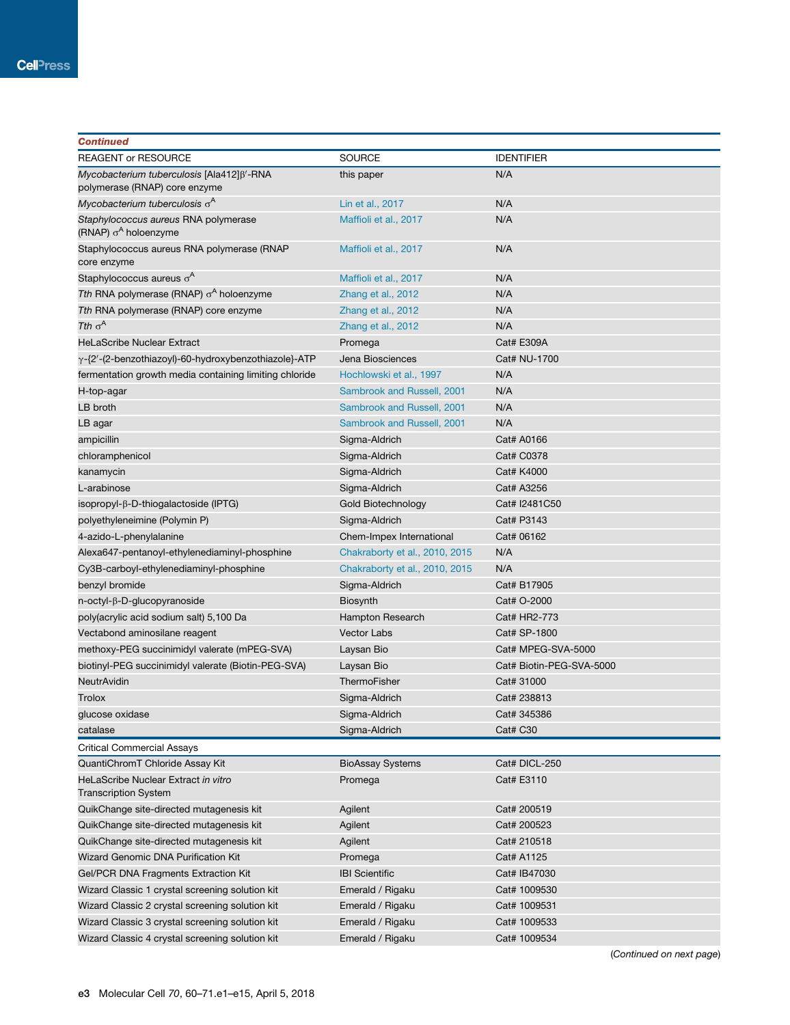| <b>Continued</b>                                                            |                                |                          |
|-----------------------------------------------------------------------------|--------------------------------|--------------------------|
| <b>REAGENT or RESOURCE</b>                                                  | <b>SOURCE</b>                  | <b>IDENTIFIER</b>        |
| Mycobacterium tuberculosis [Ala412] B'-RNA<br>polymerase (RNAP) core enzyme | this paper                     | N/A                      |
| Mycobacterium tuberculosis $\sigma^A$                                       | Lin et al., 2017               | N/A                      |
| Staphylococcus aureus RNA polymerase<br>(RNAP) $\sigma^A$ holoenzyme        | Maffioli et al., 2017          | N/A                      |
| Staphylococcus aureus RNA polymerase (RNAP                                  | Maffioli et al., 2017          | N/A                      |
| core enzyme                                                                 |                                |                          |
| Staphylococcus aureus $\sigma^A$                                            | Maffioli et al., 2017          | N/A                      |
| Tth RNA polymerase (RNAP) $\sigma^A$ holoenzyme                             | Zhang et al., 2012             | N/A                      |
| Tth RNA polymerase (RNAP) core enzyme                                       | Zhang et al., 2012             | N/A                      |
| Tth $\sigma^A$                                                              | Zhang et al., 2012             | N/A                      |
| <b>HeLaScribe Nuclear Extract</b>                                           | Promega                        | Cat# E309A               |
| γ-{2'-(2-benzothiazoyl)-60-hydroxybenzothiazole}-ATP                        | Jena Biosciences               | Cat# NU-1700             |
| fermentation growth media containing limiting chloride                      | Hochlowski et al., 1997        | N/A                      |
| H-top-agar                                                                  | Sambrook and Russell, 2001     | N/A                      |
| LB broth                                                                    | Sambrook and Russell, 2001     | N/A                      |
| LB agar                                                                     | Sambrook and Russell, 2001     | N/A                      |
| ampicillin                                                                  | Sigma-Aldrich                  | Cat# A0166               |
| chloramphenicol                                                             | Sigma-Aldrich                  | Cat# C0378               |
| kanamycin                                                                   | Sigma-Aldrich                  | Cat# K4000               |
| L-arabinose                                                                 | Sigma-Aldrich                  | Cat# A3256               |
| isopropyl- $\beta$ -D-thiogalactoside (IPTG)                                | Gold Biotechnology             | Cat# I2481C50            |
| polyethyleneimine (Polymin P)                                               | Sigma-Aldrich                  | Cat# P3143               |
| 4-azido-L-phenylalanine                                                     | Chem-Impex International       | Cat# 06162               |
| Alexa647-pentanoyl-ethylenediaminyl-phosphine                               | Chakraborty et al., 2010, 2015 | N/A                      |
| Cy3B-carboyl-ethylenediaminyl-phosphine                                     | Chakraborty et al., 2010, 2015 | N/A                      |
| benzyl bromide                                                              | Sigma-Aldrich                  | Cat# B17905              |
| n-octyl-β-D-glucopyranoside                                                 | Biosynth                       | Cat# O-2000              |
| poly(acrylic acid sodium salt) 5,100 Da                                     | Hampton Research               | Cat# HR2-773             |
| Vectabond aminosilane reagent                                               | <b>Vector Labs</b>             | Cat# SP-1800             |
| methoxy-PEG succinimidyl valerate (mPEG-SVA)                                | Laysan Bio                     | Cat# MPEG-SVA-5000       |
| biotinyl-PEG succinimidyl valerate (Biotin-PEG-SVA)                         | Laysan Bio                     | Cat# Biotin-PEG-SVA-5000 |
| NeutrAvidin                                                                 | ThermoFisher                   | Cat# 31000               |
| Trolox                                                                      | Sigma-Aldrich                  | Cat# 238813              |
| glucose oxidase                                                             | Sigma-Aldrich                  | Cat# 345386              |
| catalase                                                                    | Sigma-Aldrich                  | Cat# C30                 |
| <b>Critical Commercial Assays</b>                                           |                                |                          |
| QuantiChromT Chloride Assay Kit                                             | <b>BioAssay Systems</b>        | Cat# DICL-250            |
| HeLaScribe Nuclear Extract in vitro<br><b>Transcription System</b>          | Promega                        | Cat# E3110               |
| QuikChange site-directed mutagenesis kit                                    | Agilent                        | Cat# 200519              |
| QuikChange site-directed mutagenesis kit                                    | Agilent                        | Cat# 200523              |
| QuikChange site-directed mutagenesis kit                                    | Agilent                        | Cat# 210518              |
| Wizard Genomic DNA Purification Kit                                         | Promega                        | Cat# A1125               |
| Gel/PCR DNA Fragments Extraction Kit                                        | <b>IBI Scientific</b>          | Cat# IB47030             |
| Wizard Classic 1 crystal screening solution kit                             | Emerald / Rigaku               | Cat# 1009530             |
| Wizard Classic 2 crystal screening solution kit                             | Emerald / Rigaku               | Cat# 1009531             |
| Wizard Classic 3 crystal screening solution kit                             | Emerald / Rigaku               | Cat# 1009533             |
|                                                                             |                                |                          |
| Wizard Classic 4 crystal screening solution kit                             | Emerald / Rigaku               | Cat# 1009534             |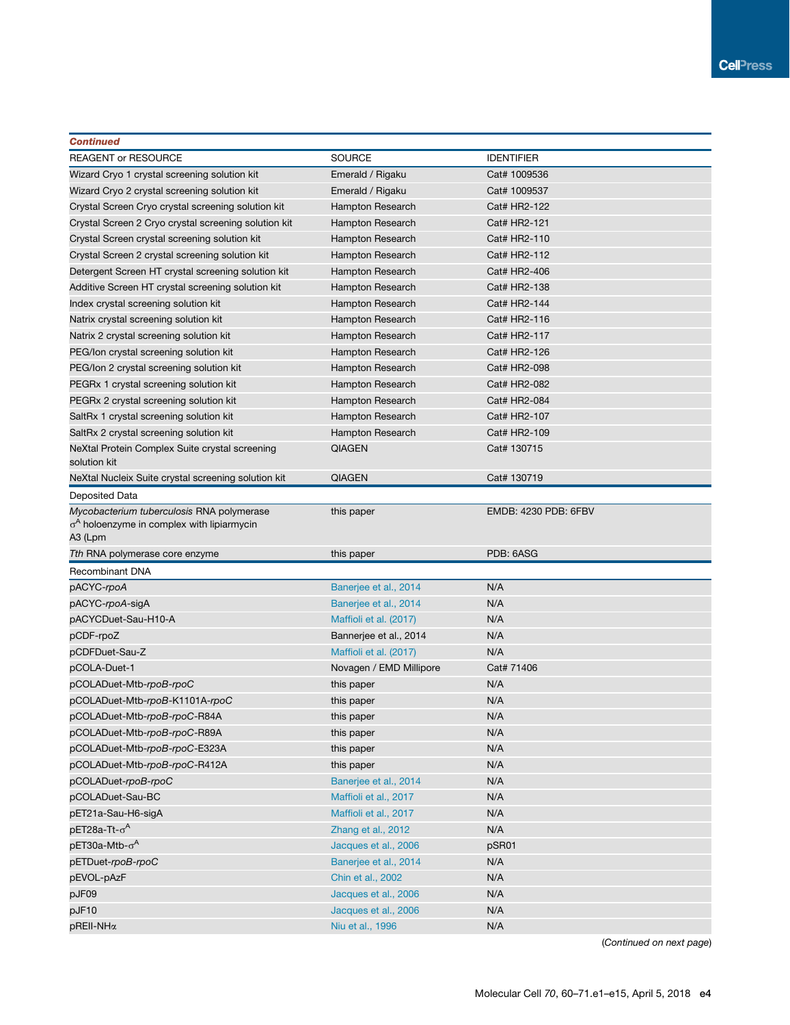| <b>Continued</b>                                                                               |                         |                      |
|------------------------------------------------------------------------------------------------|-------------------------|----------------------|
| <b>REAGENT or RESOURCE</b>                                                                     | <b>SOURCE</b>           | <b>IDENTIFIER</b>    |
| Wizard Cryo 1 crystal screening solution kit                                                   | Emerald / Rigaku        | Cat# 1009536         |
| Wizard Cryo 2 crystal screening solution kit                                                   | Emerald / Rigaku        | Cat# 1009537         |
| Crystal Screen Cryo crystal screening solution kit                                             | Hampton Research        | Cat# HR2-122         |
| Crystal Screen 2 Cryo crystal screening solution kit                                           | Hampton Research        | Cat# HR2-121         |
| Crystal Screen crystal screening solution kit                                                  | Hampton Research        | Cat# HR2-110         |
| Crystal Screen 2 crystal screening solution kit                                                | Hampton Research        | Cat# HR2-112         |
| Detergent Screen HT crystal screening solution kit                                             | Hampton Research        | Cat# HR2-406         |
| Additive Screen HT crystal screening solution kit                                              | Hampton Research        | Cat# HR2-138         |
| Index crystal screening solution kit                                                           | Hampton Research        | Cat# HR2-144         |
| Natrix crystal screening solution kit                                                          | Hampton Research        | Cat# HR2-116         |
| Natrix 2 crystal screening solution kit                                                        | Hampton Research        | Cat# HR2-117         |
| PEG/Ion crystal screening solution kit                                                         | Hampton Research        | Cat# HR2-126         |
| PEG/Ion 2 crystal screening solution kit                                                       | Hampton Research        | Cat# HR2-098         |
| PEGRx 1 crystal screening solution kit                                                         | Hampton Research        | Cat# HR2-082         |
| PEGRx 2 crystal screening solution kit                                                         | Hampton Research        | Cat# HR2-084         |
| SaltRx 1 crystal screening solution kit                                                        | <b>Hampton Research</b> | Cat# HR2-107         |
| SaltRx 2 crystal screening solution kit                                                        | Hampton Research        | Cat# HR2-109         |
| NeXtal Protein Complex Suite crystal screening<br>solution kit                                 | <b>QIAGEN</b>           | Cat# 130715          |
| NeXtal Nucleix Suite crystal screening solution kit                                            | <b>QIAGEN</b>           | Cat# 130719          |
| Deposited Data                                                                                 |                         |                      |
| Mycobacterium tuberculosis RNA polymerase<br>$\sigma^A$ holoenzyme in complex with lipiarmycin | this paper              | EMDB: 4230 PDB: 6FBV |
| A3 (Lpm                                                                                        |                         |                      |
| Tth RNA polymerase core enzyme                                                                 | this paper              | PDB: 6ASG            |
| Recombinant DNA                                                                                |                         |                      |
| pACYC-rpoA                                                                                     | Banerjee et al., 2014   | N/A                  |
| pACYC-rpoA-sigA                                                                                | Banerjee et al., 2014   | N/A                  |
| pACYCDuet-Sau-H10-A                                                                            | Maffioli et al. (2017)  | N/A                  |
| pCDF-rpoZ                                                                                      | Bannerjee et al., 2014  | N/A                  |
| pCDFDuet-Sau-Z                                                                                 | Maffioli et al. (2017)  | N/A                  |
| pCOLA-Duet-1                                                                                   | Novagen / EMD Millipore | Cat# 71406           |
| pCOLADuet-Mtb-rpoB-rpoC                                                                        | this paper              | N/A                  |
| pCOLADuet-Mtb-rpoB-K1101A-rpoC                                                                 | this paper              | N/A                  |
| pCOLADuet-Mtb-rpoB-rpoC-R84A                                                                   | this paper              | N/A                  |
| pCOLADuet-Mtb-rpoB-rpoC-R89A                                                                   | this paper              | N/A                  |
| pCOLADuet-Mtb-rpoB-rpoC-E323A                                                                  | this paper              | N/A                  |
| pCOLADuet-Mtb-rpoB-rpoC-R412A                                                                  | this paper              | N/A                  |
| pCOLADuet-rpoB-rpoC                                                                            | Banerjee et al., 2014   | N/A                  |
| pCOLADuet-Sau-BC                                                                               | Maffioli et al., 2017   | N/A                  |
| pET21a-Sau-H6-sigA                                                                             | Maffioli et al., 2017   | N/A                  |
| pET28a-Tt- $\sigma^{\mathsf{A}}$                                                               | Zhang et al., 2012      | N/A                  |
| pET30a-Mtb-σ <sup>A</sup>                                                                      | Jacques et al., 2006    | pSR01                |
| pETDuet-rpoB-rpoC                                                                              | Banerjee et al., 2014   | N/A                  |
| pEVOL-pAzF                                                                                     | Chin et al., 2002       | N/A                  |
| pJF09                                                                                          | Jacques et al., 2006    | N/A                  |
| pJF10                                                                                          | Jacques et al., 2006    | N/A                  |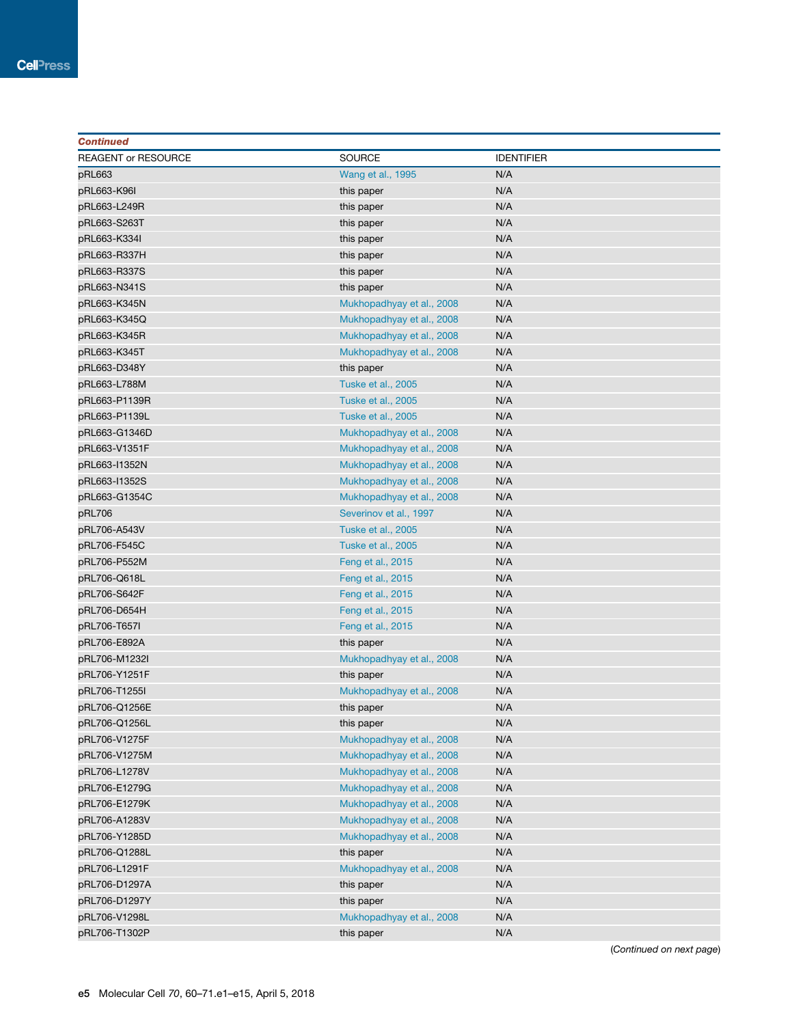| <b>Continued</b>    |                           |                   |
|---------------------|---------------------------|-------------------|
| REAGENT or RESOURCE | <b>SOURCE</b>             | <b>IDENTIFIER</b> |
| pRL663              | Wang et al., 1995         | N/A               |
| pRL663-K96I         | this paper                | N/A               |
| pRL663-L249R        | this paper                | N/A               |
| pRL663-S263T        | this paper                | N/A               |
| pRL663-K334I        | this paper                | N/A               |
| pRL663-R337H        | this paper                | N/A               |
| pRL663-R337S        | this paper                | N/A               |
| pRL663-N341S        | this paper                | N/A               |
| pRL663-K345N        | Mukhopadhyay et al., 2008 | N/A               |
| pRL663-K345Q        | Mukhopadhyay et al., 2008 | N/A               |
| pRL663-K345R        | Mukhopadhyay et al., 2008 | N/A               |
| pRL663-K345T        | Mukhopadhyay et al., 2008 | N/A               |
| pRL663-D348Y        | this paper                | N/A               |
| pRL663-L788M        | Tuske et al., 2005        | N/A               |
| pRL663-P1139R       | <b>Tuske et al., 2005</b> | N/A               |
| pRL663-P1139L       | Tuske et al., 2005        | N/A               |
| pRL663-G1346D       | Mukhopadhyay et al., 2008 | N/A               |
| pRL663-V1351F       | Mukhopadhyay et al., 2008 | N/A               |
| pRL663-I1352N       | Mukhopadhyay et al., 2008 | N/A               |
| pRL663-I1352S       | Mukhopadhyay et al., 2008 | N/A               |
| pRL663-G1354C       | Mukhopadhyay et al., 2008 | N/A               |
| pRL706              | Severinov et al., 1997    | N/A               |
| pRL706-A543V        | Tuske et al., 2005        | N/A               |
| pRL706-F545C        | <b>Tuske et al., 2005</b> | N/A               |
| pRL706-P552M        | Feng et al., 2015         | N/A               |
| pRL706-Q618L        | Feng et al., 2015         | N/A               |
| pRL706-S642F        | Feng et al., 2015         | N/A               |
| pRL706-D654H        | Feng et al., 2015         | N/A               |
| pRL706-T657I        | Feng et al., 2015         | N/A               |
| pRL706-E892A        | this paper                | N/A               |
| pRL706-M1232I       | Mukhopadhyay et al., 2008 | N/A               |
| pRL706-Y1251F       | this paper                | N/A               |
| pRL706-T1255I       | Mukhopadhyay et al., 2008 | N/A               |
| pRL706-Q1256E       | this paper                | N/A               |
| pRL706-Q1256L       | this paper                | N/A               |
| pRL706-V1275F       | Mukhopadhyay et al., 2008 | N/A               |
| pRL706-V1275M       | Mukhopadhyay et al., 2008 | N/A               |
| pRL706-L1278V       | Mukhopadhyay et al., 2008 | N/A               |
| pRL706-E1279G       | Mukhopadhyay et al., 2008 | N/A               |
| pRL706-E1279K       | Mukhopadhyay et al., 2008 | N/A               |
| pRL706-A1283V       | Mukhopadhyay et al., 2008 | N/A               |
| pRL706-Y1285D       | Mukhopadhyay et al., 2008 | N/A               |
| pRL706-Q1288L       | this paper                | N/A               |
| pRL706-L1291F       | Mukhopadhyay et al., 2008 | N/A               |
| pRL706-D1297A       | this paper                | N/A               |
| pRL706-D1297Y       | this paper                | N/A               |
| pRL706-V1298L       | Mukhopadhyay et al., 2008 | N/A               |
| pRL706-T1302P       | this paper                | N/A               |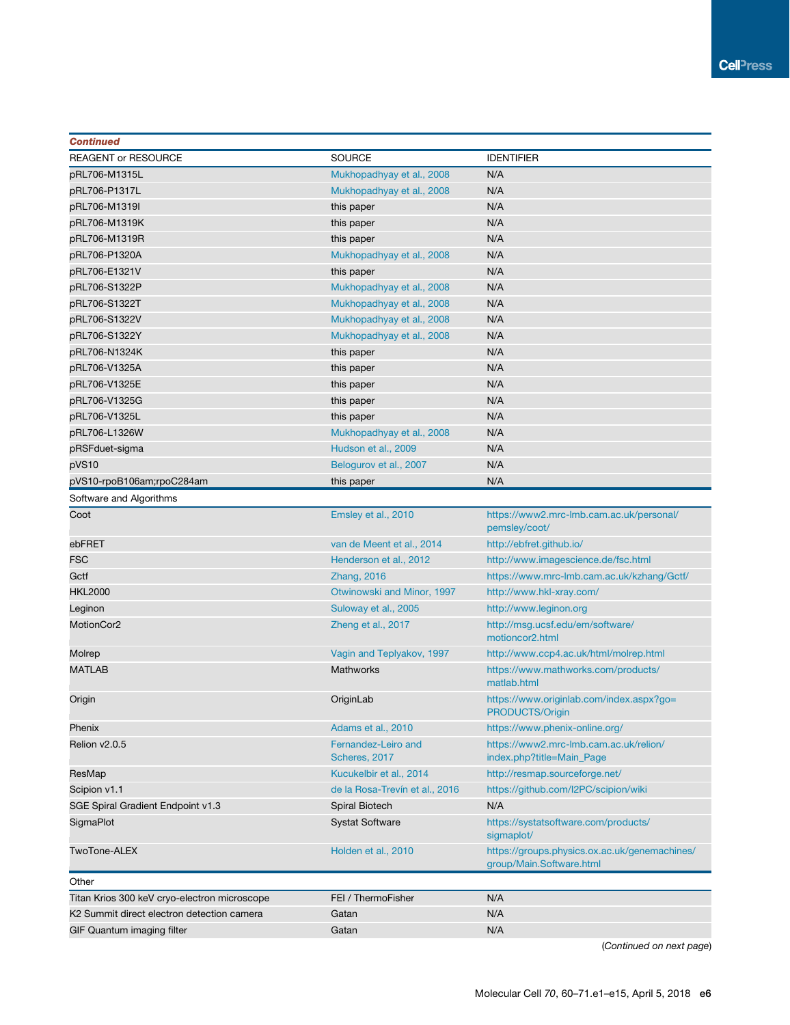| <b>Continued</b>                             |                                      |                                                                           |
|----------------------------------------------|--------------------------------------|---------------------------------------------------------------------------|
| <b>REAGENT or RESOURCE</b>                   | <b>SOURCE</b>                        | <b>IDENTIFIER</b>                                                         |
| pRL706-M1315L                                | Mukhopadhyay et al., 2008            | N/A                                                                       |
| pRL706-P1317L                                | Mukhopadhyay et al., 2008            | N/A                                                                       |
| pRL706-M1319I                                | this paper                           | N/A                                                                       |
| pRL706-M1319K                                | this paper                           | N/A                                                                       |
| pRL706-M1319R                                | this paper                           | N/A                                                                       |
| pRL706-P1320A                                | Mukhopadhyay et al., 2008            | N/A                                                                       |
| pRL706-E1321V                                | this paper                           | N/A                                                                       |
| pRL706-S1322P                                | Mukhopadhyay et al., 2008            | N/A                                                                       |
| pRL706-S1322T                                | Mukhopadhyay et al., 2008            | N/A                                                                       |
| pRL706-S1322V                                | Mukhopadhyay et al., 2008            | N/A                                                                       |
| pRL706-S1322Y                                | Mukhopadhyay et al., 2008            | N/A                                                                       |
| pRL706-N1324K                                | this paper                           | N/A                                                                       |
| pRL706-V1325A                                | this paper                           | N/A                                                                       |
| pRL706-V1325E                                | this paper                           | N/A                                                                       |
| pRL706-V1325G                                | this paper                           | N/A                                                                       |
| pRL706-V1325L                                | this paper                           | N/A                                                                       |
| pRL706-L1326W                                | Mukhopadhyay et al., 2008            | N/A                                                                       |
| pRSFduet-sigma                               | Hudson et al., 2009                  | N/A                                                                       |
| pVS10                                        | Belogurov et al., 2007               | N/A                                                                       |
| pVS10-rpoB106am;rpoC284am                    | this paper                           | N/A                                                                       |
| Software and Algorithms                      |                                      |                                                                           |
| Coot                                         | Emsley et al., 2010                  | https://www2.mrc-lmb.cam.ac.uk/personal/<br>pemsley/coot/                 |
| ebFRET                                       | van de Meent et al., 2014            | http://ebfret.github.io/                                                  |
| <b>FSC</b>                                   | Henderson et al., 2012               | http://www.imagescience.de/fsc.html                                       |
| Gctf                                         | Zhang, 2016                          | https://www.mrc-lmb.cam.ac.uk/kzhang/Gctf/                                |
| <b>HKL2000</b>                               | Otwinowski and Minor, 1997           | http://www.hkl-xray.com/                                                  |
| Leginon                                      | Suloway et al., 2005                 | http://www.leginon.org                                                    |
| MotionCor2                                   | Zheng et al., 2017                   | http://msg.ucsf.edu/em/software/<br>motioncor2.html                       |
| Molrep                                       | Vagin and Teplyakov, 1997            | http://www.ccp4.ac.uk/html/molrep.html                                    |
| <b>MATLAB</b>                                | Mathworks                            | https://www.mathworks.com/products/<br>matlab.html                        |
| Origin                                       | OriginLab                            | https://www.originlab.com/index.aspx?go=<br>PRODUCTS/Origin               |
| Phenix                                       | Adams et al., 2010                   | https://www.phenix-online.org/                                            |
| Relion v2.0.5                                | Fernandez-Leiro and<br>Scheres, 2017 | https://www2.mrc-lmb.cam.ac.uk/relion/<br>index.php?title=Main_Page       |
| ResMap                                       | Kucukelbir et al., 2014              | http://resmap.sourceforge.net/                                            |
| Scipion v1.1                                 | de la Rosa-Trevín et al., 2016       | https://github.com/I2PC/scipion/wiki                                      |
| SGE Spiral Gradient Endpoint v1.3            | Spiral Biotech                       | N/A                                                                       |
| <b>SigmaPlot</b>                             | <b>Systat Software</b>               | https://systatsoftware.com/products/<br>sigmaplot/                        |
| TwoTone-ALEX                                 | Holden et al., 2010                  | https://groups.physics.ox.ac.uk/genemachines/<br>group/Main.Software.html |
| Other                                        |                                      |                                                                           |
| Titan Krios 300 keV cryo-electron microscope | FEI / ThermoFisher                   | N/A                                                                       |
| K2 Summit direct electron detection camera   | Gatan                                | N/A                                                                       |
| GIF Quantum imaging filter                   | Gatan                                | N/A                                                                       |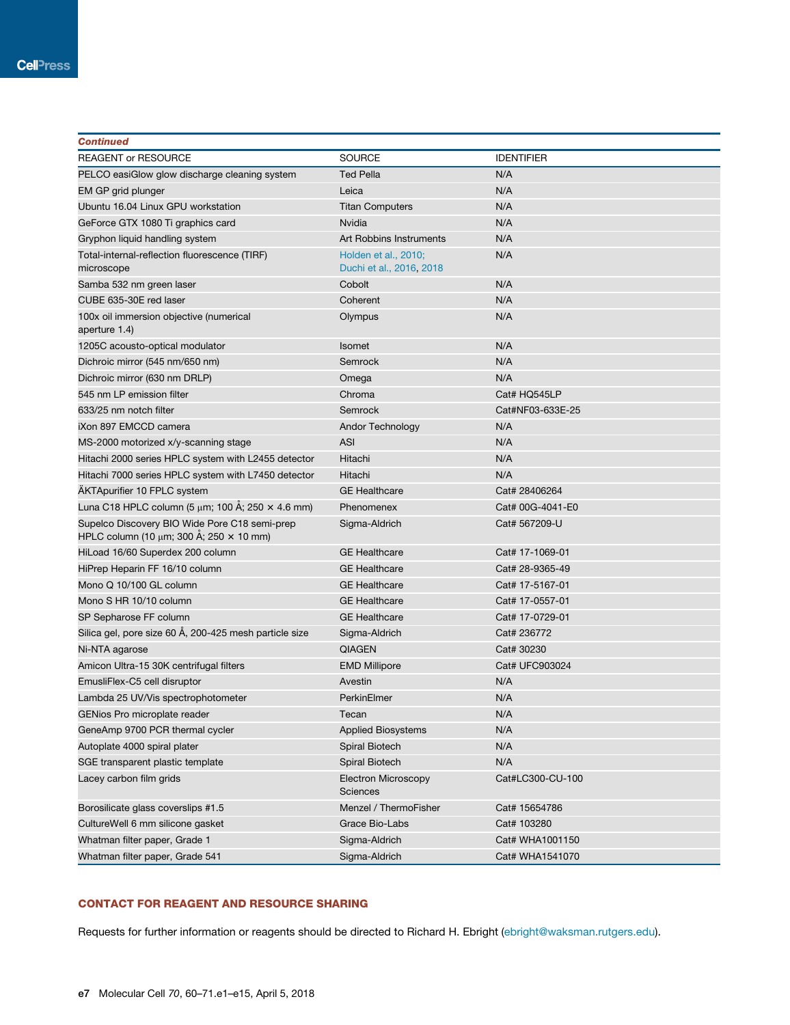| <b>Continued</b>                                                                                     |                                                  |                   |
|------------------------------------------------------------------------------------------------------|--------------------------------------------------|-------------------|
| <b>REAGENT or RESOURCE</b>                                                                           | <b>SOURCE</b>                                    | <b>IDENTIFIER</b> |
| PELCO easiGlow glow discharge cleaning system                                                        | <b>Ted Pella</b>                                 | N/A               |
| EM GP grid plunger                                                                                   | Leica                                            | N/A               |
| Ubuntu 16.04 Linux GPU workstation                                                                   | <b>Titan Computers</b>                           | N/A               |
| GeForce GTX 1080 Ti graphics card                                                                    | Nvidia                                           | N/A               |
| Gryphon liquid handling system                                                                       | Art Robbins Instruments                          | N/A               |
| Total-internal-reflection fluorescence (TIRF)<br>microscope                                          | Holden et al., 2010;<br>Duchi et al., 2016, 2018 | N/A               |
| Samba 532 nm green laser                                                                             | Cobolt                                           | N/A               |
| CUBE 635-30E red laser                                                                               | Coherent                                         | N/A               |
| 100x oil immersion objective (numerical<br>aperture 1.4)                                             | Olympus                                          | N/A               |
| 1205C acousto-optical modulator                                                                      | <b>Isomet</b>                                    | N/A               |
| Dichroic mirror (545 nm/650 nm)                                                                      | Semrock                                          | N/A               |
| Dichroic mirror (630 nm DRLP)                                                                        | Omega                                            | N/A               |
| 545 nm LP emission filter                                                                            | Chroma                                           | Cat# HQ545LP      |
| 633/25 nm notch filter                                                                               | Semrock                                          | Cat#NF03-633E-25  |
| iXon 897 EMCCD camera                                                                                | Andor Technology                                 | N/A               |
| MS-2000 motorized x/y-scanning stage                                                                 | <b>ASI</b>                                       | N/A               |
| Hitachi 2000 series HPLC system with L2455 detector                                                  | Hitachi                                          | N/A               |
| Hitachi 7000 series HPLC system with L7450 detector                                                  | Hitachi                                          | N/A               |
| <b>AKTApurifier 10 FPLC system</b>                                                                   | <b>GE Healthcare</b>                             | Cat# 28406264     |
| Luna C18 HPLC column (5 $\mu$ m; 100 Å; 250 $\times$ 4.6 mm)                                         | Phenomenex                                       | Cat# 00G-4041-E0  |
| Supelco Discovery BIO Wide Pore C18 semi-prep<br>HPLC column (10 $\mu$ m; 300 Å; 250 $\times$ 10 mm) | Sigma-Aldrich                                    | Cat# 567209-U     |
| HiLoad 16/60 Superdex 200 column                                                                     | <b>GE Healthcare</b>                             | Cat# 17-1069-01   |
| HiPrep Heparin FF 16/10 column                                                                       | <b>GE Healthcare</b>                             | Cat# 28-9365-49   |
| Mono Q 10/100 GL column                                                                              | <b>GE Healthcare</b>                             | Cat# 17-5167-01   |
| Mono S HR 10/10 column                                                                               | <b>GE Healthcare</b>                             | Cat# 17-0557-01   |
| SP Sepharose FF column                                                                               | <b>GE Healthcare</b>                             | Cat# 17-0729-01   |
| Silica gel, pore size 60 Å, 200-425 mesh particle size                                               | Sigma-Aldrich                                    | Cat# 236772       |
| Ni-NTA agarose                                                                                       | <b>QIAGEN</b>                                    | Cat# 30230        |
| Amicon Ultra-15 30K centrifugal filters                                                              | <b>EMD Millipore</b>                             | Cat# UFC903024    |
| EmusliFlex-C5 cell disruptor                                                                         | Avestin                                          | N/A               |
| Lambda 25 UV/Vis spectrophotometer                                                                   | PerkinElmer                                      | N/A               |
| GENios Pro microplate reader                                                                         | Tecan                                            | N/A               |
| GeneAmp 9700 PCR thermal cycler                                                                      | <b>Applied Biosystems</b>                        | N/A               |
| Autoplate 4000 spiral plater                                                                         | Spiral Biotech                                   | N/A               |
| SGE transparent plastic template                                                                     | Spiral Biotech                                   | N/A               |
| Lacey carbon film grids                                                                              | <b>Electron Microscopy</b><br><b>Sciences</b>    | Cat#LC300-CU-100  |
| Borosilicate glass coverslips #1.5                                                                   | Menzel / ThermoFisher                            | Cat# 15654786     |
| CultureWell 6 mm silicone gasket                                                                     | Grace Bio-Labs                                   | Cat# 103280       |
| Whatman filter paper, Grade 1                                                                        | Sigma-Aldrich                                    | Cat# WHA1001150   |
| Whatman filter paper, Grade 541                                                                      | Sigma-Aldrich                                    | Cat# WHA1541070   |

## CONTACT FOR REAGENT AND RESOURCE SHARING

Requests for further information or reagents should be directed to Richard H. Ebright (ebright@waksman.rutgers.edu).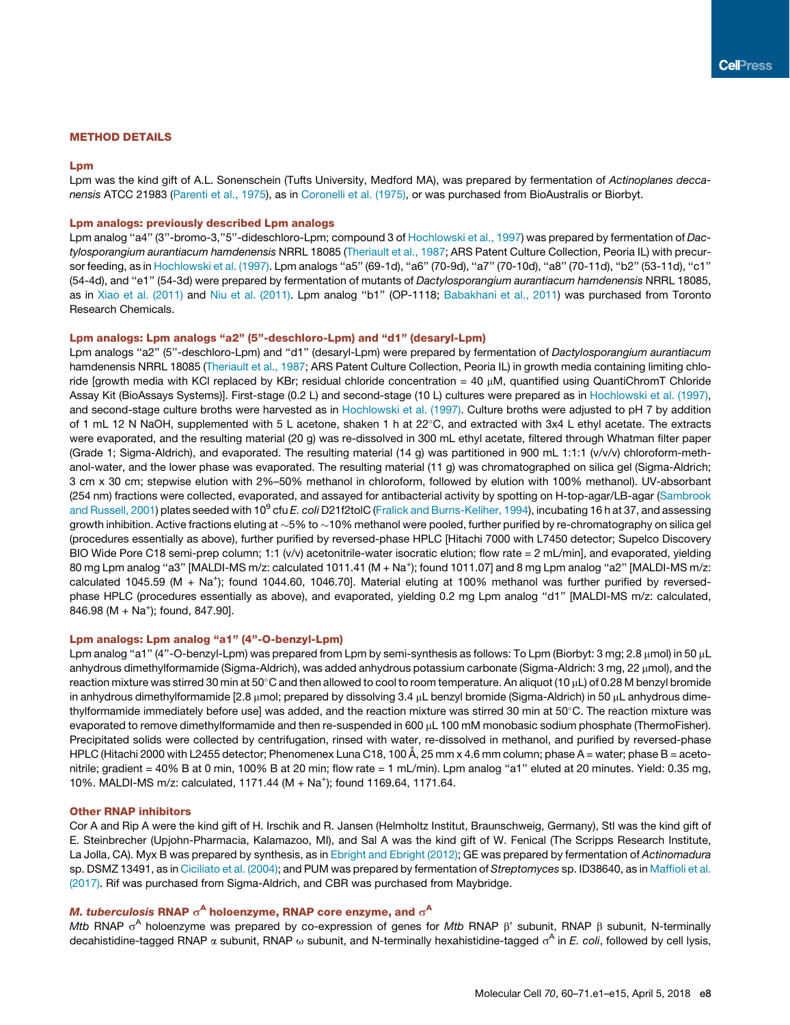## METHOD DETAILS

## Lpm

Lpm was the kind gift of A.L. Sonenschein (Tufts University, Medford MA), was prepared by fermentation of *Actinoplanes deccanensis* ATCC 21983 (Parenti et al., 1975), as in Coronelli et al. (1975), or was purchased from BioAustralis or Biorbyt.

## Lpm analogs: previously described Lpm analogs

Lpm analog ''a4'' (3''-bromo-3,''5''-dideschloro-Lpm; compound 3 of Hochlowski et al., 1997) was prepared by fermentation of *Dactylosporangium aurantiacum hamdenensis* NRRL 18085 (Theriault et al., 1987; ARS Patent Culture Collection, Peoria IL) with precursor feeding, as in Hochlowski et al. (1997). Lpm analogs ''a5'' (69-1d), ''a6'' (70-9d), ''a7'' (70-10d), ''a8'' (70-11d), ''b2'' (53-11d), ''c1'' (54-4d), and ''e1'' (54-3d) were prepared by fermentation of mutants of *Dactylosporangium aurantiacum hamdenensis* NRRL 18085, as in Xiao et al. (2011) and Niu et al. (2011). Lpm analog ''b1'' (OP-1118; Babakhani et al., 2011) was purchased from Toronto Research Chemicals.

## Lpm analogs: Lpm analogs "a2" (5"-deschloro-Lpm) and "d1" (desaryl-Lpm)

Lpm analogs ''a2'' (5''-deschloro-Lpm) and ''d1'' (desaryl-Lpm) were prepared by fermentation of *Dactylosporangium aurantiacum* hamdenensis NRRL 18085 (Theriault et al., 1987; ARS Patent Culture Collection, Peoria IL) in growth media containing limiting chloride [growth media with KCI replaced by KBr; residual chloride concentration = 40  $\mu$ M, quantified using QuantiChromT Chloride Assay Kit (BioAssays Systems)]. First-stage (0.2 L) and second-stage (10 L) cultures were prepared as in Hochlowski et al. (1997), and second-stage culture broths were harvested as in Hochlowski et al. (1997). Culture broths were adjusted to pH 7 by addition of 1 mL 12 N NaOH, supplemented with 5 L acetone, shaken 1 h at  $22^{\circ}$ C, and extracted with 3x4 L ethyl acetate. The extracts were evaporated, and the resulting material (20 g) was re-dissolved in 300 mL ethyl acetate, filtered through Whatman filter paper (Grade 1; Sigma-Aldrich), and evaporated. The resulting material (14 g) was partitioned in 900 mL 1:1:1 (v/v/v) chloroform-methanol-water, and the lower phase was evaporated. The resulting material (11 g) was chromatographed on silica gel (Sigma-Aldrich; 3 cm x 30 cm; stepwise elution with 2%–50% methanol in chloroform, followed by elution with 100% methanol). UV-absorbant (254 nm) fractions were collected, evaporated, and assayed for antibacterial activity by spotting on H-top-agar/LB-agar (Sambrook and Russell, 2001) <mark>plates seeded with 10<sup>9</sup> cfu *E. coli* D21f2tolC (Frali</mark>ck and Burns-Keliher, 1994), incubating 16 h at 37, and assessing growth inhibition. Active fractions eluting at  $\sim$  5% to  $\sim$  10% methanol were pooled, further purified by re-chromatography on silica gel (procedures essentially as above), further purified by reversed-phase HPLC [Hitachi 7000 with L7450 detector; Supelco Discovery BIO Wide Pore C18 semi-prep column; 1:1 (v/v) acetonitrile-water isocratic elution; flow rate = 2 mL/min], and evaporated, yielding 80 mg Lpm analog ''a3'' [MALDI-MS m/z: calculated 1011.41 (M + Na<sup>+</sup> ); found 1011.07] and 8 mg Lpm analog ''a2'' [MALDI-MS m/z: calculated 1045.59 (M + Na<sup>+</sup>); found 1044.60, 1046.70]. Material eluting at 100% methanol was further purified by reversedphase HPLC (procedures essentially as above), and evaporated, yielding 0.2 mg Lpm analog "d1" [MALDI-MS m/z: calculated,  $846.98 (M + Na<sup>+</sup>)$ ; found,  $847.90$ ].

## Lpm analogs: Lpm analog "a1" (4"-O-benzyl-Lpm)

Lpm analog "a1" (4"-O-benzyl-Lpm) was prepared from Lpm by semi-synthesis as follows: To Lpm (Biorbyt: 3 mg; 2.8 µmol) in 50 µL anhydrous dimethylformamide (Sigma-Aldrich), was added anhydrous potassium carbonate (Sigma-Aldrich: 3 mg, 22 µmol), and the reaction mixture was stirred 30 min at 50 $^{\circ}$ C and then allowed to cool to room temperature. An aliquot (10 µL) of 0.28 M benzyl bromide in anhydrous dimethylformamide [2.8  $\mu$ mol; prepared by dissolving 3.4  $\mu$ L benzyl bromide (Sigma-Aldrich) in 50  $\mu$ L anhydrous dimethylformamide immediately before use] was added, and the reaction mixture was stirred 30 min at  $50^{\circ}$ C. The reaction mixture was evaporated to remove dimethylformamide and then re-suspended in 600 µL 100 mM monobasic sodium phosphate (ThermoFisher). Precipitated solids were collected by centrifugation, rinsed with water, re-dissolved in methanol, and purified by reversed-phase HPLC (Hitachi 2000 with L2455 detector; Phenomenex Luna C18, 100 Å, 25 mm x 4.6 mm column; phase A = water; phase B = acetonitrile; gradient = 40% B at 0 min, 100% B at 20 min; flow rate = 1 mL/min). Lpm analog "a1" eluted at 20 minutes. Yield: 0.35 mg, 10%. MALDI-MS m/z: calculated, 1171.44 (M + Na<sup>+</sup> ); found 1169.64, 1171.64.

#### Other RNAP inhibitors

Cor A and Rip A were the kind gift of H. Irschik and R. Jansen (Helmholtz Institut, Braunschweig, Germany), Stl was the kind gift of E. Steinbrecher (Upjohn-Pharmacia, Kalamazoo, MI), and Sal A was the kind gift of W. Fenical (The Scripps Research Institute, La Jolla, CA). Myx B was prepared by synthesis, as in Ebright and Ebright (2012); GE was prepared by fermentation of *Actinomadura* sp. DSMZ 13491, as in Ciciliato et al. (2004); and PUM was prepared by fermentation of *Streptomyces* sp. ID38640, as in Maffioli et al. (2017). Rif was purchased from Sigma-Aldrich, and CBR was purchased from Maybridge.

## *M. tuberculosis* RNAP  $\sigma^{\mathsf{A}}$  holoenzyme, RNAP core enzyme, and  $\sigma^{\mathsf{A}}$

Mtb RNAP σ<sup>A</sup> holoenzyme was prepared by co-expression of genes for *Mtb* RNAP β' subunit, RNAP β subunit, N-terminally decahistidine-tagged RNAP α subunit, RNAP ω subunit, and N-terminally hexahistidine-tagged σ<sup>A</sup> in *E. coli*, followed by cell lysis,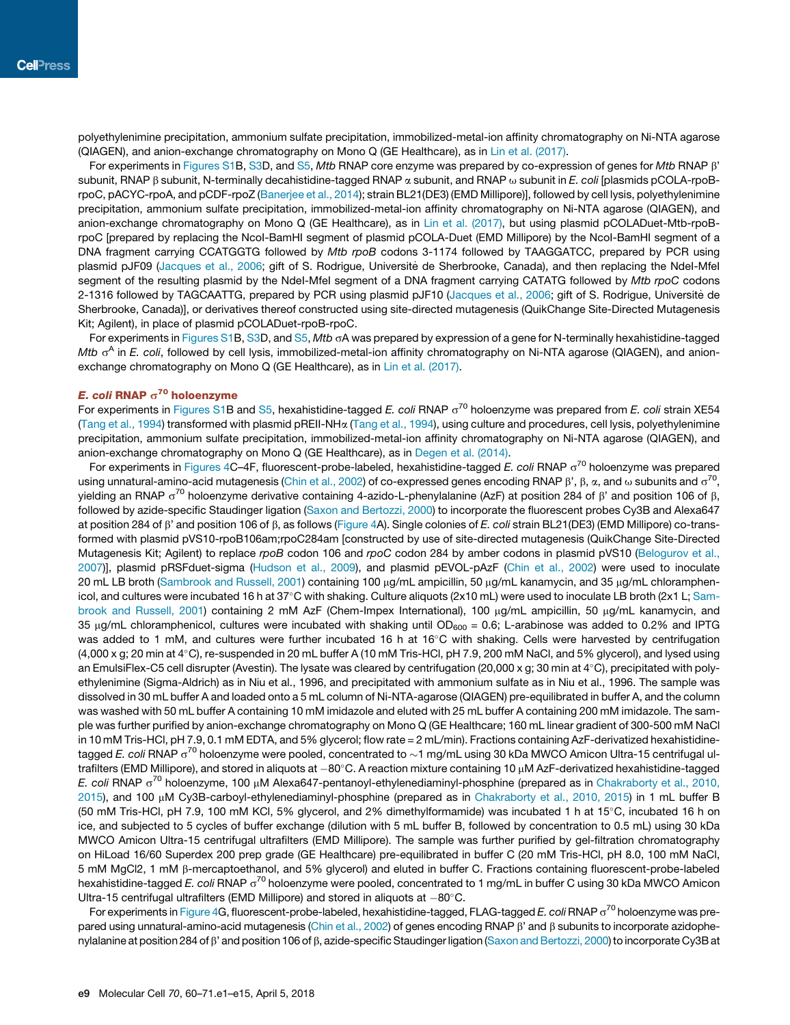polyethylenimine precipitation, ammonium sulfate precipitation, immobilized-metal-ion affinity chromatography on Ni-NTA agarose (QIAGEN), and anion-exchange chromatography on Mono Q (GE Healthcare), as in Lin et al. (2017).

For experiments in Figures S1B, S3D, and S5, *Mtb* RNAP core enzyme was prepared by co-expression of genes for *Mtb* RNAP b' subunit, RNAP β subunit, N-terminally decahistidine-tagged RNAP α subunit, and RNAP ω subunit in *E. coli* [plasmids pCOLA-rpoBrpoC, pACYC-rpoA, and pCDF-rpoZ (Banerjee et al., 2014); strain BL21(DE3) (EMD Millipore)], followed by cell lysis, polyethylenimine precipitation, ammonium sulfate precipitation, immobilized-metal-ion affinity chromatography on Ni-NTA agarose (QIAGEN), and anion-exchange chromatography on Mono Q (GE Healthcare), as in Lin et al. (2017), but using plasmid pCOLADuet-Mtb-rpoBrpoC [prepared by replacing the NcoI-BamHI segment of plasmid pCOLA-Duet (EMD Millipore) by the NcoI-BamHI segment of a DNA fragment carrying CCATGGTG followed by *Mtb rpoB* codons 3-1174 followed by TAAGGATCC, prepared by PCR using plasmid pJF09 (Jacques et al., 2006; gift of S. Rodrigue, Universite de Sherbrooke, Canada), and then replacing the Ndel-Mfel segment of the resulting plasmid by the NdeI-MfeI segment of a DNA fragment carrying CATATG followed by *Mtb rpoC* codons 2-1316 followed by TAGCAATTG, prepared by PCR using plasmid pJF10 (Jacques et al., 2006; gift of S. Rodrigue, Universite de Sherbrooke, Canada)], or derivatives thereof constructed using site-directed mutagenesis (QuikChange Site-Directed Mutagenesis Kit; Agilent), in place of plasmid pCOLADuet-rpoB-rpoC.

For experiments in Figures S1B, S3D, and S5, *Mtb* sA was prepared by expression of a gene for N-terminally hexahistidine-tagged *Mtb* o<sup>A</sup> in *E. coli*, followed by cell lysis, immobilized-metal-ion affinity chromatography on Ni-NTA agarose (QIAGEN), and anionexchange chromatography on Mono Q (GE Healthcare), as in Lin et al. (2017).

## *E. coli* RNAP  $\sigma^{\mathbf{70}}$  holoenzyme

For experiments in Figures S1B and S5, hexahistidine-tagged *E. coli* RNAP  $\sigma^{70}$  holoenzyme was prepared from *E. coli* strain XE54 (Tang et al., 1994) transformed with plasmid pREII-NHa (Tang et al., 1994), using culture and procedures, cell lysis, polyethylenimine precipitation, ammonium sulfate precipitation, immobilized-metal-ion affinity chromatography on Ni-NTA agarose (QIAGEN), and anion-exchange chromatography on Mono Q (GE Healthcare), as in Degen et al. (2014).

For experiments in Figures 4C–4F, fluorescent-probe-labeled, hexahistidine-tagged *E. coli* RNAP  $\sigma^{70}$  holoenzyme was prepared using unnatural-amino-acid mutagenesis (Chin et al., 2002) of co-expressed genes encoding RNAP  $\beta'$ ,  $\beta$ ,  $\alpha$ , and  $\omega$  subunits and  $\sigma^{70}$ , yielding an RNAP  $\sigma^{70}$  holoenzyme derivative containing 4-azido-L-phenylalanine (AzF) at position 284 of  $\beta$ ' and position 106 of  $\beta$ , followed by azide-specific Staudinger ligation (Saxon and Bertozzi, 2000) to incorporate the fluorescent probes Cy3B and Alexa647 at position 284 of β' and position 106 of β, as follows (Figure 4A). Single colonies of *E. coli* strain BL21(DE3) (EMD Millipore) co-transformed with plasmid pVS10-rpoB106am;rpoC284am [constructed by use of site-directed mutagenesis (QuikChange Site-Directed Mutagenesis Kit; Agilent) to replace *rpoB* codon 106 and *rpoC* codon 284 by amber codons in plasmid pVS10 (Belogurov et al., 2007)], plasmid pRSFduet-sigma (Hudson et al., 2009), and plasmid pEVOL-pAzF (Chin et al., 2002) were used to inoculate 20 mL LB broth (Sambrook and Russell, 2001) containing 100 μg/mL ampicillin, 50 μg/mL kanamycin, and 35 μg/mL chloramphenicol, and cultures were incubated 16 h at 37°C with shaking. Culture aliquots (2x10 mL) were used to inoculate LB broth (2x1 L; Sambrook and Russell, 2001) containing 2 mM AzF (Chem-Impex International), 100 µg/mL ampicillin, 50 µg/mL kanamycin, and 35  $\mu$ g/mL chloramphenicol, cultures were incubated with shaking until OD<sub>600</sub> = 0.6; L-arabinose was added to 0.2% and IPTG was added to 1 mM, and cultures were further incubated 16 h at  $16^{\circ}$ C with shaking. Cells were harvested by centrifugation  $(4,000 \times g; 20 \text{ min at } 4^{\circ}\text{C})$ , re-suspended in 20 mL buffer A (10 mM Tris-HCl, pH 7.9, 200 mM NaCl, and 5% glycerol), and lysed using an EmulsiFlex-C5 cell disrupter (Avestin). The lysate was cleared by centrifugation (20,000 x g; 30 min at  $4^{\circ}$ C), precipitated with polyethylenimine (Sigma-Aldrich) as in Niu et al., 1996, and precipitated with ammonium sulfate as in Niu et al., 1996. The sample was dissolved in 30 mL buffer A and loaded onto a 5 mL column of Ni-NTA-agarose (QIAGEN) pre-equilibrated in buffer A, and the column was washed with 50 mL buffer A containing 10 mM imidazole and eluted with 25 mL buffer A containing 200 mM imidazole. The sample was further purified by anion-exchange chromatography on Mono Q (GE Healthcare; 160 mL linear gradient of 300-500 mM NaCl in 10 mM Tris-HCl, pH 7.9, 0.1 mM EDTA, and 5% glycerol; flow rate = 2 mL/min). Fractions containing AzF-derivatized hexahistidinetagged *E. coli* RNAP  $\sigma^{70}$  holoenzyme were pooled, concentrated to  $\sim$ 1 mg/mL using 30 kDa MWCO Amicon Ultra-15 centrifugal ultrafilters (EMD Millipore), and stored in aliquots at  $-80^{\circ}$ C. A reaction mixture containing 10  $\mu$ M AzF-derivatized hexahistidine-tagged E. coli RNAP σ<sup>70</sup> holoenzyme, 100 μM Alexa647-pentanoyl-ethylenediaminyl-phosphine (prepared as in Chakraborty et al., 2010, 2015), and 100 µM Cy3B-carboyl-ethylenediaminyl-phosphine (prepared as in Chakraborty et al., 2010, 2015) in 1 mL buffer B (50 mM Tris-HCl, pH 7.9, 100 mM KCl, 5% glycerol, and 2% dimethylformamide) was incubated 1 h at 15°C, incubated 16 h on ice, and subjected to 5 cycles of buffer exchange (dilution with 5 mL buffer B, followed by concentration to 0.5 mL) using 30 kDa MWCO Amicon Ultra-15 centrifugal ultrafilters (EMD Millipore). The sample was further purified by gel-filtration chromatography on HiLoad 16/60 Superdex 200 prep grade (GE Healthcare) pre-equilibrated in buffer C (20 mM Tris-HCl, pH 8.0, 100 mM NaCl, 5 mM MgCl2, 1 mM b-mercaptoethanol, and 5% glycerol) and eluted in buffer C. Fractions containing fluorescent-probe-labeled hexahistidine-tagged *E. coli* RNAP o<sup>70</sup> holoenzyme were pooled, concentrated to 1 mg/mL in buffer C using 30 kDa MWCO Amicon Ultra-15 centrifugal ultrafilters (EMD Millipore) and stored in aliquots at  $-80^{\circ}$ C.

For experiments in Figure 4G, fluorescent-probe-labeled, hexahistidine-tagged, FLAG-tagged *E. coli* RNAP  $\sigma^{70}$  holoenzyme was prepared using unnatural-amino-acid mutagenesis (Chin et al., 2002) of genes encoding RNAP  $\beta'$  and  $\beta$  subunits to incorporate azidophenylalanine at position 284 of β' and position 106 of β, azide-specific Staudinger ligation (Saxon and Bertozzi, 2000) to incorporate Cy3B at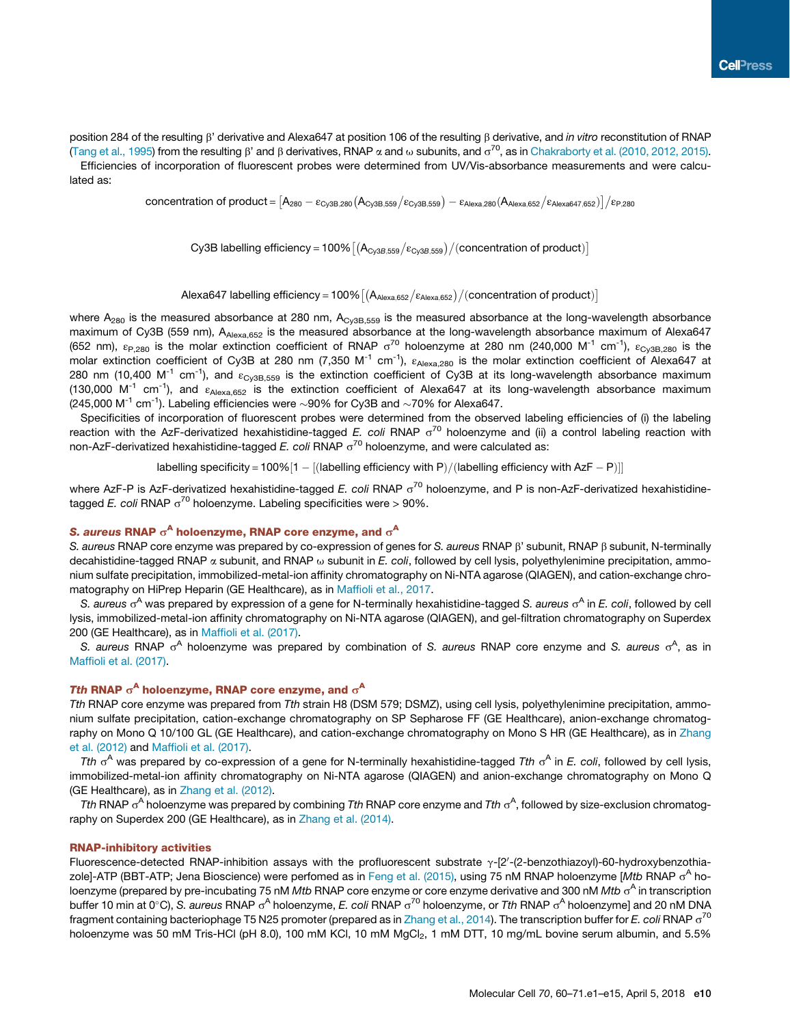position 284 of the resulting b' derivative and Alexa647 at position 106 of the resulting b derivative, and *in vitro* reconstitution of RNAP (Tang et al., 1995) from the resulting  $\beta$ ' and  $\beta$  derivatives, RNAP  $\alpha$  and  $\omega$  subunits, and  $\sigma^{70}$ , as in Chakraborty et al. (2010, 2012, 2015). Efficiencies of incorporation of fluorescent probes were determined from UV/Vis-absorbance measurements and were calculated as:

 $\text{concentration of product} = [\mathsf{A}_{280}-\varepsilon_{\text{Cy3B,280}}(\mathsf{A}_{\text{Cy3B,559}}/\varepsilon_{\text{Cy3B,559}})-\varepsilon_{\text{Alexa,280}}(\mathsf{A}_{\text{Alexa,652}}/\varepsilon_{\text{Alexa647,652}})]/\varepsilon_{\text{P,280}}$ 

Cy3B labelling efficiency = 100%  $\left[(A_{\text{Cy3B,559}}/\varepsilon_{\text{Cy3B,559}})/( \text{concentration of product})\right]$ 

Alexa647 labelling efficiency = 100%  $\left[(\mathsf{A}_{\mathsf{Alexa},652}/\varepsilon_{\mathsf{Alexa},652})/(\text{concentration of product})\right]$ 

where  $A_{280}$  is the measured absorbance at 280 nm,  $A_{\text{Cy3B,559}}$  is the measured absorbance at the long-wavelength absorbance maximum of Cy3B (559 nm), A<sub>Alexa,652</sub> is the measured absorbance at the long-wavelength absorbance maximum of Alexa647 (652 nm),  $\varepsilon_{P,280}$  is the molar extinction coefficient of RNAP  $\sigma^{70}$  holoenzyme at 280 nm (240,000 M<sup>-1</sup> cm<sup>-1</sup>),  $\varepsilon_{\rm Cy3B,280}$  is the molar extinction coefficient of Cy3B at 280 nm (7,350 M<sup>-1</sup> cm<sup>-1</sup>),  $\varepsilon_{A|exa,280}$  is the molar extinction coefficient of Alexa647 at 280 nm (10,400 M<sup>-1</sup> cm<sup>-1</sup>), and  $\varepsilon_{\text{CV3B,559}}$  is the extinction coefficient of Cy3B at its long-wavelength absorbance maximum (130,000 M<sup>-1</sup> cm<sup>-1</sup>), and  $\varepsilon_{A|exa,652}$  is the extinction coefficient of Alexa647 at its long-wavelength absorbance maximum (245,000 M<sup>-1</sup> cm<sup>-1</sup>). Labeling efficiencies were  $\sim$ 90% for Cy3B and  $\sim$ 70% for Alexa647.

Specificities of incorporation of fluorescent probes were determined from the observed labeling efficiencies of (i) the labeling reaction with the AzF-derivatized hexahistidine-tagged *E. coli* RNAP  $\sigma^{70}$  holoenzyme and (ii) a control labeling reaction with non-AzF-derivatized hexahistidine-tagged *E. coli* RNAP  $\sigma^{70}$  holoenzyme, and were calculated as:

labelling specificity = 100%  $[1 - [(labelling efficiency with P) / (labelling efficiency with AzF - P)]]$ 

where AzF-P is AzF-derivatized hexahistidine-tagged *E. coli* RNAP  $\sigma^{70}$  holoenzyme, and P is non-AzF-derivatized hexahistidinetagged *E. coli* RNAP  $\sigma^{70}$  holoenzyme. Labeling specificities were > 90%.

## S. aureus RNAP  $\sigma^{\mathsf{A}}$  holoenzyme, RNAP core enzyme, and  $\sigma^{\mathsf{A}}$

S. aureus RNAP core enzyme was prepared by co-expression of genes for *S. aureus* RNAP β' subunit, RNAP β subunit, N-terminally decahistidine-tagged RNAP a subunit, and RNAP u subunit in *E. coli*, followed by cell lysis, polyethylenimine precipitation, ammonium sulfate precipitation, immobilized-metal-ion affinity chromatography on Ni-NTA agarose (QIAGEN), and cation-exchange chromatography on HiPrep Heparin (GE Healthcare), as in Maffioli et al., 2017.

S. aureus o<sup>A</sup> was prepared by expression of a gene for N-terminally hexahistidine-tagged S. aureus o<sup>A</sup> in *E. coli*, followed by cell lysis, immobilized-metal-ion affinity chromatography on Ni-NTA agarose (QIAGEN), and gel-filtration chromatography on Superdex 200 (GE Healthcare), as in Maffioli et al. (2017).

S. aureus RNAP o<sup>A</sup> holoenzyme was prepared by combination of *S. aureus* RNAP core enzyme and *S. aureus* o<sup>A</sup>, as in Maffioli et al. (2017).

## Tth RNAP  $\sigma^{\mathsf{A}}$  holoenzyme, RNAP core enzyme, and  $\sigma^{\mathsf{A}}$

*Tth* RNAP core enzyme was prepared from *Tth* strain H8 (DSM 579; DSMZ), using cell lysis, polyethylenimine precipitation, ammonium sulfate precipitation, cation-exchange chromatography on SP Sepharose FF (GE Healthcare), anion-exchange chromatography on Mono Q 10/100 GL (GE Healthcare), and cation-exchange chromatography on Mono S HR (GE Healthcare), as in Zhang et al. (2012) and Maffioli et al. (2017).

Tth  $\sigma^A$  was prepared by co-expression of a gene for N-terminally hexahistidine-tagged Tth  $\sigma^A$  in *E. coli*, followed by cell lysis, immobilized-metal-ion affinity chromatography on Ni-NTA agarose (QIAGEN) and anion-exchange chromatography on Mono Q (GE Healthcare), as in Zhang et al. (2012).

Tth RNAP o<sup>A</sup> holoenzyme was prepared by combining *Tth* RNAP core enzyme and *Tth* o<sup>A</sup>, followed by size-exclusion chromatography on Superdex 200 (GE Healthcare), as in Zhang et al. (2014).

## RNAP-inhibitory activities

Fluorescence-detected RNAP-inhibition assays with the profluorescent substrate  $\gamma$ -[2'-(2-benzothiazoyl)-60-hydroxybenzothiazole]-ATP (BBT-ATP; Jena Bioscience) were perfomed as in Feng et al. (2015), using 75 nM RNAP holoenzyme [*Mtb* RNAP o<sup>A</sup> holoenzyme (prepared by pre-incubating 75 nM *Mtb* RNAP core enzyme or core enzyme derivative and 300 nM *Mtb o<sup>A</sup>* in transcription buffer 10 min at 0°C), S. *aureus* RNAP o<sup>A</sup> holoenzyme, *E. coli* RNAP o<sup>70</sup> holoenzyme, or *Tth* RNAP o<sup>A</sup> holoenzyme] and 20 nM DNA fragment containing bacteriophage T5 N25 promoter (prepared as in Zhang et al., 2014). The transcription buffer for *E. coli* RNAP  $\sigma^{70}$ holoenzyme was 50 mM Tris-HCl (pH 8.0), 100 mM KCl, 10 mM MgCl<sub>2</sub>, 1 mM DTT, 10 mg/mL bovine serum albumin, and 5.5%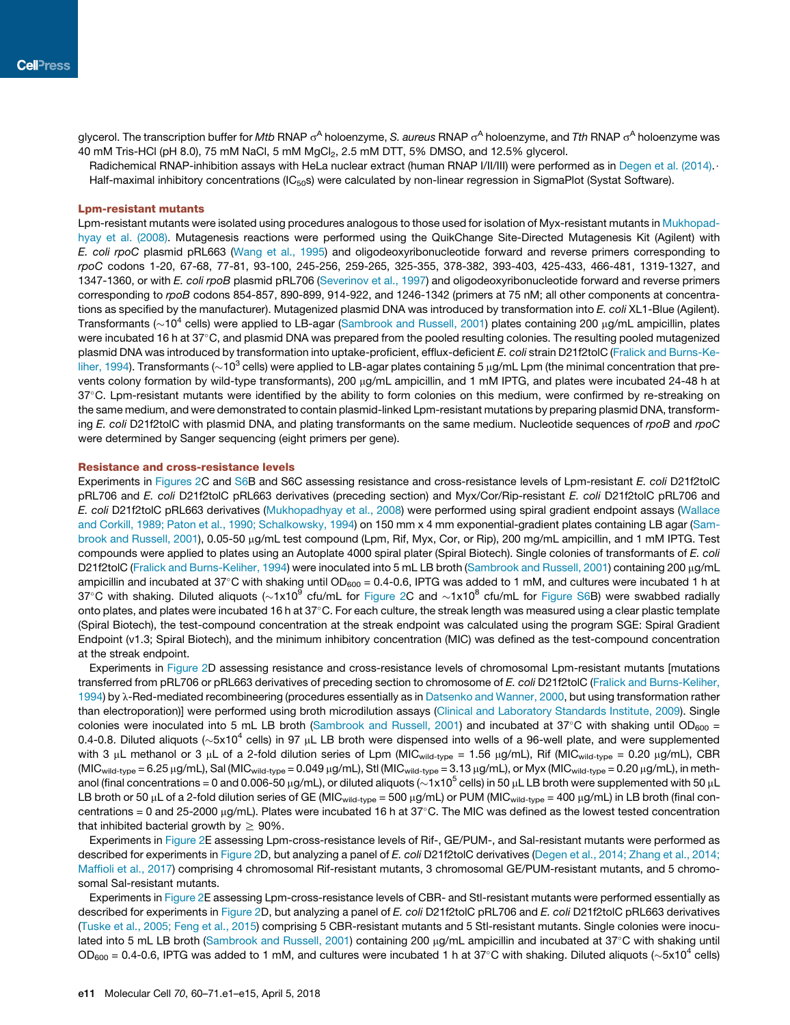glycerol. The transcription buffer for *Mtb* RNAP  $\sigma^A$  holoenzyme, *S. aureus* RNAP  $\sigma^A$  holoenzyme, and *Tth* RNAP  $\sigma^A$  holoenzyme was 40 mM Tris-HCl (pH 8.0), 75 mM NaCl, 5 mM MgCl<sub>2</sub>, 2.5 mM DTT, 5% DMSO, and 12.5% glycerol.

Radichemical RNAP-inhibition assays with HeLa nuclear extract (human RNAP I/II/III) were performed as in Degen et al. (2014). Half-maximal inhibitory concentrations (IC<sub>50</sub>s) were calculated by non-linear regression in SigmaPlot (Systat Software).

## Lpm-resistant mutants

Lpm-resistant mutants were isolated using procedures analogous to those used for isolation of Myx-resistant mutants in Mukhopadhyay et al. (2008). Mutagenesis reactions were performed using the QuikChange Site-Directed Mutagenesis Kit (Agilent) with *E. coli rpoC* plasmid pRL663 (Wang et al., 1995) and oligodeoxyribonucleotide forward and reverse primers corresponding to *rpoC* codons 1-20, 67-68, 77-81, 93-100, 245-256, 259-265, 325-355, 378-382, 393-403, 425-433, 466-481, 1319-1327, and 1347-1360, or with *E. coli rpoB* plasmid pRL706 (Severinov et al., 1997) and oligodeoxyribonucleotide forward and reverse primers corresponding to *rpoB* codons 854-857, 890-899, 914-922, and 1246-1342 (primers at 75 nM; all other components at concentrations as specified by the manufacturer). Mutagenized plasmid DNA was introduced by transformation into *E. coli* XL1-Blue (Agilent). Transformants ( $\sim$ 10<sup>4</sup> cells) were applied to LB-agar (Sambrook and Russell, 2001) plates containing 200 µg/mL ampicillin, plates were incubated 16 h at  $37^{\circ}$ C, and plasmid DNA was prepared from the pooled resulting colonies. The resulting pooled mutagenized plasmid DNA was introduced by transformation into uptake-proficient, efflux-deficient *E. coli* strain D21f2tolC (Fralick and Burns-Keliher, 1994). Transformants ( $\sim$ 10<sup>3</sup> cells) were applied to LB-agar plates containing 5 µg/mL Lpm (the minimal concentration that prevents colony formation by wild-type transformants), 200 µg/mL ampicillin, and 1 mM IPTG, and plates were incubated 24-48 h at 37C. Lpm-resistant mutants were identified by the ability to form colonies on this medium, were confirmed by re-streaking on the same medium, and were demonstrated to contain plasmid-linked Lpm-resistant mutations by preparing plasmid DNA, transforming *E. coli* D21f2tolC with plasmid DNA, and plating transformants on the same medium. Nucleotide sequences of *rpoB* and *rpoC* were determined by Sanger sequencing (eight primers per gene).

## Resistance and cross-resistance levels

Experiments in Figures 2C and S6B and S6C assessing resistance and cross-resistance levels of Lpm-resistant *E. coli* D21f2tolC pRL706 and *E. coli* D21f2tolC pRL663 derivatives (preceding section) and Myx/Cor/Rip-resistant *E. coli* D21f2tolC pRL706 and *E. coli* D21f2tolC pRL663 derivatives (Mukhopadhyay et al., 2008) were performed using spiral gradient endpoint assays (Wallace and Corkill, 1989; Paton et al., 1990; Schalkowsky, 1994) on 150 mm x 4 mm exponential-gradient plates containing LB agar (Sambrook and Russell, 2001), 0.05-50 µg/mL test compound (Lpm, Rif, Myx, Cor, or Rip), 200 mg/mL ampicillin, and 1 mM IPTG. Test compounds were applied to plates using an Autoplate 4000 spiral plater (Spiral Biotech). Single colonies of transformants of *E. coli* D21f2tolC (Fralick and Burns-Keliher, 1994) were inoculated into 5 mL LB broth (Sambrook and Russell, 2001) containing 200 µg/mL ampicillin and incubated at 37°C with shaking until OD<sub>600</sub> = 0.4-0.6, IPTG was added to 1 mM, and cultures were incubated 1 h at 37°C with shaking. Diluted aliquots ( $\sim$ 1x10 $^9$  cfu/mL for Figure 2C and  $\sim$ 1x10 $^8$  cfu/mL for Figure S6B) were swabbed radially onto plates, and plates were incubated 16 h at 37°C. For each culture, the streak length was measured using a clear plastic template (Spiral Biotech), the test-compound concentration at the streak endpoint was calculated using the program SGE: Spiral Gradient Endpoint (v1.3; Spiral Biotech), and the minimum inhibitory concentration (MIC) was defined as the test-compound concentration at the streak endpoint.

Experiments in Figure 2D assessing resistance and cross-resistance levels of chromosomal Lpm-resistant mutants [mutations transferred from pRL706 or pRL663 derivatives of preceding section to chromosome of *E. coli* D21f2tolC (Fralick and Burns-Keliher, 1994) by λ-Red-mediated recombineering (procedures essentially as in Datsenko and Wanner, 2000, but using transformation rather than electroporation)] were performed using broth microdilution assays (Clinical and Laboratory Standards Institute, 2009). Single colonies were inoculated into 5 mL LB broth (Sambrook and Russell, 2001) and incubated at 37°C with shaking until OD<sub>600</sub> = 0.4-0.8. Diluted aliquots ( $\sim$ 5x10<sup>4</sup> cells) in 97 µL LB broth were dispensed into wells of a 96-well plate, and were supplemented with 3  $\mu$ L methanol or 3  $\mu$ L of a 2-fold dilution series of Lpm (MIC<sub>wild-type</sub> = 1.56  $\mu$ g/mL), Rif (MIC<sub>wild-type</sub> = 0.20  $\mu$ g/mL), CBR  $(MIC_{\text{wild-type}} = 6.25 \,\mu\text{g/mL})$ , Sal  $(MIC_{\text{wild-type}} = 0.049 \,\mu\text{g/mL})$ , Stl  $(MIC_{\text{wild-type}} = 3.13 \,\mu\text{g/mL})$ , or Myx  $(MIC_{\text{wild-type}} = 0.20 \,\mu\text{g/mL})$ , in methanol (final concentrations = 0 and 0.006-50 µg/mL), or diluted aliquots ( $\sim$ 1x10<sup>5</sup> cells) in 50 µL LB broth were supplemented with 50 µL LB broth or 50 µL of a 2-fold dilution series of GE (MIC<sub>wild-type</sub> = 500 µg/mL) or PUM (MIC<sub>wild-type</sub> = 400 µg/mL) in LB broth (final concentrations = 0 and 25-2000  $\mu$ g/mL). Plates were incubated 16 h at 37°C. The MIC was defined as the lowest tested concentration that inhibited bacterial growth by  $\geq 90\%$ .

Experiments in Figure 2E assessing Lpm-cross-resistance levels of Rif-, GE/PUM-, and Sal-resistant mutants were performed as described for experiments in Figure 2D, but analyzing a panel of *E. coli* D21f2tolC derivatives (Degen et al., 2014; Zhang et al., 2014; Maffioli et al., 2017) comprising 4 chromosomal Rif-resistant mutants, 3 chromosomal GE/PUM-resistant mutants, and 5 chromosomal Sal-resistant mutants.

Experiments in Figure 2E assessing Lpm-cross-resistance levels of CBR- and Stl-resistant mutants were performed essentially as described for experiments in Figure 2D, but analyzing a panel of *E. coli* D21f2tolC pRL706 and *E. coli* D21f2tolC pRL663 derivatives (Tuske et al., 2005; Feng et al., 2015) comprising 5 CBR-resistant mutants and 5 Stl-resistant mutants. Single colonies were inoculated into 5 mL LB broth (Sambrook and Russell, 2001) containing 200 µg/mL ampicillin and incubated at 37°C with shaking until OD<sub>600</sub> = 0.4-0.6, IPTG was added to 1 mM, and cultures were incubated 1 h at 37°C with shaking. Diluted aliquots ( $\sim$ 5x10<sup>4</sup> cells)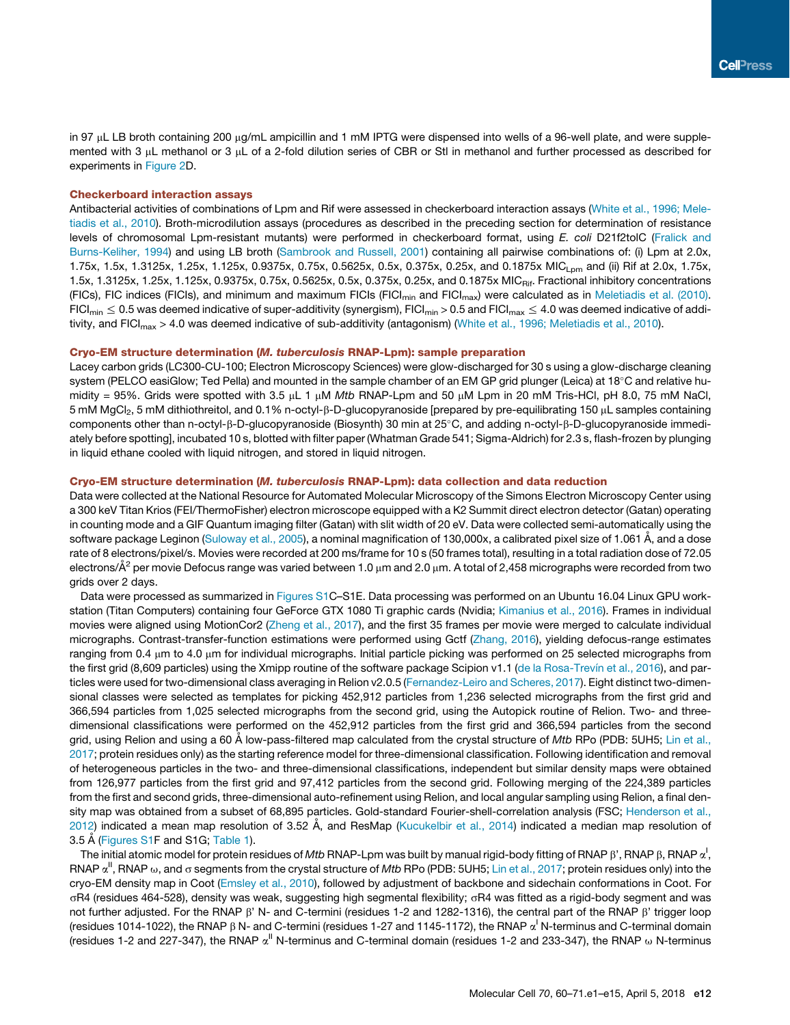in 97 µL LB broth containing 200 µg/mL ampicillin and 1 mM IPTG were dispensed into wells of a 96-well plate, and were supplemented with 3  $\mu$ L methanol or 3  $\mu$ L of a 2-fold dilution series of CBR or Stl in methanol and further processed as described for experiments in Figure 2D.

## Checkerboard interaction assays

Antibacterial activities of combinations of Lpm and Rif were assessed in checkerboard interaction assays (White et al., 1996; Meletiadis et al., 2010). Broth-microdilution assays (procedures as described in the preceding section for determination of resistance levels of chromosomal Lpm-resistant mutants) were performed in checkerboard format, using *E. coli* D21f2tolC (Fralick and Burns-Keliher, 1994) and using LB broth (Sambrook and Russell, 2001) containing all pairwise combinations of: (i) Lpm at 2.0x, 1.75x, 1.5x, 1.3125x, 1.25x, 1.125x, 0.9375x, 0.75x, 0.5625x, 0.5x, 0.375x, 0.25x, and 0.1875x MIC<sub>Lpm</sub> and (ii) Rif at 2.0x, 1.75x, 1.5x, 1.3125x, 1.25x, 1.125x, 0.9375x, 0.75x, 0.5625x, 0.5x, 0.375x, 0.25x, and 0.1875x MIC<sub>Rif</sub>. Fractional inhibitory concentrations (FICs), FIC indices (FICIs), and minimum and maximum FICIs (FICI<sub>min</sub> and FICI<sub>max</sub>) were calculated as in Meletiadis et al. (2010).  $FICI_{min} \leq 0.5$  was deemed indicative of super-additivity (synergism), FICI<sub>min</sub> > 0.5 and FICI<sub>max</sub>  $\leq 4.0$  was deemed indicative of additivity, and FICI<sub>max</sub> > 4.0 was deemed indicative of sub-additivity (antagonism) (White et al., 1996; Meletiadis et al., 2010).

## Cryo-EM structure determination (M. tuberculosis RNAP-Lpm): sample preparation

Lacey carbon grids (LC300-CU-100; Electron Microscopy Sciences) were glow-discharged for 30 s using a glow-discharge cleaning system (PELCO easiGlow; Ted Pella) and mounted in the sample chamber of an EM GP grid plunger (Leica) at 18°C and relative humidity = 95%. Grids were spotted with 3.5 μL 1 μM *Mtb* RNAP-Lpm and 50 μM Lpm in 20 mM Tris-HCl, pH 8.0, 75 mM NaCl, 5 mM MgCl<sub>2</sub>, 5 mM dithiothreitol, and 0.1% n-octyl-β-D-glucopyranoside [prepared by pre-equilibrating 150 µL samples containing components other than n-octyl-ß-D-glucopyranoside (Biosynth) 30 min at 25°C, and adding n-octyl-ß-D-glucopyranoside immediately before spotting], incubated 10 s, blotted with filter paper (Whatman Grade 541; Sigma-Aldrich) for 2.3 s, flash-frozen by plunging in liquid ethane cooled with liquid nitrogen, and stored in liquid nitrogen.

## Cryo-EM structure determination (M. tuberculosis RNAP-Lpm): data collection and data reduction

Data were collected at the National Resource for Automated Molecular Microscopy of the Simons Electron Microscopy Center using a 300 keV Titan Krios (FEI/ThermoFisher) electron microscope equipped with a K2 Summit direct electron detector (Gatan) operating in counting mode and a GIF Quantum imaging filter (Gatan) with slit width of 20 eV. Data were collected semi-automatically using the software package Leginon (Suloway et al., 2005), a nominal magnification of 130,000x, a calibrated pixel size of 1.061 Å, and a dose rate of 8 electrons/pixel/s. Movies were recorded at 200 ms/frame for 10 s (50 frames total), resulting in a total radiation dose of 72.05 electrons/Å $^2$  per movie Defocus range was varied between 1.0  $\mu$ m and 2.0  $\mu$ m. A total of 2,458 micrographs were recorded from two grids over 2 days.

Data were processed as summarized in Figures S1C–S1E. Data processing was performed on an Ubuntu 16.04 Linux GPU workstation (Titan Computers) containing four GeForce GTX 1080 Ti graphic cards (Nvidia; Kimanius et al., 2016). Frames in individual movies were aligned using MotionCor2 (Zheng et al., 2017), and the first 35 frames per movie were merged to calculate individual micrographs. Contrast-transfer-function estimations were performed using Gctf (Zhang, 2016), yielding defocus-range estimates ranging from  $0.4 \mu$ m to  $4.0 \mu$ m for individual micrographs. Initial particle picking was performed on 25 selected micrographs from the first grid (8,609 particles) using the Xmipp routine of the software package Scipion v1.1 (de la Rosa-Trevín et al., 2016), and particles were used for two-dimensional class averaging in Relion v2.0.5 (Fernandez-Leiro and Scheres, 2017). Eight distinct two-dimensional classes were selected as templates for picking 452,912 particles from 1,236 selected micrographs from the first grid and 366,594 particles from 1,025 selected micrographs from the second grid, using the Autopick routine of Relion. Two- and threedimensional classifications were performed on the 452,912 particles from the first grid and 366,594 particles from the second grid, using Relion and using a 60 Å low-pass-filtered map calculated from the crystal structure of *Mtb* RPo (PDB: 5UH5; Lin et al., 2017; protein residues only) as the starting reference model for three-dimensional classification. Following identification and removal of heterogeneous particles in the two- and three-dimensional classifications, independent but similar density maps were obtained from 126,977 particles from the first grid and 97,412 particles from the second grid. Following merging of the 224,389 particles from the first and second grids, three-dimensional auto-refinement using Relion, and local angular sampling using Relion, a final density map was obtained from a subset of 68,895 particles. Gold-standard Fourier-shell-correlation analysis (FSC; Henderson et al., 2012) indicated a mean map resolution of 3.52 Å, and ResMap (Kucukelbir et al., 2014) indicated a median map resolution of 3.5 Å (Figures S1F and S1G; Table 1).

The initial atomic model for protein residues of *Mtb* RNAP-Lpm was built by manual rigid-body fitting of RNAP  $\beta$ , RNAP  $\beta$ , RNAP  $\alpha^!$ , RNAP  $\alpha^{||}$ , RNAP  $\omega$ , and  $\sigma$  segments from the crystal structure of  $Mt$ b RPo (PDB: 5UH5; Lin et al., 2017; protein residues only) into the cryo-EM density map in Coot (Emsley et al., 2010), followed by adjustment of backbone and sidechain conformations in Coot. For sR4 (residues 464-528), density was weak, suggesting high segmental flexibility; sR4 was fitted as a rigid-body segment and was not further adjusted. For the RNAP  $\beta'$  N- and C-termini (residues 1-2 and 1282-1316), the central part of the RNAP  $\beta'$  trigger loop (residues 1014-1022), the RNAP  $\beta$  N- and C-termini (residues 1-27 and 1145-1172), the RNAP  $\alpha^{\prime}$  N-terminus and C-terminal domain (residues 1-2 and 227-347), the RNAP  $\alpha^{II}$  N-terminus and C-terminal domain (residues 1-2 and 233-347), the RNAP  $\omega$  N-terminus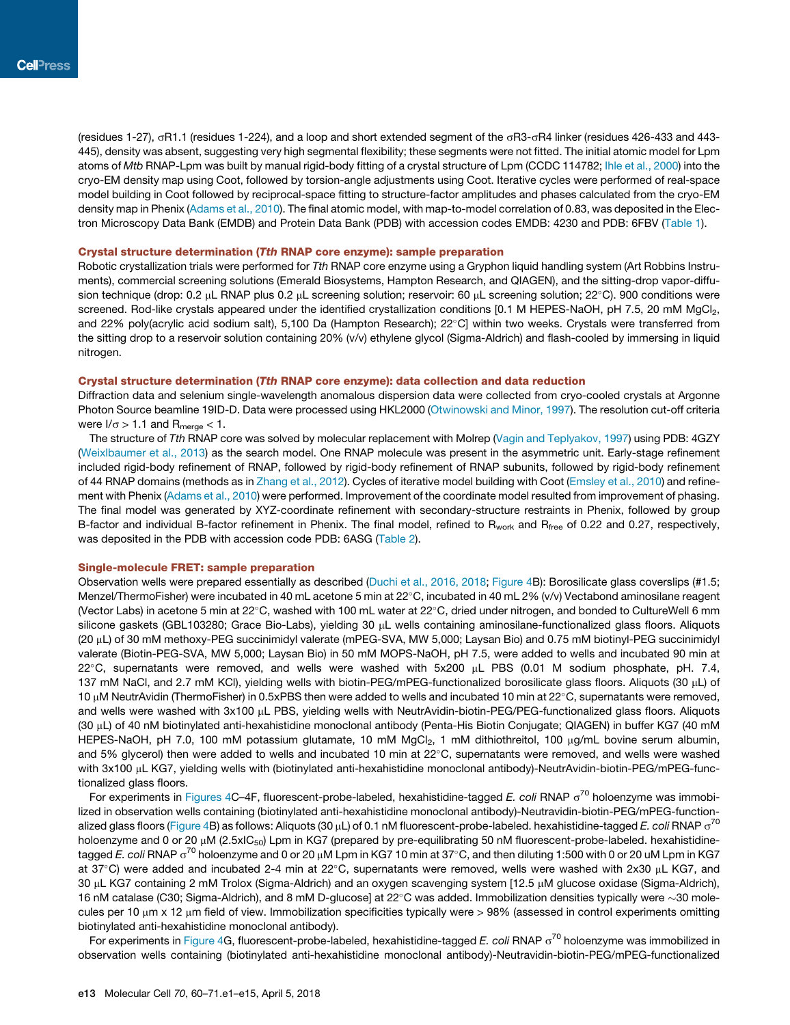(residues 1-27), sR1.1 (residues 1-224), and a loop and short extended segment of the sR3-sR4 linker (residues 426-433 and 443- 445), density was absent, suggesting very high segmental flexibility; these segments were not fitted. The initial atomic model for Lpm atoms of *Mtb* RNAP-Lpm was built by manual rigid-body fitting of a crystal structure of Lpm (CCDC 114782; Ihle et al., 2000) into the cryo-EM density map using Coot, followed by torsion-angle adjustments using Coot. Iterative cycles were performed of real-space model building in Coot followed by reciprocal-space fitting to structure-factor amplitudes and phases calculated from the cryo-EM density map in Phenix (Adams et al., 2010). The final atomic model, with map-to-model correlation of 0.83, was deposited in the Electron Microscopy Data Bank (EMDB) and Protein Data Bank (PDB) with accession codes EMDB: 4230 and PDB: 6FBV (Table 1).

#### Crystal structure determination (Tth RNAP core enzyme): sample preparation

Robotic crystallization trials were performed for *Tth* RNAP core enzyme using a Gryphon liquid handling system (Art Robbins Instruments), commercial screening solutions (Emerald Biosystems, Hampton Research, and QIAGEN), and the sitting-drop vapor-diffusion technique (drop: 0.2 µL RNAP plus 0.2 µL screening solution; reservoir: 60 µL screening solution; 22°C). 900 conditions were screened. Rod-like crystals appeared under the identified crystallization conditions [0.1 M HEPES-NaOH, pH 7.5, 20 mM MgCl<sub>2</sub>, and 22% poly(acrylic acid sodium salt), 5,100 Da (Hampton Research); 22°C] within two weeks. Crystals were transferred from the sitting drop to a reservoir solution containing 20% (v/v) ethylene glycol (Sigma-Aldrich) and flash-cooled by immersing in liquid nitrogen.

## Crystal structure determination (Tth RNAP core enzyme): data collection and data reduction

Diffraction data and selenium single-wavelength anomalous dispersion data were collected from cryo-cooled crystals at Argonne Photon Source beamline 19ID-D. Data were processed using HKL2000 (Otwinowski and Minor, 1997). The resolution cut-off criteria were  $I/\sigma > 1.1$  and  $R_{\text{merge}} < 1$ .

The structure of *Tth* RNAP core was solved by molecular replacement with Molrep (Vagin and Teplyakov, 1997) using PDB: 4GZY (Weixlbaumer et al., 2013) as the search model. One RNAP molecule was present in the asymmetric unit. Early-stage refinement included rigid-body refinement of RNAP, followed by rigid-body refinement of RNAP subunits, followed by rigid-body refinement of 44 RNAP domains (methods as in Zhang et al., 2012). Cycles of iterative model building with Coot (Emsley et al., 2010) and refinement with Phenix (Adams et al., 2010) were performed. Improvement of the coordinate model resulted from improvement of phasing. The final model was generated by XYZ-coordinate refinement with secondary-structure restraints in Phenix, followed by group B-factor and individual B-factor refinement in Phenix. The final model, refined to R<sub>work</sub> and R<sub>free</sub> of 0.22 and 0.27, respectively, was deposited in the PDB with accession code PDB: 6ASG (Table 2).

#### Single-molecule FRET: sample preparation

Observation wells were prepared essentially as described (Duchi et al., 2016, 2018; Figure 4B): Borosilicate glass coverslips (#1.5; Menzel/ThermoFisher) were incubated in 40 mL acetone 5 min at 22°C, incubated in 40 mL 2% (v/v) Vectabond aminosilane reagent (Vector Labs) in acetone 5 min at 22°C, washed with 100 mL water at 22°C, dried under nitrogen, and bonded to CultureWell 6 mm silicone gaskets (GBL103280; Grace Bio-Labs), yielding 30 µL wells containing aminosilane-functionalized glass floors. Aliquots (20 mL) of 30 mM methoxy-PEG succinimidyl valerate (mPEG-SVA, MW 5,000; Laysan Bio) and 0.75 mM biotinyl-PEG succinimidyl valerate (Biotin-PEG-SVA, MW 5,000; Laysan Bio) in 50 mM MOPS-NaOH, pH 7.5, were added to wells and incubated 90 min at 22°C, supernatants were removed, and wells were washed with 5x200 µL PBS (0.01 M sodium phosphate, pH. 7.4, 137 mM NaCl, and 2.7 mM KCl), yielding wells with biotin-PEG/mPEG-functionalized borosilicate glass floors. Aliquots (30 µL) of 10  $\mu$ M NeutrAvidin (ThermoFisher) in 0.5xPBS then were added to wells and incubated 10 min at 22 $\degree$ C, supernatants were removed, and wells were washed with 3x100 µL PBS, yielding wells with NeutrAvidin-biotin-PEG/PEG-functionalized glass floors. Aliquots (30 mL) of 40 nM biotinylated anti-hexahistidine monoclonal antibody (Penta-His Biotin Conjugate; QIAGEN) in buffer KG7 (40 mM HEPES-NaOH, pH 7.0, 100 mM potassium glutamate, 10 mM MgCl<sub>2</sub>, 1 mM dithiothreitol, 100 µg/mL bovine serum albumin, and 5% glycerol) then were added to wells and incubated 10 min at  $22^{\circ}$ C, supernatants were removed, and wells were washed with 3x100 µL KG7, yielding wells with (biotinylated anti-hexahistidine monoclonal antibody)-NeutrAvidin-biotin-PEG/mPEG-functionalized glass floors.

For experiments in Figures 4C–4F, fluorescent-probe-labeled, hexahistidine-tagged *E. coli* RNAP o<sup>70</sup> holoenzyme was immobilized in observation wells containing (biotinylated anti-hexahistidine monoclonal antibody)-Neutravidin-biotin-PEG/mPEG-functionalized glass floors (Figure 4B) as follows: Aliquots (30 µL) of 0.1 nM fluorescent-probe-labeled. hexahistidine-tagged *E. coli* RNAP  $\sigma^{70}$ holoenzyme and 0 or 20 µM (2.5xIC<sub>50</sub>) Lpm in KG7 (prepared by pre-equilibrating 50 nM fluorescent-probe-labeled. hexahistidinetagged *E. coli* RNAP σ<sup>70</sup> holoenzyme and 0 or 20 μM Lpm in KG7 10 min at 37°C, and then diluting 1:500 with 0 or 20 uM Lpm in KG7 at 37°C) were added and incubated 2-4 min at 22°C, supernatants were removed, wells were washed with 2x30  $\mu$ L KG7, and 30 µL KG7 containing 2 mM Trolox (Sigma-Aldrich) and an oxygen scavenging system [12.5 µM glucose oxidase (Sigma-Aldrich), 16 nM catalase (C30; Sigma-Aldrich), and 8 mM D-glucose] at 22°C was added. Immobilization densities typically were  $\sim$ 30 molecules per 10 um x 12 um field of view. Immobilization specificities typically were > 98% (assessed in control experiments omitting biotinylated anti-hexahistidine monoclonal antibody).

For experiments in Figure 4G, fluorescent-probe-labeled, hexahistidine-tagged *E. coli* RNAP  $\sigma^{70}$  holoenzyme was immobilized in observation wells containing (biotinylated anti-hexahistidine monoclonal antibody)-Neutravidin-biotin-PEG/mPEG-functionalized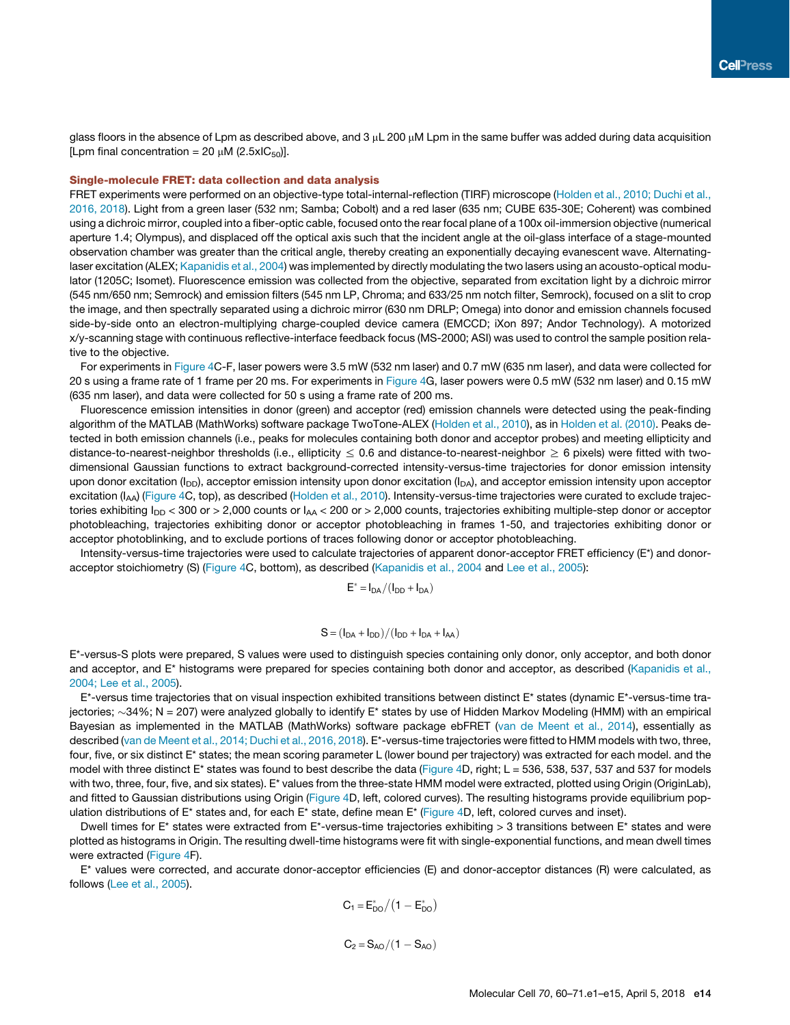glass floors in the absence of Lpm as described above, and 3 µL 200 µM Lpm in the same buffer was added during data acquisition [Lpm final concentration = 20  $\mu$ M (2.5xIC<sub>50</sub>)].

## Single-molecule FRET: data collection and data analysis

FRET experiments were performed on an objective-type total-internal-reflection (TIRF) microscope (Holden et al., 2010; Duchi et al., 2016, 2018). Light from a green laser (532 nm; Samba; Cobolt) and a red laser (635 nm; CUBE 635-30E; Coherent) was combined using a dichroic mirror, coupled into a fiber-optic cable, focused onto the rear focal plane of a 100x oil-immersion objective (numerical aperture 1.4; Olympus), and displaced off the optical axis such that the incident angle at the oil-glass interface of a stage-mounted observation chamber was greater than the critical angle, thereby creating an exponentially decaying evanescent wave. Alternatinglaser excitation (ALEX; Kapanidis et al., 2004) was implemented by directly modulating the two lasers using an acousto-optical modulator (1205C; Isomet). Fluorescence emission was collected from the objective, separated from excitation light by a dichroic mirror (545 nm/650 nm; Semrock) and emission filters (545 nm LP, Chroma; and 633/25 nm notch filter, Semrock), focused on a slit to crop the image, and then spectrally separated using a dichroic mirror (630 nm DRLP; Omega) into donor and emission channels focused side-by-side onto an electron-multiplying charge-coupled device camera (EMCCD; iXon 897; Andor Technology). A motorized x/y-scanning stage with continuous reflective-interface feedback focus (MS-2000; ASI) was used to control the sample position relative to the objective.

For experiments in Figure 4C-F, laser powers were 3.5 mW (532 nm laser) and 0.7 mW (635 nm laser), and data were collected for 20 s using a frame rate of 1 frame per 20 ms. For experiments in Figure 4G, laser powers were 0.5 mW (532 nm laser) and 0.15 mW (635 nm laser), and data were collected for 50 s using a frame rate of 200 ms.

Fluorescence emission intensities in donor (green) and acceptor (red) emission channels were detected using the peak-finding algorithm of the MATLAB (MathWorks) software package TwoTone-ALEX (Holden et al., 2010), as in Holden et al. (2010). Peaks detected in both emission channels (i.e., peaks for molecules containing both donor and acceptor probes) and meeting ellipticity and distance-to-nearest-neighbor thresholds (i.e., ellipticity  $\leq$  0.6 and distance-to-nearest-neighbor  $\geq$  6 pixels) were fitted with twodimensional Gaussian functions to extract background-corrected intensity-versus-time trajectories for donor emission intensity upon donor excitation ( $I_{DD}$ ), acceptor emission intensity upon donor excitation ( $I_{DA}$ ), and acceptor emission intensity upon acceptor excitation ( $I_{AA}$ ) (Figure 4C, top), as described (Holden et al., 2010). Intensity-versus-time trajectories were curated to exclude trajectories exhibiting  $I_{DD}$  < 300 or > 2,000 counts or  $I_{AA}$  < 200 or > 2,000 counts, trajectories exhibiting multiple-step donor or acceptor photobleaching, trajectories exhibiting donor or acceptor photobleaching in frames 1-50, and trajectories exhibiting donor or acceptor photoblinking, and to exclude portions of traces following donor or acceptor photobleaching.

Intensity-versus-time trajectories were used to calculate trajectories of apparent donor-acceptor FRET efficiency (E\*) and donoracceptor stoichiometry (S) (Figure 4C, bottom), as described (Kapanidis et al., 2004 and Lee et al., 2005):

 $E^* = I_{DA}/(I_{DD} + I_{DA})$ 

$$
S = (I_{DA} + I_{DD})/(I_{DD} + I_{DA} + I_{AA})
$$

E\*-versus-S plots were prepared, S values were used to distinguish species containing only donor, only acceptor, and both donor and acceptor, and E\* histograms were prepared for species containing both donor and acceptor, as described (Kapanidis et al., 2004; Lee et al., 2005).

 $E^*$ -versus time trajectories that on visual inspection exhibited transitions between distinct  $E^*$  states (dynamic  $E^*$ -versus-time trajectories;  $\sim$ 34%; N = 207) were analyzed globally to identify E\* states by use of Hidden Markov Modeling (HMM) with an empirical Bayesian as implemented in the MATLAB (MathWorks) software package ebFRET (van de Meent et al., 2014), essentially as described (van de Meent et al., 2014; Duchi et al., 2016, 2018). E\*-versus-time trajectories were fitted to HMM models with two, three, four, five, or six distinct E\* states; the mean scoring parameter L (lower bound per trajectory) was extracted for each model. and the model with three distinct  $E^*$  states was found to best describe the data (Figure 4D, right;  $L = 536$ , 538, 537, 537 and 537 for models with two, three, four, five, and six states). E<sup>\*</sup> values from the three-state HMM model were extracted, plotted using Origin (OriginLab), and fitted to Gaussian distributions using Origin (Figure 4D, left, colored curves). The resulting histograms provide equilibrium population distributions of  $E^*$  states and, for each  $E^*$  state, define mean  $E^*$  (Figure 4D, left, colored curves and inset).

Dwell times for E\* states were extracted from E\*-versus-time trajectories exhibiting > 3 transitions between E\* states and were plotted as histograms in Origin. The resulting dwell-time histograms were fit with single-exponential functions, and mean dwell times were extracted (Figure 4F).

E\* values were corrected, and accurate donor-acceptor efficiencies (E) and donor-acceptor distances (R) were calculated, as follows (Lee et al., 2005).

$$
C_1 = E_{DO}^*/(1 - E_{DO}^*)
$$

 $C_2 = S_{AO}/(1 - S_{AO})$